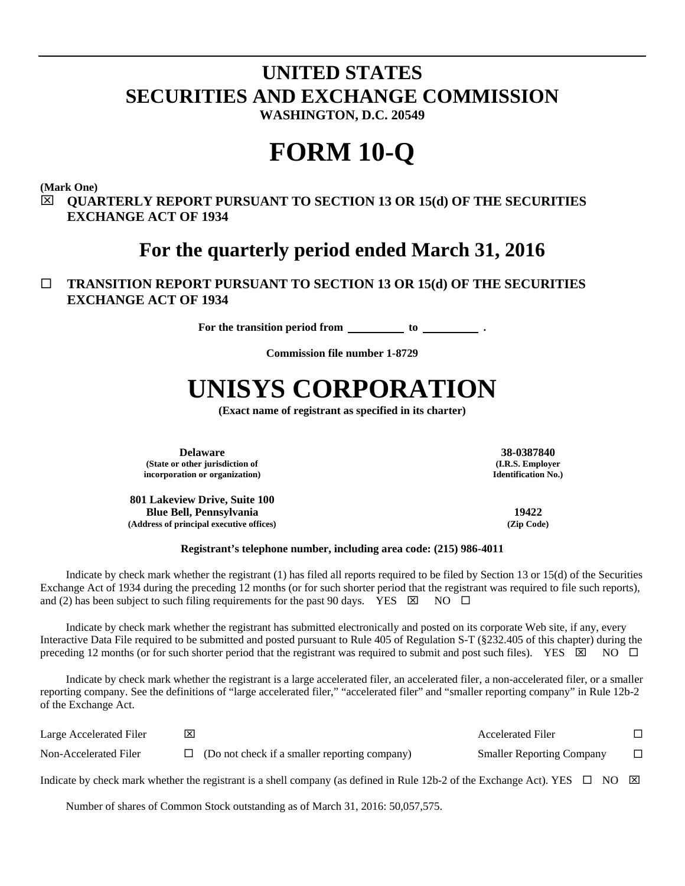## **UNITED STATES SECURITIES AND EXCHANGE COMMISSION WASHINGTON, D.C. 20549**

# **FORM 10-Q**

**(Mark One)**

 **QUARTERLY REPORT PURSUANT TO SECTION 13 OR 15(d) OF THE SECURITIES EXCHANGE ACT OF 1934**

**For the quarterly period ended March 31, 2016**

## **TRANSITION REPORT PURSUANT TO SECTION 13 OR 15(d) OF THE SECURITIES EXCHANGE ACT OF 1934**

For the transition period from to to the transition period from the set of the set of the set of the set of the set of the set of the set of the set of the set of the set of the set of the set of the set of the set of the

**Commission file number 1-8729**

## **UNISYS CORPORATION**

**(Exact name of registrant as specified in its charter)**

**Delaware 38-0387840 (State or other jurisdiction of incorporation or organization)**

**801 Lakeview Drive, Suite 100 Blue Bell, Pennsylvania 19422 (Address of principal executive offices) (Zip Code)**

**(I.R.S. Employer Identification No.)**

#### **Registrant's telephone number, including area code: (215) 986-4011**

Indicate by check mark whether the registrant (1) has filed all reports required to be filed by Section 13 or 15(d) of the Securities Exchange Act of 1934 during the preceding 12 months (or for such shorter period that the registrant was required to file such reports), and (2) has been subject to such filing requirements for the past 90 days. YES  $\boxtimes$  NO  $\Box$ 

Indicate by check mark whether the registrant has submitted electronically and posted on its corporate Web site, if any, every Interactive Data File required to be submitted and posted pursuant to Rule 405 of Regulation S-T (§232.405 of this chapter) during the preceding 12 months (or for such shorter period that the registrant was required to submit and post such files). YES  $\boxtimes$  NO  $\Box$ 

Indicate by check mark whether the registrant is a large accelerated filer, an accelerated filer, a non-accelerated filer, or a smaller reporting company. See the definitions of "large accelerated filer," "accelerated filer" and "smaller reporting company" in Rule 12b-2 of the Exchange Act.

| Large Accelerated Filer |                                                      | <b>Accelerated Filer</b>         |  |
|-------------------------|------------------------------------------------------|----------------------------------|--|
| Non-Accelerated Filer   | $\Box$ (Do not check if a smaller reporting company) | <b>Smaller Reporting Company</b> |  |

Indicate by check mark whether the registrant is a shell company (as defined in Rule 12b-2 of the Exchange Act). YES  $\square$  NO  $\square$ 

Number of shares of Common Stock outstanding as of March 31, 2016: 50,057,575.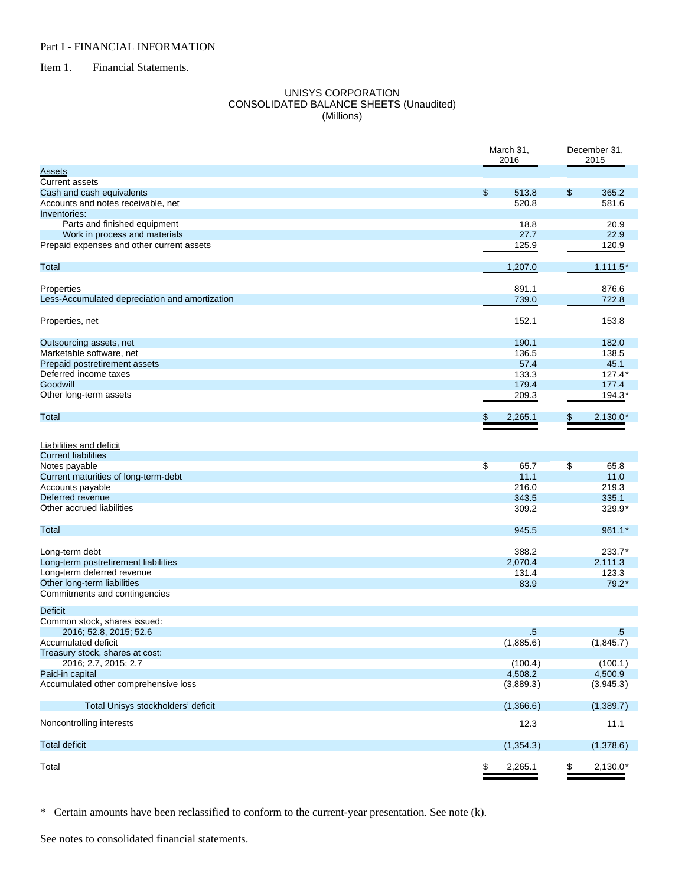## Part I - FINANCIAL INFORMATION

## Item 1. Financial Statements.

#### UNISYS CORPORATION CONSOLIDATED BALANCE SHEETS (Unaudited) (Millions)

|                                                | March 31,<br>2016 |    | December 31,<br>2015 |
|------------------------------------------------|-------------------|----|----------------------|
| <b>Assets</b>                                  |                   |    |                      |
| <b>Current assets</b>                          |                   |    |                      |
| Cash and cash equivalents                      | \$<br>513.8       | \$ | 365.2                |
| Accounts and notes receivable, net             | 520.8             |    | 581.6                |
| Inventories:                                   |                   |    |                      |
| Parts and finished equipment                   | 18.8              |    | 20.9                 |
| Work in process and materials                  | 27.7              |    | 22.9                 |
| Prepaid expenses and other current assets      | 125.9             |    | 120.9                |
|                                                |                   |    |                      |
| Total                                          | 1,207.0           |    | $1,111.5*$           |
|                                                |                   |    |                      |
| Properties                                     | 891.1             |    | 876.6                |
| Less-Accumulated depreciation and amortization | 739.0             |    | 722.8                |
|                                                |                   |    |                      |
| Properties, net                                | 152.1             |    | 153.8                |
| Outsourcing assets, net                        | 190.1             |    | 182.0                |
| Marketable software, net                       | 136.5             |    | 138.5                |
| Prepaid postretirement assets                  | 57.4              |    | 45.1                 |
| Deferred income taxes                          | 133.3             |    | $127.4*$             |
| Goodwill                                       | 179.4             |    | 177.4                |
| Other long-term assets                         | 209.3             |    | $194.3*$             |
|                                                |                   |    |                      |
| Total                                          | \$<br>2,265.1     | \$ | 2,130.0*             |
|                                                |                   |    |                      |
| Liabilities and deficit                        |                   |    |                      |
| <b>Current liabilities</b>                     |                   |    |                      |
| Notes payable                                  | \$<br>65.7        | \$ | 65.8                 |
| Current maturities of long-term-debt           | 11.1              |    | 11.0                 |
| Accounts payable                               | 216.0             |    | 219.3                |
| Deferred revenue                               | 343.5             |    | 335.1                |
| Other accrued liabilities                      | 309.2             |    | 329.9*               |
|                                                |                   |    |                      |
| Total                                          | 945.5             |    | $961.1*$             |
|                                                |                   |    |                      |
| Long-term debt                                 | 388.2             |    | 233.7*               |
| Long-term postretirement liabilities           | 2,070.4           |    | 2,111.3              |
| Long-term deferred revenue                     | 131.4             |    | 123.3                |
| Other long-term liabilities                    | 83.9              |    | $79.2*$              |
| Commitments and contingencies                  |                   |    |                      |
| <b>Deficit</b>                                 |                   |    |                      |
| Common stock, shares issued:                   |                   |    |                      |
| 2016; 52.8, 2015; 52.6                         | $.5\,$            |    | .5                   |
| Accumulated deficit                            | (1,885.6)         |    | (1,845.7)            |
| Treasury stock, shares at cost:                |                   |    |                      |
| 2016; 2.7, 2015; 2.7                           | (100.4)           |    | (100.1)              |
| Paid-in capital                                | 4,508.2           |    | 4,500.9              |
| Accumulated other comprehensive loss           | (3,889.3)         |    | (3,945.3)            |
|                                                |                   |    |                      |
| Total Unisys stockholders' deficit             | (1,366.6)         |    | (1,389.7)            |
| Noncontrolling interests                       | 12.3              |    | 11.1                 |
| <b>Total deficit</b>                           | (1,354.3)         |    | (1,378.6)            |
| Total                                          | 2,265.1           | \$ | $2,130.0*$           |

\* Certain amounts have been reclassified to conform to the current-year presentation. See note (k).

See notes to consolidated financial statements.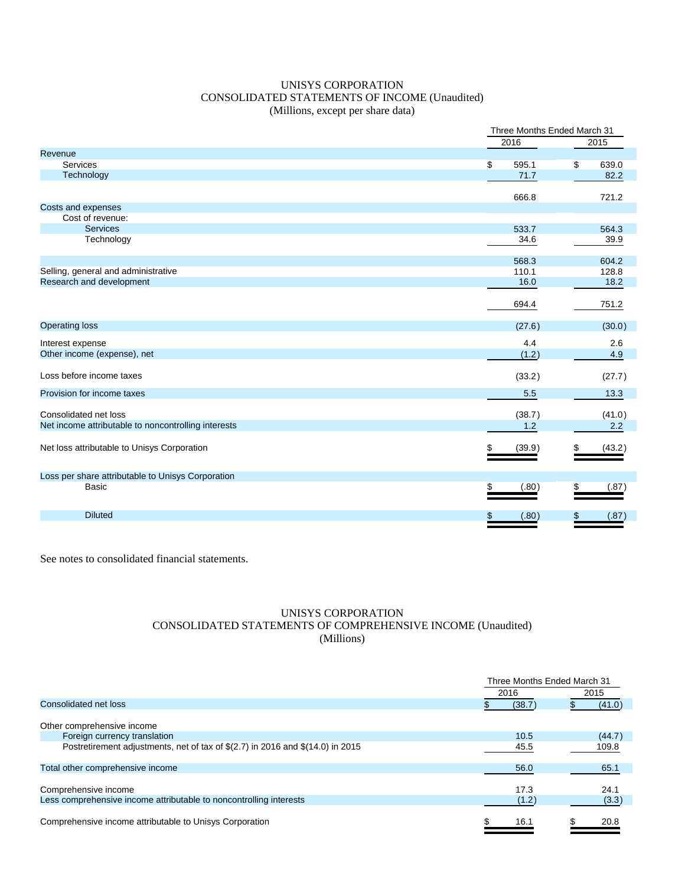## UNISYS CORPORATION CONSOLIDATED STATEMENTS OF INCOME (Unaudited) (Millions, except per share data)

|                                                     |             | Three Months Ended March 31 |
|-----------------------------------------------------|-------------|-----------------------------|
|                                                     | 2016        | 2015                        |
| Revenue                                             |             |                             |
| Services                                            | \$<br>595.1 | 639.0<br>\$                 |
| Technology                                          | 71.7        | 82.2                        |
|                                                     |             |                             |
|                                                     | 666.8       | 721.2                       |
| Costs and expenses<br>Cost of revenue:              |             |                             |
| <b>Services</b>                                     |             |                             |
|                                                     | 533.7       | 564.3                       |
| Technology                                          | 34.6        | 39.9                        |
|                                                     | 568.3       | 604.2                       |
| Selling, general and administrative                 | 110.1       | 128.8                       |
| Research and development                            | 16.0        | 18.2                        |
|                                                     |             |                             |
|                                                     | 694.4       | 751.2                       |
|                                                     |             |                             |
| <b>Operating loss</b>                               | (27.6)      | (30.0)                      |
| Interest expense                                    | 4.4         | 2.6                         |
| Other income (expense), net                         | (1.2)       | 4.9                         |
|                                                     |             |                             |
| Loss before income taxes                            | (33.2)      | (27.7)                      |
| Provision for income taxes                          | 5.5         | 13.3                        |
|                                                     |             |                             |
| Consolidated net loss                               | (38.7)      | (41.0)                      |
| Net income attributable to noncontrolling interests | 1.2         | 2.2                         |
|                                                     |             |                             |
| Net loss attributable to Unisys Corporation         | (39.9)      | (43.2)                      |
|                                                     |             |                             |
| Loss per share attributable to Unisys Corporation   |             |                             |
| Basic                                               | (.80)<br>S  | (.87)                       |
|                                                     |             |                             |
|                                                     |             |                             |
| <b>Diluted</b>                                      | \$<br>(.80) | \$<br>(.87)                 |
|                                                     |             |                             |

See notes to consolidated financial statements.

## UNISYS CORPORATION CONSOLIDATED STATEMENTS OF COMPREHENSIVE INCOME (Unaudited) (Millions)

|                                                                                | Three Months Ended March 31 |        |  |        |
|--------------------------------------------------------------------------------|-----------------------------|--------|--|--------|
|                                                                                |                             | 2016   |  | 2015   |
| Consolidated net loss                                                          |                             | (38.7) |  | (41.0) |
|                                                                                |                             |        |  |        |
| Other comprehensive income                                                     |                             |        |  |        |
| Foreign currency translation                                                   |                             | 10.5   |  | (44.7) |
| Postretirement adjustments, net of tax of \$(2.7) in 2016 and \$(14.0) in 2015 |                             | 45.5   |  | 109.8  |
|                                                                                |                             |        |  |        |
| Total other comprehensive income                                               |                             | 56.0   |  | 65.1   |
|                                                                                |                             |        |  |        |
| Comprehensive income                                                           |                             | 17.3   |  | 24.1   |
| Less comprehensive income attributable to noncontrolling interests             |                             | (1.2)  |  | (3.3)  |
|                                                                                |                             |        |  |        |
| Comprehensive income attributable to Unisys Corporation                        |                             | 16.1   |  | 20.8   |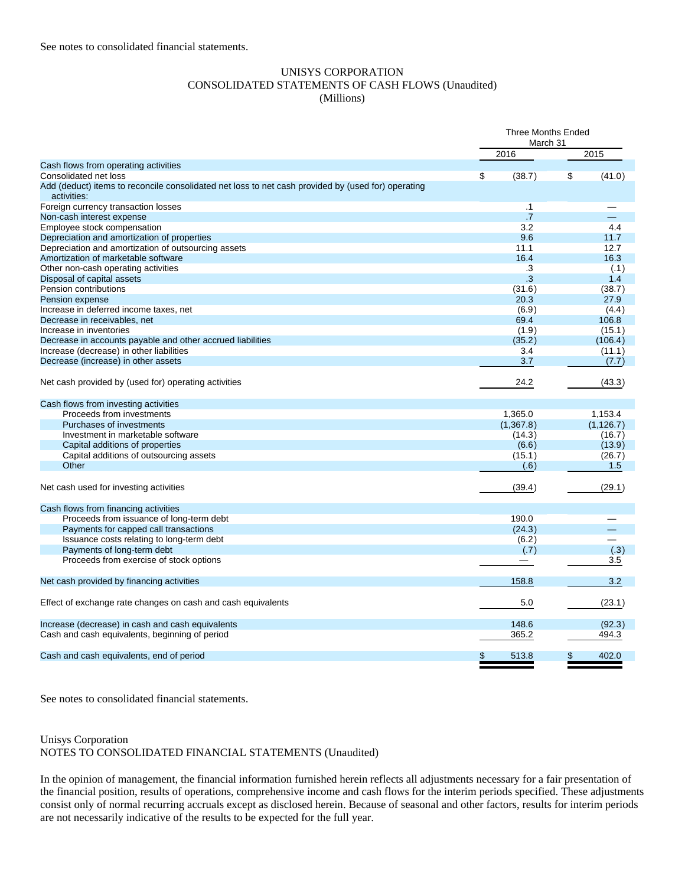### UNISYS CORPORATION CONSOLIDATED STATEMENTS OF CASH FLOWS (Unaudited) (Millions)

|                                                                                                                   | <b>Three Months Ended</b><br>March 31 |           |    |            |
|-------------------------------------------------------------------------------------------------------------------|---------------------------------------|-----------|----|------------|
|                                                                                                                   |                                       | 2016      |    | 2015       |
| Cash flows from operating activities                                                                              |                                       |           |    |            |
| Consolidated net loss                                                                                             | \$                                    | (38.7)    | \$ | (41.0)     |
| Add (deduct) items to reconcile consolidated net loss to net cash provided by (used for) operating<br>activities: |                                       |           |    |            |
| Foreign currency transaction losses                                                                               |                                       | $\cdot$ 1 |    |            |
| Non-cash interest expense                                                                                         |                                       | .7        |    |            |
| Employee stock compensation                                                                                       |                                       | 3.2       |    | 4.4        |
| Depreciation and amortization of properties                                                                       |                                       | 9.6       |    | 11.7       |
| Depreciation and amortization of outsourcing assets                                                               |                                       | 11.1      |    | 12.7       |
| Amortization of marketable software                                                                               |                                       | 16.4      |    | 16.3       |
| Other non-cash operating activities                                                                               |                                       | .3        |    | (.1)       |
| Disposal of capital assets                                                                                        |                                       | $\cdot$ 3 |    | 1.4        |
| Pension contributions                                                                                             |                                       | (31.6)    |    | (38.7)     |
| Pension expense                                                                                                   |                                       | 20.3      |    | 27.9       |
| Increase in deferred income taxes, net                                                                            |                                       | (6.9)     |    | (4.4)      |
| Decrease in receivables, net                                                                                      |                                       | 69.4      |    | 106.8      |
| Increase in inventories                                                                                           |                                       | (1.9)     |    | (15.1)     |
| Decrease in accounts payable and other accrued liabilities                                                        |                                       | (35.2)    |    | (106.4)    |
| Increase (decrease) in other liabilities                                                                          |                                       | 3.4       |    | (11.1)     |
| Decrease (increase) in other assets                                                                               |                                       | 3.7       |    | (7.7)      |
|                                                                                                                   |                                       |           |    |            |
| Net cash provided by (used for) operating activities                                                              |                                       | 24.2      |    | (43.3)     |
| Cash flows from investing activities                                                                              |                                       |           |    |            |
| Proceeds from investments                                                                                         |                                       | 1,365.0   |    | 1,153.4    |
| Purchases of investments                                                                                          |                                       | (1,367.8) |    | (1, 126.7) |
| Investment in marketable software                                                                                 |                                       | (14.3)    |    | (16.7)     |
| Capital additions of properties                                                                                   |                                       | (6.6)     |    | (13.9)     |
| Capital additions of outsourcing assets                                                                           |                                       | (15.1)    |    | (26.7)     |
| Other                                                                                                             |                                       | (.6)      |    | 1.5        |
|                                                                                                                   |                                       |           |    |            |
| Net cash used for investing activities                                                                            |                                       | (39.4)    |    | (29.1)     |
|                                                                                                                   |                                       |           |    |            |
| Cash flows from financing activities                                                                              |                                       |           |    |            |
| Proceeds from issuance of long-term debt                                                                          |                                       | 190.0     |    |            |
| Payments for capped call transactions                                                                             |                                       | (24.3)    |    |            |
| Issuance costs relating to long-term debt                                                                         |                                       | (6.2)     |    |            |
| Payments of long-term debt                                                                                        |                                       | (.7)      |    | (.3)       |
| Proceeds from exercise of stock options                                                                           |                                       |           |    | 3.5        |
|                                                                                                                   |                                       |           |    |            |
| Net cash provided by financing activities                                                                         |                                       | 158.8     |    | 3.2        |
|                                                                                                                   |                                       |           |    |            |
|                                                                                                                   |                                       |           |    |            |
| Effect of exchange rate changes on cash and cash equivalents                                                      |                                       | 5.0       |    | (23.1)     |
|                                                                                                                   |                                       |           |    |            |
| Increase (decrease) in cash and cash equivalents                                                                  |                                       | 148.6     |    | (92.3)     |
| Cash and cash equivalents, beginning of period                                                                    |                                       | 365.2     |    | 494.3      |
|                                                                                                                   |                                       |           |    |            |
| Cash and cash equivalents, end of period                                                                          | \$                                    | 513.8     | \$ | 402.0      |

See notes to consolidated financial statements.

## Unisys Corporation NOTES TO CONSOLIDATED FINANCIAL STATEMENTS (Unaudited)

In the opinion of management, the financial information furnished herein reflects all adjustments necessary for a fair presentation of the financial position, results of operations, comprehensive income and cash flows for the interim periods specified. These adjustments consist only of normal recurring accruals except as disclosed herein. Because of seasonal and other factors, results for interim periods are not necessarily indicative of the results to be expected for the full year.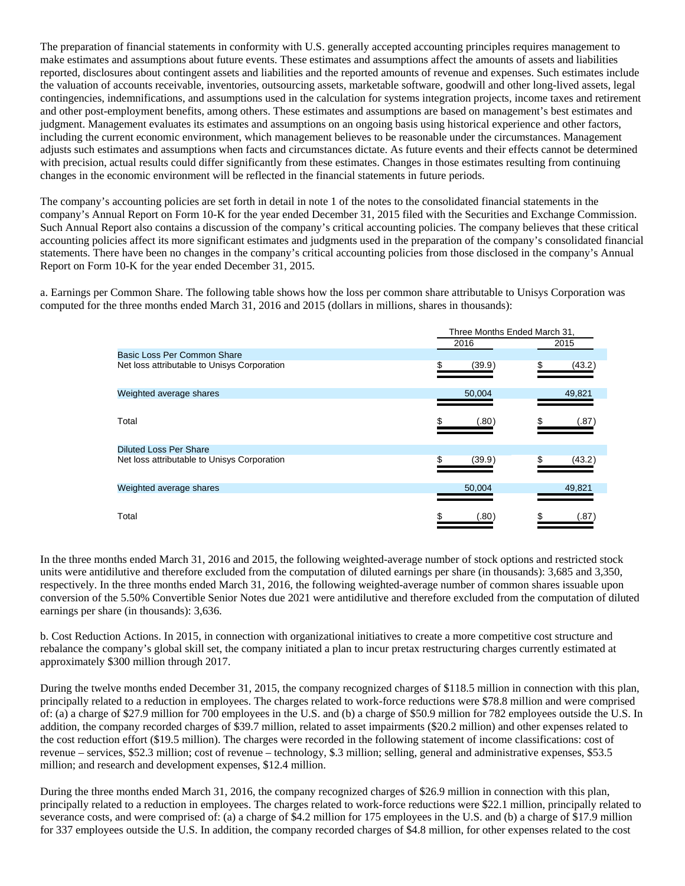The preparation of financial statements in conformity with U.S. generally accepted accounting principles requires management to make estimates and assumptions about future events. These estimates and assumptions affect the amounts of assets and liabilities reported, disclosures about contingent assets and liabilities and the reported amounts of revenue and expenses. Such estimates include the valuation of accounts receivable, inventories, outsourcing assets, marketable software, goodwill and other long-lived assets, legal contingencies, indemnifications, and assumptions used in the calculation for systems integration projects, income taxes and retirement and other post-employment benefits, among others. These estimates and assumptions are based on management's best estimates and judgment. Management evaluates its estimates and assumptions on an ongoing basis using historical experience and other factors, including the current economic environment, which management believes to be reasonable under the circumstances. Management adjusts such estimates and assumptions when facts and circumstances dictate. As future events and their effects cannot be determined with precision, actual results could differ significantly from these estimates. Changes in those estimates resulting from continuing changes in the economic environment will be reflected in the financial statements in future periods.

The company's accounting policies are set forth in detail in note 1 of the notes to the consolidated financial statements in the company's Annual Report on Form 10-K for the year ended December 31, 2015 filed with the Securities and Exchange Commission. Such Annual Report also contains a discussion of the company's critical accounting policies. The company believes that these critical accounting policies affect its more significant estimates and judgments used in the preparation of the company's consolidated financial statements. There have been no changes in the company's critical accounting policies from those disclosed in the company's Annual Report on Form 10-K for the year ended December 31, 2015.

a. Earnings per Common Share. The following table shows how the loss per common share attributable to Unisys Corporation was computed for the three months ended March 31, 2016 and 2015 (dollars in millions, shares in thousands):

|                                             | Three Months Ended March 31, |        |    |        |
|---------------------------------------------|------------------------------|--------|----|--------|
|                                             | 2016                         |        |    | 2015   |
| Basic Loss Per Common Share                 |                              |        |    |        |
| Net loss attributable to Unisys Corporation | S                            | (39.9) | \$ | (43.2) |
| Weighted average shares                     |                              | 50,004 |    | 49,821 |
|                                             |                              |        |    |        |
| Total                                       |                              | (.80)  |    | (.87)  |
| <b>Diluted Loss Per Share</b>               |                              |        |    |        |
| Net loss attributable to Unisys Corporation |                              | (39.9) |    | (43.2) |
| Weighted average shares                     |                              | 50,004 |    | 49,821 |
|                                             |                              |        |    |        |
| Total                                       |                              | 0.80   |    | .87)   |

In the three months ended March 31, 2016 and 2015, the following weighted-average number of stock options and restricted stock units were antidilutive and therefore excluded from the computation of diluted earnings per share (in thousands): 3,685 and 3,350, respectively. In the three months ended March 31, 2016, the following weighted-average number of common shares issuable upon conversion of the 5.50% Convertible Senior Notes due 2021 were antidilutive and therefore excluded from the computation of diluted earnings per share (in thousands): 3,636.

b. Cost Reduction Actions. In 2015, in connection with organizational initiatives to create a more competitive cost structure and rebalance the company's global skill set, the company initiated a plan to incur pretax restructuring charges currently estimated at approximately \$300 million through 2017.

During the twelve months ended December 31, 2015, the company recognized charges of \$118.5 million in connection with this plan, principally related to a reduction in employees. The charges related to work-force reductions were \$78.8 million and were comprised of: (a) a charge of \$27.9 million for 700 employees in the U.S. and (b) a charge of \$50.9 million for 782 employees outside the U.S. In addition, the company recorded charges of \$39.7 million, related to asset impairments (\$20.2 million) and other expenses related to the cost reduction effort (\$19.5 million). The charges were recorded in the following statement of income classifications: cost of revenue – services, \$52.3 million; cost of revenue – technology, \$.3 million; selling, general and administrative expenses, \$53.5 million; and research and development expenses, \$12.4 million.

During the three months ended March 31, 2016, the company recognized charges of \$26.9 million in connection with this plan, principally related to a reduction in employees. The charges related to work-force reductions were \$22.1 million, principally related to severance costs, and were comprised of: (a) a charge of \$4.2 million for 175 employees in the U.S. and (b) a charge of \$17.9 million for 337 employees outside the U.S. In addition, the company recorded charges of \$4.8 million, for other expenses related to the cost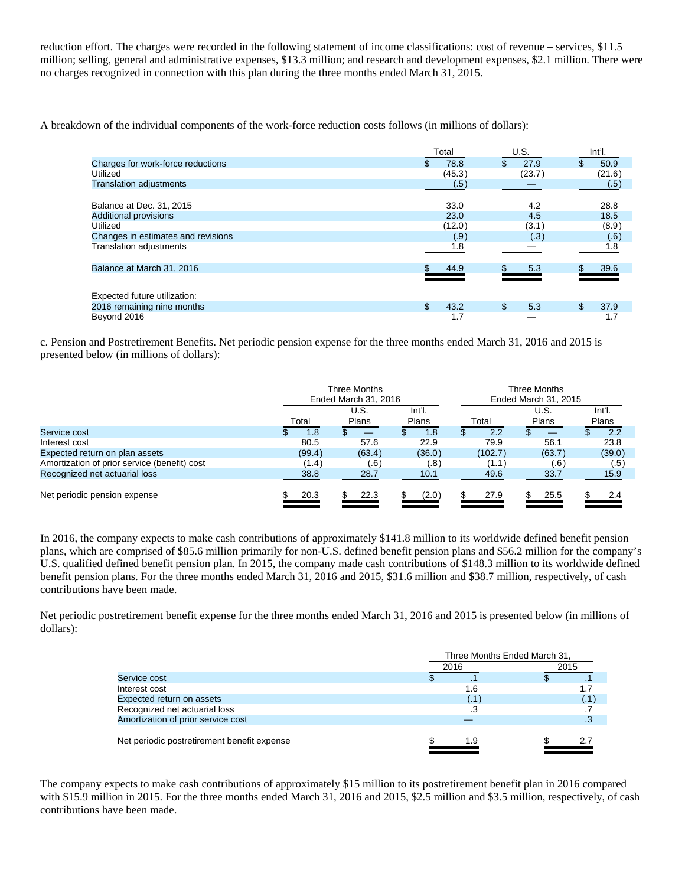reduction effort. The charges were recorded in the following statement of income classifications: cost of revenue – services, \$11.5 million; selling, general and administrative expenses, \$13.3 million; and research and development expenses, \$2.1 million. There were no charges recognized in connection with this plan during the three months ended March 31, 2015.

A breakdown of the individual components of the work-force reduction costs follows (in millions of dollars):

|                                    | Total      | <b>U.S.</b> | Int'l.      |
|------------------------------------|------------|-------------|-------------|
| Charges for work-force reductions  | \$<br>78.8 | 27.9        | \$<br>50.9  |
| Utilized                           | (45.3)     | (23.7)      | (21.6)      |
| <b>Translation adjustments</b>     | (.5)       |             | (.5)        |
|                                    |            |             |             |
| Balance at Dec. 31, 2015           | 33.0       | 4.2         | 28.8        |
| <b>Additional provisions</b>       | 23.0       | 4.5         | 18.5        |
| Utilized                           | (12.0)     | (3.1)       | (8.9)       |
| Changes in estimates and revisions | (.9)       | (.3)        | (.6)        |
| <b>Translation adjustments</b>     | 1.8        |             | 1.8         |
|                                    |            |             |             |
| Balance at March 31, 2016          | \$<br>44.9 | 5.3         | 39.6<br>\$. |
|                                    |            |             |             |
| Expected future utilization:       |            |             |             |
| 2016 remaining nine months         | \$<br>43.2 | \$<br>5.3   | \$<br>37.9  |
| Beyond 2016                        | 1.7        |             | 1.7         |

c. Pension and Postretirement Benefits. Net periodic pension expense for the three months ended March 31, 2016 and 2015 is presented below (in millions of dollars):

|                                              |        | Three Months         |        |                      | Three Months |        |  |
|----------------------------------------------|--------|----------------------|--------|----------------------|--------------|--------|--|
|                                              |        | Ended March 31, 2016 |        | Ended March 31, 2015 |              |        |  |
|                                              |        | U.S.                 | Int'l. |                      | U.S.         | Int'l. |  |
|                                              | Total  | Plans                | Plans  | Total                | Plans        | Plans  |  |
| Service cost                                 | 1.8    |                      | 1.8    | 2.2                  |              | 2.2    |  |
| Interest cost                                | 80.5   | 57.6                 | 22.9   | 79.9                 | 56.1         | 23.8   |  |
| Expected return on plan assets               | (99.4) | (63.4)               | (36.0) | (102.7)              | (63.7)       | (39.0) |  |
| Amortization of prior service (benefit) cost | (1.4)  | (.6)                 | .8)    | (1.1)                | (.6)         | (.5)   |  |
| Recognized net actuarial loss                | 38.8   | 28.7                 | 10.1   | 49.6                 | 33.7         | 15.9   |  |
| Net periodic pension expense                 | 20.3   | 22.3                 | (2.0)  | 27.9                 | 25.5         | 2.4    |  |

In 2016, the company expects to make cash contributions of approximately \$141.8 million to its worldwide defined benefit pension plans, which are comprised of \$85.6 million primarily for non-U.S. defined benefit pension plans and \$56.2 million for the company's U.S. qualified defined benefit pension plan. In 2015, the company made cash contributions of \$148.3 million to its worldwide defined benefit pension plans. For the three months ended March 31, 2016 and 2015, \$31.6 million and \$38.7 million, respectively, of cash contributions have been made.

Net periodic postretirement benefit expense for the three months ended March 31, 2016 and 2015 is presented below (in millions of dollars):

|                                             | Three Months Ended March 31, |      |  |  |  |
|---------------------------------------------|------------------------------|------|--|--|--|
|                                             | 2016                         | 2015 |  |  |  |
| Service cost                                | . .                          |      |  |  |  |
| Interest cost                               | 1.6                          | 1.7  |  |  |  |
| Expected return on assets                   | (.1)                         | (.1  |  |  |  |
| Recognized net actuarial loss               | .3                           |      |  |  |  |
| Amortization of prior service cost          |                              |      |  |  |  |
| Net periodic postretirement benefit expense | 1.9                          |      |  |  |  |

The company expects to make cash contributions of approximately \$15 million to its postretirement benefit plan in 2016 compared with \$15.9 million in 2015. For the three months ended March 31, 2016 and 2015, \$2.5 million and \$3.5 million, respectively, of cash contributions have been made.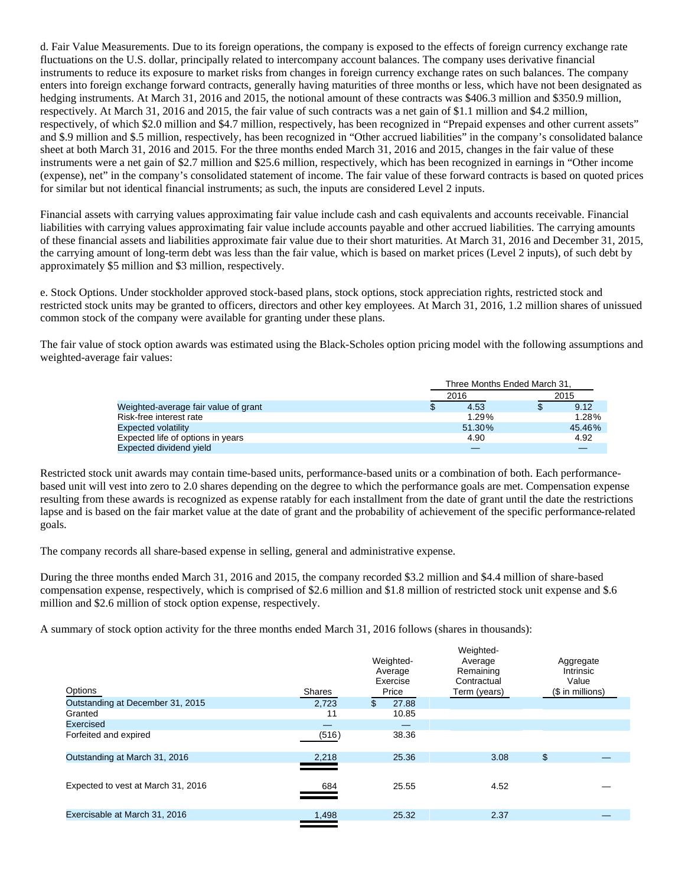d. Fair Value Measurements. Due to its foreign operations, the company is exposed to the effects of foreign currency exchange rate fluctuations on the U.S. dollar, principally related to intercompany account balances. The company uses derivative financial instruments to reduce its exposure to market risks from changes in foreign currency exchange rates on such balances. The company enters into foreign exchange forward contracts, generally having maturities of three months or less, which have not been designated as hedging instruments. At March 31, 2016 and 2015, the notional amount of these contracts was \$406.3 million and \$350.9 million, respectively. At March 31, 2016 and 2015, the fair value of such contracts was a net gain of \$1.1 million and \$4.2 million, respectively, of which \$2.0 million and \$4.7 million, respectively, has been recognized in "Prepaid expenses and other current assets" and \$.9 million and \$.5 million, respectively, has been recognized in "Other accrued liabilities" in the company's consolidated balance sheet at both March 31, 2016 and 2015. For the three months ended March 31, 2016 and 2015, changes in the fair value of these instruments were a net gain of \$2.7 million and \$25.6 million, respectively, which has been recognized in earnings in "Other income (expense), net" in the company's consolidated statement of income. The fair value of these forward contracts is based on quoted prices for similar but not identical financial instruments; as such, the inputs are considered Level 2 inputs.

Financial assets with carrying values approximating fair value include cash and cash equivalents and accounts receivable. Financial liabilities with carrying values approximating fair value include accounts payable and other accrued liabilities. The carrying amounts of these financial assets and liabilities approximate fair value due to their short maturities. At March 31, 2016 and December 31, 2015, the carrying amount of long-term debt was less than the fair value, which is based on market prices (Level 2 inputs), of such debt by approximately \$5 million and \$3 million, respectively.

e. Stock Options. Under stockholder approved stock-based plans, stock options, stock appreciation rights, restricted stock and restricted stock units may be granted to officers, directors and other key employees. At March 31, 2016, 1.2 million shares of unissued common stock of the company were available for granting under these plans.

The fair value of stock option awards was estimated using the Black-Scholes option pricing model with the following assumptions and weighted-average fair values:

|                                      | Three Months Ended March 31. |  |        |  |  |
|--------------------------------------|------------------------------|--|--------|--|--|
|                                      | 2016                         |  | 2015   |  |  |
| Weighted-average fair value of grant | 4.53                         |  | 9.12   |  |  |
| Risk-free interest rate              | $1.29\%$                     |  | 1.28%  |  |  |
| <b>Expected volatility</b>           | 51.30%                       |  | 45.46% |  |  |
| Expected life of options in years    | 4.90                         |  | 4.92   |  |  |
| Expected dividend yield              |                              |  |        |  |  |

Restricted stock unit awards may contain time-based units, performance-based units or a combination of both. Each performancebased unit will vest into zero to 2.0 shares depending on the degree to which the performance goals are met. Compensation expense resulting from these awards is recognized as expense ratably for each installment from the date of grant until the date the restrictions lapse and is based on the fair market value at the date of grant and the probability of achievement of the specific performance-related goals.

The company records all share-based expense in selling, general and administrative expense.

During the three months ended March 31, 2016 and 2015, the company recorded \$3.2 million and \$4.4 million of share-based compensation expense, respectively, which is comprised of \$2.6 million and \$1.8 million of restricted stock unit expense and \$.6 million and \$2.6 million of stock option expense, respectively.

A summary of stock option activity for the three months ended March 31, 2016 follows (shares in thousands):

| Options                            | Shares | Weighted-<br>Average<br>Exercise<br>Price | Weighted-<br>Average<br>Remaining<br>Contractual<br>Term (years) | Aggregate<br>Intrinsic<br>Value<br>(\$ in millions) |
|------------------------------------|--------|-------------------------------------------|------------------------------------------------------------------|-----------------------------------------------------|
| Outstanding at December 31, 2015   | 2,723  | 27.88<br>\$.                              |                                                                  |                                                     |
| Granted                            | 11     | 10.85                                     |                                                                  |                                                     |
| Exercised                          |        |                                           |                                                                  |                                                     |
| Forfeited and expired              | (516)  | 38.36                                     |                                                                  |                                                     |
| Outstanding at March 31, 2016      | 2,218  | 25.36                                     | 3.08                                                             | \$                                                  |
| Expected to vest at March 31, 2016 | 684    | 25.55                                     | 4.52                                                             |                                                     |
| Exercisable at March 31, 2016      | 1,498  | 25.32                                     | 2.37                                                             |                                                     |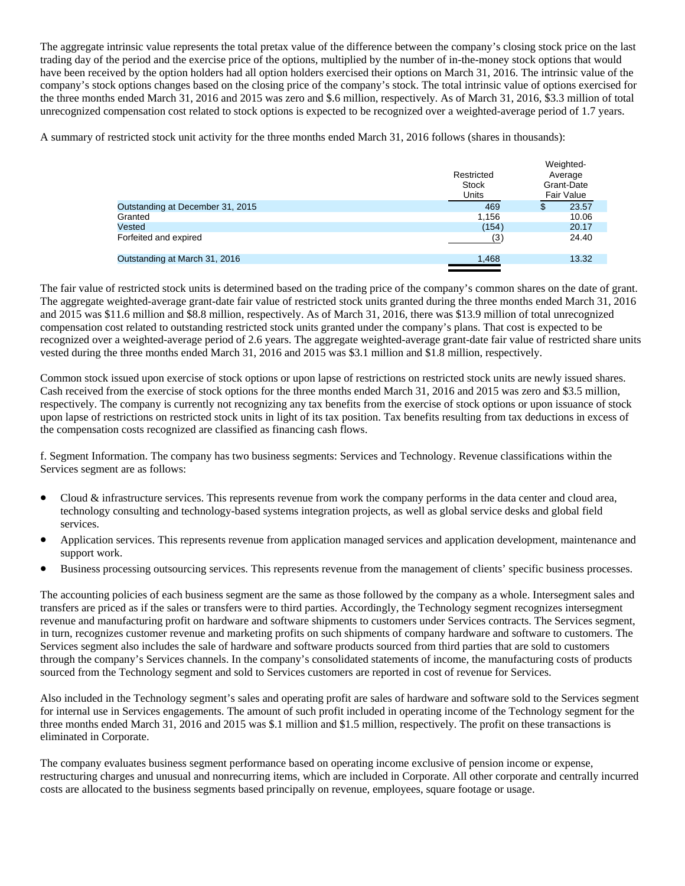The aggregate intrinsic value represents the total pretax value of the difference between the company's closing stock price on the last trading day of the period and the exercise price of the options, multiplied by the number of in-the-money stock options that would have been received by the option holders had all option holders exercised their options on March 31, 2016. The intrinsic value of the company's stock options changes based on the closing price of the company's stock. The total intrinsic value of options exercised for the three months ended March 31, 2016 and 2015 was zero and \$.6 million, respectively. As of March 31, 2016, \$3.3 million of total unrecognized compensation cost related to stock options is expected to be recognized over a weighted-average period of 1.7 years.

A summary of restricted stock unit activity for the three months ended March 31, 2016 follows (shares in thousands):

|                                  | Restricted<br><b>Stock</b><br><b>Units</b> | Weighted-<br>Average<br>Grant-Date<br>Fair Value |
|----------------------------------|--------------------------------------------|--------------------------------------------------|
| Outstanding at December 31, 2015 | 469                                        | 23.57                                            |
| Granted                          | 1,156                                      | 10.06                                            |
| Vested                           | (154)                                      | 20.17                                            |
| Forfeited and expired            | (3)                                        | 24.40                                            |
| Outstanding at March 31, 2016    | 1,468                                      | 13.32                                            |

The fair value of restricted stock units is determined based on the trading price of the company's common shares on the date of grant. The aggregate weighted-average grant-date fair value of restricted stock units granted during the three months ended March 31, 2016 and 2015 was \$11.6 million and \$8.8 million, respectively. As of March 31, 2016, there was \$13.9 million of total unrecognized compensation cost related to outstanding restricted stock units granted under the company's plans. That cost is expected to be recognized over a weighted-average period of 2.6 years. The aggregate weighted-average grant-date fair value of restricted share units vested during the three months ended March 31, 2016 and 2015 was \$3.1 million and \$1.8 million, respectively.

Common stock issued upon exercise of stock options or upon lapse of restrictions on restricted stock units are newly issued shares. Cash received from the exercise of stock options for the three months ended March 31, 2016 and 2015 was zero and \$3.5 million, respectively. The company is currently not recognizing any tax benefits from the exercise of stock options or upon issuance of stock upon lapse of restrictions on restricted stock units in light of its tax position. Tax benefits resulting from tax deductions in excess of the compensation costs recognized are classified as financing cash flows.

f. Segment Information. The company has two business segments: Services and Technology. Revenue classifications within the Services segment are as follows:

- Cloud & infrastructure services. This represents revenue from work the company performs in the data center and cloud area, technology consulting and technology-based systems integration projects, as well as global service desks and global field services.
- Application services. This represents revenue from application managed services and application development, maintenance and support work.
- Business processing outsourcing services. This represents revenue from the management of clients' specific business processes.

The accounting policies of each business segment are the same as those followed by the company as a whole. Intersegment sales and transfers are priced as if the sales or transfers were to third parties. Accordingly, the Technology segment recognizes intersegment revenue and manufacturing profit on hardware and software shipments to customers under Services contracts. The Services segment, in turn, recognizes customer revenue and marketing profits on such shipments of company hardware and software to customers. The Services segment also includes the sale of hardware and software products sourced from third parties that are sold to customers through the company's Services channels. In the company's consolidated statements of income, the manufacturing costs of products sourced from the Technology segment and sold to Services customers are reported in cost of revenue for Services.

Also included in the Technology segment's sales and operating profit are sales of hardware and software sold to the Services segment for internal use in Services engagements. The amount of such profit included in operating income of the Technology segment for the three months ended March 31, 2016 and 2015 was \$.1 million and \$1.5 million, respectively. The profit on these transactions is eliminated in Corporate.

The company evaluates business segment performance based on operating income exclusive of pension income or expense, restructuring charges and unusual and nonrecurring items, which are included in Corporate. All other corporate and centrally incurred costs are allocated to the business segments based principally on revenue, employees, square footage or usage.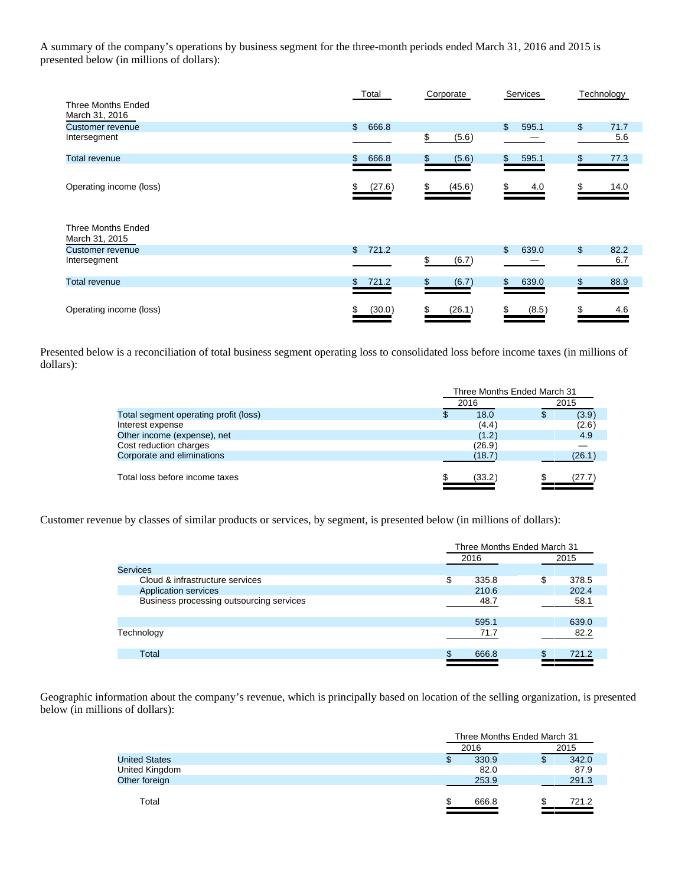A summary of the company's operations by business segment for the three-month periods ended March 31, 2016 and 2015 is presented below (in millions of dollars):

|                                             | Total                 | Corporate   | Services    | Technology |
|---------------------------------------------|-----------------------|-------------|-------------|------------|
| <b>Three Months Ended</b><br>March 31, 2016 |                       |             |             |            |
| <b>Customer revenue</b>                     | $\mathbb{S}$<br>666.8 |             | \$<br>595.1 | \$<br>71.7 |
| Intersegment                                |                       | \$<br>(5.6) |             | 5.6        |
| <b>Total revenue</b>                        | 666.8<br>\$           | (5.6)<br>\$ | \$<br>595.1 | 77.3       |
|                                             |                       |             |             |            |
| Operating income (loss)                     | (27.6)<br>P.          | (45.6)      | 4.0         | 14.0       |
| <b>Three Months Ended</b><br>March 31, 2015 |                       |             |             |            |
| Customer revenue                            | $\mathbb{S}$<br>721.2 |             | \$<br>639.0 | \$<br>82.2 |
| Intersegment                                |                       | \$<br>(6.7) |             | 6.7        |
| <b>Total revenue</b>                        | 721.2                 | (6.7)       | 639.0<br>\$ | 88.9       |
|                                             |                       |             |             |            |
| Operating income (loss)                     | (30.0)                | (26.1)      | (8.5)<br>S  | 4.6        |

Presented below is a reconciliation of total business segment operating loss to consolidated loss before income taxes (in millions of dollars):

|                                       |           | Three Months Ended March 31 |        |  |  |
|---------------------------------------|-----------|-----------------------------|--------|--|--|
|                                       | 2016      |                             | 2015   |  |  |
| Total segment operating profit (loss) | 18.0<br>S | \$                          | (3.9)  |  |  |
| Interest expense                      | (4.4)     |                             | (2.6)  |  |  |
| Other income (expense), net           | (1.2)     |                             | 4.9    |  |  |
| Cost reduction charges                | (26.9)    |                             |        |  |  |
| Corporate and eliminations            | (18.7)    |                             | (26.1) |  |  |
|                                       |           |                             |        |  |  |
| Total loss before income taxes        | (33.2)    |                             | (27.7  |  |  |
|                                       |           |                             |        |  |  |

Customer revenue by classes of similar products or services, by segment, is presented below (in millions of dollars):

|                                          |      | Three Months Ended March 31 |    |       |  |
|------------------------------------------|------|-----------------------------|----|-------|--|
|                                          | 2016 |                             |    | 2015  |  |
| <b>Services</b>                          |      |                             |    |       |  |
| Cloud & infrastructure services          | \$   | 335.8                       | \$ | 378.5 |  |
| Application services                     |      | 210.6                       |    | 202.4 |  |
| Business processing outsourcing services |      | 48.7                        |    | 58.1  |  |
|                                          |      | 595.1                       |    | 639.0 |  |
| Technology                               |      | 71.7                        |    | 82.2  |  |
| <b>Total</b>                             | \$   | 666.8                       |    | 721.2 |  |

Geographic information about the company's revenue, which is principally based on location of the selling organization, is presented below (in millions of dollars):

|                      |     | Three Months Ended March 31 |  |       |  |
|----------------------|-----|-----------------------------|--|-------|--|
|                      |     | 2016                        |  | 2015  |  |
| <b>United States</b> | \$. | 330.9                       |  | 342.0 |  |
| United Kingdom       |     | 82.0                        |  | 87.9  |  |
| Other foreign        |     | 253.9                       |  | 291.3 |  |
|                      |     |                             |  |       |  |
| Total                | ۰D  | 666.8                       |  | 721.2 |  |
|                      |     |                             |  |       |  |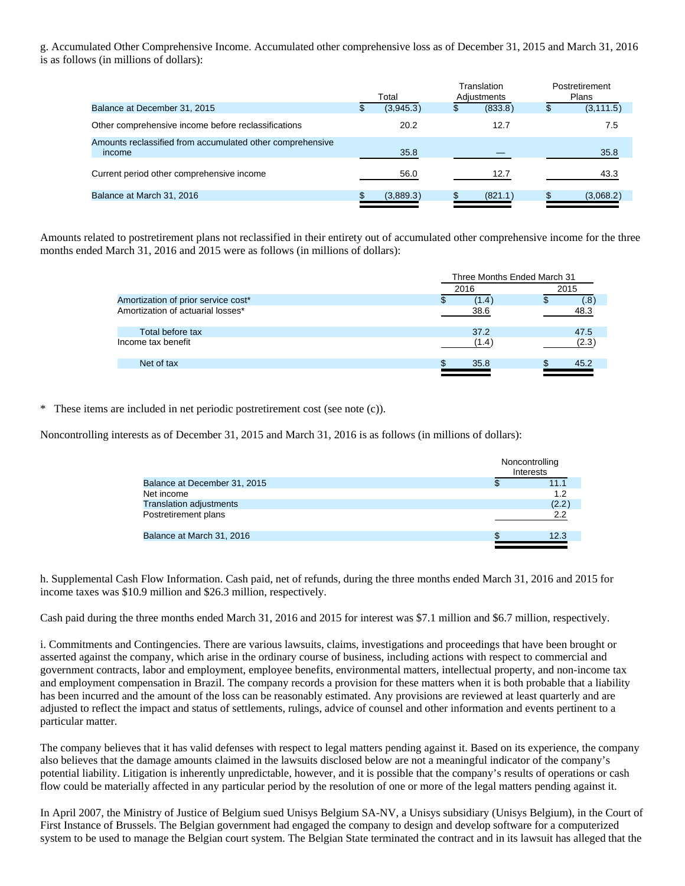g. Accumulated Other Comprehensive Income. Accumulated other comprehensive loss as of December 31, 2015 and March 31, 2016 is as follows (in millions of dollars):

|                                                                     | Total |           | Translation<br>Adjustments |         | Postretirement<br>Plans |
|---------------------------------------------------------------------|-------|-----------|----------------------------|---------|-------------------------|
| Balance at December 31, 2015                                        |       | (3,945.3) | £.                         | (833.8) | (3, 111.5)              |
| Other comprehensive income before reclassifications                 |       | 20.2      |                            | 12.7    | 7.5                     |
| Amounts reclassified from accumulated other comprehensive<br>income |       | 35.8      |                            |         | 35.8                    |
| Current period other comprehensive income                           |       | 56.0      |                            | 12.7    | 43.3                    |
| Balance at March 31, 2016                                           |       | (3,889.3) |                            | (821.1) | (3,068.2)               |

Amounts related to postretirement plans not reclassified in their entirety out of accumulated other comprehensive income for the three months ended March 31, 2016 and 2015 were as follows (in millions of dollars):

|                                     |       | Three Months Ended March 31 |              |  |  |
|-------------------------------------|-------|-----------------------------|--------------|--|--|
|                                     | 2016  |                             | 2015         |  |  |
| Amortization of prior service cost* | (1.4) |                             | $.8^{\circ}$ |  |  |
| Amortization of actuarial losses*   | 38.6  |                             | 48.3         |  |  |
| Total before tax                    | 37.2  |                             | 47.5         |  |  |
| Income tax benefit                  | (1.4) |                             | (2.3)        |  |  |
| Net of tax                          | 35.8  |                             | 45.2         |  |  |
|                                     |       |                             |              |  |  |

\* These items are included in net periodic postretirement cost (see note (c)).

Noncontrolling interests as of December 31, 2015 and March 31, 2016 is as follows (in millions of dollars):

|                                | Noncontrolling<br>Interests |
|--------------------------------|-----------------------------|
| Balance at December 31, 2015   | 11.1                        |
| Net income                     | 1.2                         |
| <b>Translation adjustments</b> | (2.2)                       |
| Postretirement plans           | 2.2                         |
| Balance at March 31, 2016      | 12.3                        |

h. Supplemental Cash Flow Information. Cash paid, net of refunds, during the three months ended March 31, 2016 and 2015 for income taxes was \$10.9 million and \$26.3 million, respectively.

Cash paid during the three months ended March 31, 2016 and 2015 for interest was \$7.1 million and \$6.7 million, respectively.

i. Commitments and Contingencies. There are various lawsuits, claims, investigations and proceedings that have been brought or asserted against the company, which arise in the ordinary course of business, including actions with respect to commercial and government contracts, labor and employment, employee benefits, environmental matters, intellectual property, and non-income tax and employment compensation in Brazil. The company records a provision for these matters when it is both probable that a liability has been incurred and the amount of the loss can be reasonably estimated. Any provisions are reviewed at least quarterly and are adjusted to reflect the impact and status of settlements, rulings, advice of counsel and other information and events pertinent to a particular matter.

The company believes that it has valid defenses with respect to legal matters pending against it. Based on its experience, the company also believes that the damage amounts claimed in the lawsuits disclosed below are not a meaningful indicator of the company's potential liability. Litigation is inherently unpredictable, however, and it is possible that the company's results of operations or cash flow could be materially affected in any particular period by the resolution of one or more of the legal matters pending against it.

In April 2007, the Ministry of Justice of Belgium sued Unisys Belgium SA-NV, a Unisys subsidiary (Unisys Belgium), in the Court of First Instance of Brussels. The Belgian government had engaged the company to design and develop software for a computerized system to be used to manage the Belgian court system. The Belgian State terminated the contract and in its lawsuit has alleged that the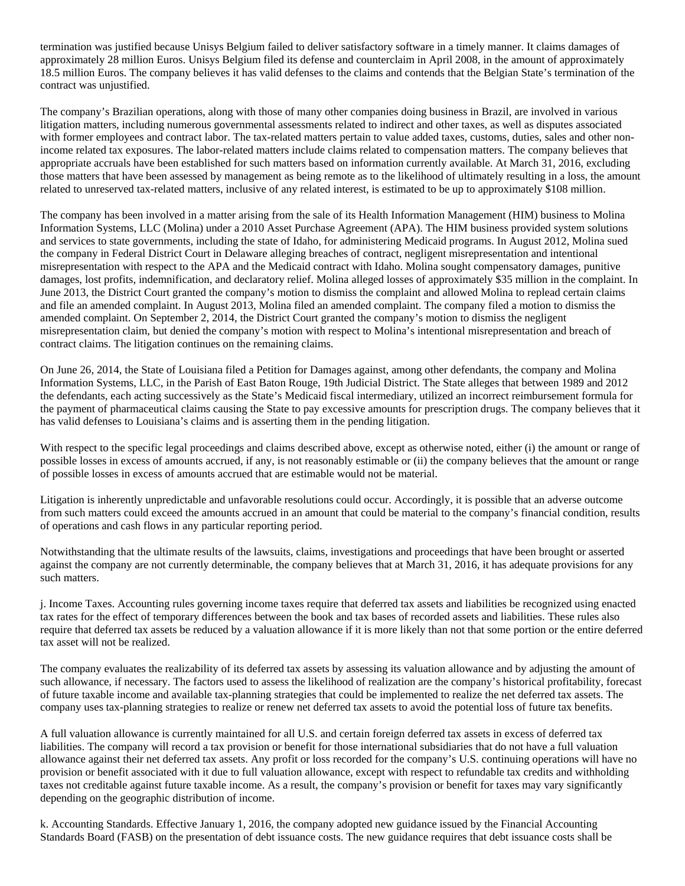termination was justified because Unisys Belgium failed to deliver satisfactory software in a timely manner. It claims damages of approximately 28 million Euros. Unisys Belgium filed its defense and counterclaim in April 2008, in the amount of approximately 18.5 million Euros. The company believes it has valid defenses to the claims and contends that the Belgian State's termination of the contract was unjustified.

The company's Brazilian operations, along with those of many other companies doing business in Brazil, are involved in various litigation matters, including numerous governmental assessments related to indirect and other taxes, as well as disputes associated with former employees and contract labor. The tax-related matters pertain to value added taxes, customs, duties, sales and other nonincome related tax exposures. The labor-related matters include claims related to compensation matters. The company believes that appropriate accruals have been established for such matters based on information currently available. At March 31, 2016, excluding those matters that have been assessed by management as being remote as to the likelihood of ultimately resulting in a loss, the amount related to unreserved tax-related matters, inclusive of any related interest, is estimated to be up to approximately \$108 million.

The company has been involved in a matter arising from the sale of its Health Information Management (HIM) business to Molina Information Systems, LLC (Molina) under a 2010 Asset Purchase Agreement (APA). The HIM business provided system solutions and services to state governments, including the state of Idaho, for administering Medicaid programs. In August 2012, Molina sued the company in Federal District Court in Delaware alleging breaches of contract, negligent misrepresentation and intentional misrepresentation with respect to the APA and the Medicaid contract with Idaho. Molina sought compensatory damages, punitive damages, lost profits, indemnification, and declaratory relief. Molina alleged losses of approximately \$35 million in the complaint. In June 2013, the District Court granted the company's motion to dismiss the complaint and allowed Molina to replead certain claims and file an amended complaint. In August 2013, Molina filed an amended complaint. The company filed a motion to dismiss the amended complaint. On September 2, 2014, the District Court granted the company's motion to dismiss the negligent misrepresentation claim, but denied the company's motion with respect to Molina's intentional misrepresentation and breach of contract claims. The litigation continues on the remaining claims.

On June 26, 2014, the State of Louisiana filed a Petition for Damages against, among other defendants, the company and Molina Information Systems, LLC, in the Parish of East Baton Rouge, 19th Judicial District. The State alleges that between 1989 and 2012 the defendants, each acting successively as the State's Medicaid fiscal intermediary, utilized an incorrect reimbursement formula for the payment of pharmaceutical claims causing the State to pay excessive amounts for prescription drugs. The company believes that it has valid defenses to Louisiana's claims and is asserting them in the pending litigation.

With respect to the specific legal proceedings and claims described above, except as otherwise noted, either (i) the amount or range of possible losses in excess of amounts accrued, if any, is not reasonably estimable or (ii) the company believes that the amount or range of possible losses in excess of amounts accrued that are estimable would not be material.

Litigation is inherently unpredictable and unfavorable resolutions could occur. Accordingly, it is possible that an adverse outcome from such matters could exceed the amounts accrued in an amount that could be material to the company's financial condition, results of operations and cash flows in any particular reporting period.

Notwithstanding that the ultimate results of the lawsuits, claims, investigations and proceedings that have been brought or asserted against the company are not currently determinable, the company believes that at March 31, 2016, it has adequate provisions for any such matters.

j. Income Taxes. Accounting rules governing income taxes require that deferred tax assets and liabilities be recognized using enacted tax rates for the effect of temporary differences between the book and tax bases of recorded assets and liabilities. These rules also require that deferred tax assets be reduced by a valuation allowance if it is more likely than not that some portion or the entire deferred tax asset will not be realized.

The company evaluates the realizability of its deferred tax assets by assessing its valuation allowance and by adjusting the amount of such allowance, if necessary. The factors used to assess the likelihood of realization are the company's historical profitability, forecast of future taxable income and available tax-planning strategies that could be implemented to realize the net deferred tax assets. The company uses tax-planning strategies to realize or renew net deferred tax assets to avoid the potential loss of future tax benefits.

A full valuation allowance is currently maintained for all U.S. and certain foreign deferred tax assets in excess of deferred tax liabilities. The company will record a tax provision or benefit for those international subsidiaries that do not have a full valuation allowance against their net deferred tax assets. Any profit or loss recorded for the company's U.S. continuing operations will have no provision or benefit associated with it due to full valuation allowance, except with respect to refundable tax credits and withholding taxes not creditable against future taxable income. As a result, the company's provision or benefit for taxes may vary significantly depending on the geographic distribution of income.

k. Accounting Standards. Effective January 1, 2016, the company adopted new guidance issued by the Financial Accounting Standards Board (FASB) on the presentation of debt issuance costs. The new guidance requires that debt issuance costs shall be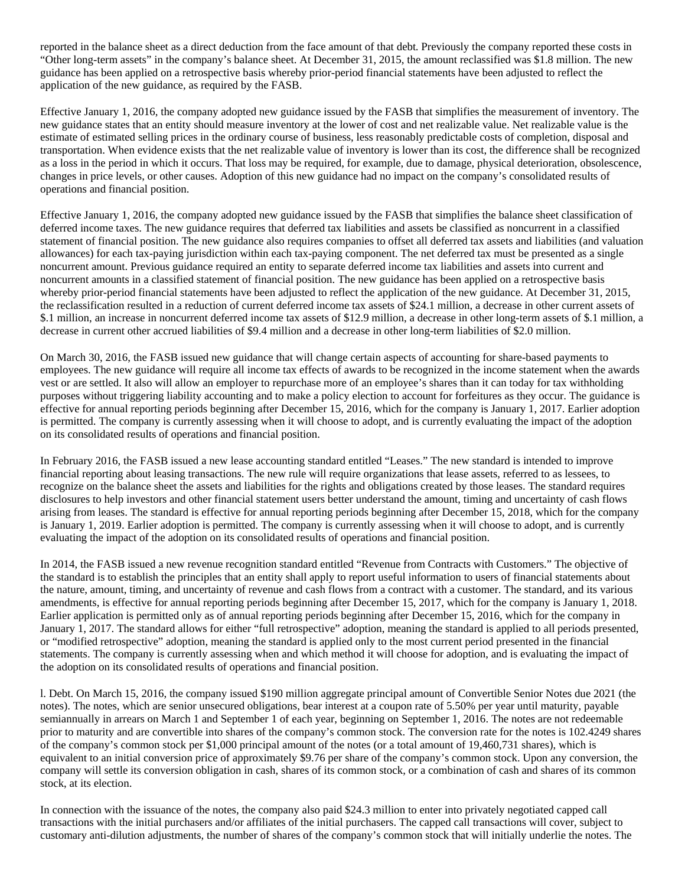reported in the balance sheet as a direct deduction from the face amount of that debt. Previously the company reported these costs in "Other long-term assets" in the company's balance sheet. At December 31, 2015, the amount reclassified was \$1.8 million. The new guidance has been applied on a retrospective basis whereby prior-period financial statements have been adjusted to reflect the application of the new guidance, as required by the FASB.

Effective January 1, 2016, the company adopted new guidance issued by the FASB that simplifies the measurement of inventory. The new guidance states that an entity should measure inventory at the lower of cost and net realizable value. Net realizable value is the estimate of estimated selling prices in the ordinary course of business, less reasonably predictable costs of completion, disposal and transportation. When evidence exists that the net realizable value of inventory is lower than its cost, the difference shall be recognized as a loss in the period in which it occurs. That loss may be required, for example, due to damage, physical deterioration, obsolescence, changes in price levels, or other causes. Adoption of this new guidance had no impact on the company's consolidated results of operations and financial position.

Effective January 1, 2016, the company adopted new guidance issued by the FASB that simplifies the balance sheet classification of deferred income taxes. The new guidance requires that deferred tax liabilities and assets be classified as noncurrent in a classified statement of financial position. The new guidance also requires companies to offset all deferred tax assets and liabilities (and valuation allowances) for each tax-paying jurisdiction within each tax-paying component. The net deferred tax must be presented as a single noncurrent amount. Previous guidance required an entity to separate deferred income tax liabilities and assets into current and noncurrent amounts in a classified statement of financial position. The new guidance has been applied on a retrospective basis whereby prior-period financial statements have been adjusted to reflect the application of the new guidance. At December 31, 2015, the reclassification resulted in a reduction of current deferred income tax assets of \$24.1 million, a decrease in other current assets of \$.1 million, an increase in noncurrent deferred income tax assets of \$12.9 million, a decrease in other long-term assets of \$.1 million, a decrease in current other accrued liabilities of \$9.4 million and a decrease in other long-term liabilities of \$2.0 million.

On March 30, 2016, the FASB issued new guidance that will change certain aspects of accounting for share-based payments to employees. The new guidance will require all income tax effects of awards to be recognized in the income statement when the awards vest or are settled. It also will allow an employer to repurchase more of an employee's shares than it can today for tax withholding purposes without triggering liability accounting and to make a policy election to account for forfeitures as they occur. The guidance is effective for annual reporting periods beginning after December 15, 2016, which for the company is January 1, 2017. Earlier adoption is permitted. The company is currently assessing when it will choose to adopt, and is currently evaluating the impact of the adoption on its consolidated results of operations and financial position.

In February 2016, the FASB issued a new lease accounting standard entitled "Leases." The new standard is intended to improve financial reporting about leasing transactions. The new rule will require organizations that lease assets, referred to as lessees, to recognize on the balance sheet the assets and liabilities for the rights and obligations created by those leases. The standard requires disclosures to help investors and other financial statement users better understand the amount, timing and uncertainty of cash flows arising from leases. The standard is effective for annual reporting periods beginning after December 15, 2018, which for the company is January 1, 2019. Earlier adoption is permitted. The company is currently assessing when it will choose to adopt, and is currently evaluating the impact of the adoption on its consolidated results of operations and financial position.

In 2014, the FASB issued a new revenue recognition standard entitled "Revenue from Contracts with Customers." The objective of the standard is to establish the principles that an entity shall apply to report useful information to users of financial statements about the nature, amount, timing, and uncertainty of revenue and cash flows from a contract with a customer. The standard, and its various amendments, is effective for annual reporting periods beginning after December 15, 2017, which for the company is January 1, 2018. Earlier application is permitted only as of annual reporting periods beginning after December 15, 2016, which for the company in January 1, 2017. The standard allows for either "full retrospective" adoption, meaning the standard is applied to all periods presented, or "modified retrospective" adoption, meaning the standard is applied only to the most current period presented in the financial statements. The company is currently assessing when and which method it will choose for adoption, and is evaluating the impact of the adoption on its consolidated results of operations and financial position.

l. Debt. On March 15, 2016, the company issued \$190 million aggregate principal amount of Convertible Senior Notes due 2021 (the notes). The notes, which are senior unsecured obligations, bear interest at a coupon rate of 5.50% per year until maturity, payable semiannually in arrears on March 1 and September 1 of each year, beginning on September 1, 2016. The notes are not redeemable prior to maturity and are convertible into shares of the company's common stock. The conversion rate for the notes is 102.4249 shares of the company's common stock per \$1,000 principal amount of the notes (or a total amount of 19,460,731 shares), which is equivalent to an initial conversion price of approximately \$9.76 per share of the company's common stock. Upon any conversion, the company will settle its conversion obligation in cash, shares of its common stock, or a combination of cash and shares of its common stock, at its election.

In connection with the issuance of the notes, the company also paid \$24.3 million to enter into privately negotiated capped call transactions with the initial purchasers and/or affiliates of the initial purchasers. The capped call transactions will cover, subject to customary anti-dilution adjustments, the number of shares of the company's common stock that will initially underlie the notes. The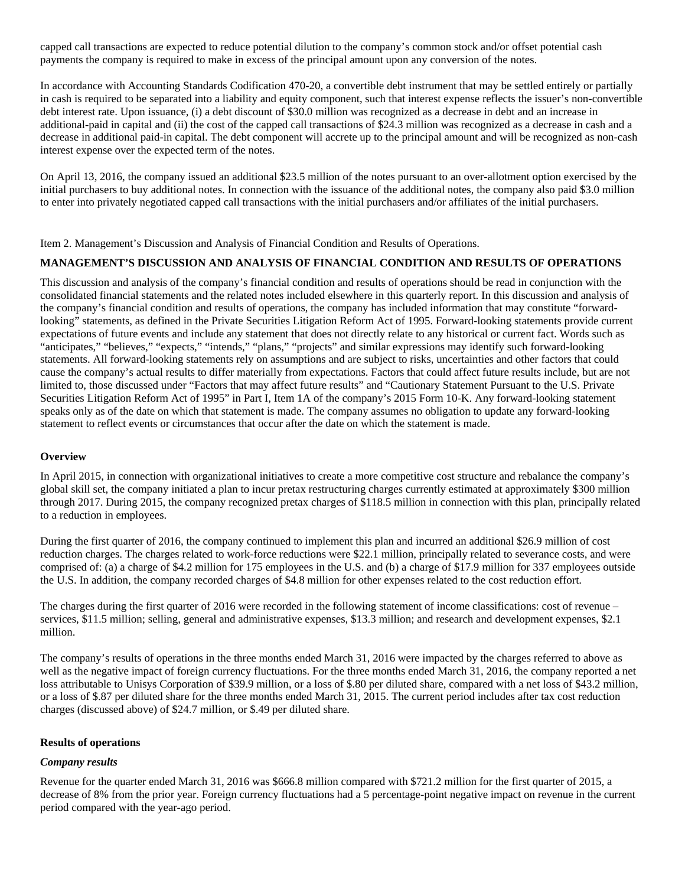capped call transactions are expected to reduce potential dilution to the company's common stock and/or offset potential cash payments the company is required to make in excess of the principal amount upon any conversion of the notes.

In accordance with Accounting Standards Codification 470-20, a convertible debt instrument that may be settled entirely or partially in cash is required to be separated into a liability and equity component, such that interest expense reflects the issuer's non-convertible debt interest rate. Upon issuance, (i) a debt discount of \$30.0 million was recognized as a decrease in debt and an increase in additional-paid in capital and (ii) the cost of the capped call transactions of \$24.3 million was recognized as a decrease in cash and a decrease in additional paid-in capital. The debt component will accrete up to the principal amount and will be recognized as non-cash interest expense over the expected term of the notes.

On April 13, 2016, the company issued an additional \$23.5 million of the notes pursuant to an over-allotment option exercised by the initial purchasers to buy additional notes. In connection with the issuance of the additional notes, the company also paid \$3.0 million to enter into privately negotiated capped call transactions with the initial purchasers and/or affiliates of the initial purchasers.

Item 2. Management's Discussion and Analysis of Financial Condition and Results of Operations.

## **MANAGEMENT'S DISCUSSION AND ANALYSIS OF FINANCIAL CONDITION AND RESULTS OF OPERATIONS**

This discussion and analysis of the company's financial condition and results of operations should be read in conjunction with the consolidated financial statements and the related notes included elsewhere in this quarterly report. In this discussion and analysis of the company's financial condition and results of operations, the company has included information that may constitute "forwardlooking" statements, as defined in the Private Securities Litigation Reform Act of 1995. Forward-looking statements provide current expectations of future events and include any statement that does not directly relate to any historical or current fact. Words such as "anticipates," "believes," "expects," "intends," "plans," "projects" and similar expressions may identify such forward-looking statements. All forward-looking statements rely on assumptions and are subject to risks, uncertainties and other factors that could cause the company's actual results to differ materially from expectations. Factors that could affect future results include, but are not limited to, those discussed under "Factors that may affect future results" and "Cautionary Statement Pursuant to the U.S. Private Securities Litigation Reform Act of 1995" in Part I, Item 1A of the company's 2015 Form 10-K. Any forward-looking statement speaks only as of the date on which that statement is made. The company assumes no obligation to update any forward-looking statement to reflect events or circumstances that occur after the date on which the statement is made.

## **Overview**

In April 2015, in connection with organizational initiatives to create a more competitive cost structure and rebalance the company's global skill set, the company initiated a plan to incur pretax restructuring charges currently estimated at approximately \$300 million through 2017. During 2015, the company recognized pretax charges of \$118.5 million in connection with this plan, principally related to a reduction in employees.

During the first quarter of 2016, the company continued to implement this plan and incurred an additional \$26.9 million of cost reduction charges. The charges related to work-force reductions were \$22.1 million, principally related to severance costs, and were comprised of: (a) a charge of \$4.2 million for 175 employees in the U.S. and (b) a charge of \$17.9 million for 337 employees outside the U.S. In addition, the company recorded charges of \$4.8 million for other expenses related to the cost reduction effort.

The charges during the first quarter of 2016 were recorded in the following statement of income classifications: cost of revenue – services, \$11.5 million; selling, general and administrative expenses, \$13.3 million; and research and development expenses, \$2.1 million.

The company's results of operations in the three months ended March 31, 2016 were impacted by the charges referred to above as well as the negative impact of foreign currency fluctuations. For the three months ended March 31, 2016, the company reported a net loss attributable to Unisys Corporation of \$39.9 million, or a loss of \$.80 per diluted share, compared with a net loss of \$43.2 million, or a loss of \$.87 per diluted share for the three months ended March 31, 2015. The current period includes after tax cost reduction charges (discussed above) of \$24.7 million, or \$.49 per diluted share.

## **Results of operations**

## *Company results*

Revenue for the quarter ended March 31, 2016 was \$666.8 million compared with \$721.2 million for the first quarter of 2015, a decrease of 8% from the prior year. Foreign currency fluctuations had a 5 percentage-point negative impact on revenue in the current period compared with the year-ago period.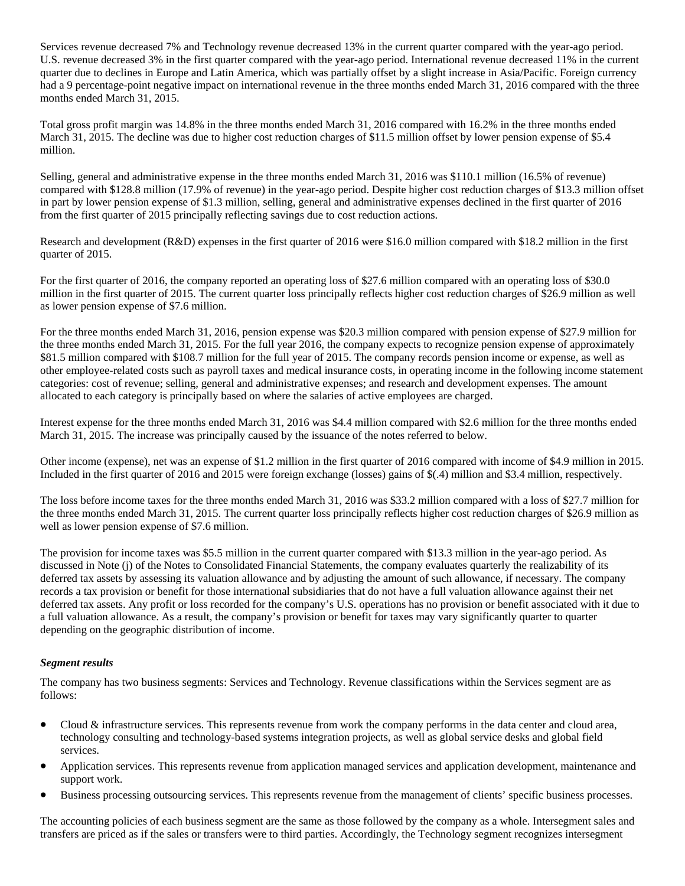Services revenue decreased 7% and Technology revenue decreased 13% in the current quarter compared with the year-ago period. U.S. revenue decreased 3% in the first quarter compared with the year-ago period. International revenue decreased 11% in the current quarter due to declines in Europe and Latin America, which was partially offset by a slight increase in Asia/Pacific. Foreign currency had a 9 percentage-point negative impact on international revenue in the three months ended March 31, 2016 compared with the three months ended March 31, 2015.

Total gross profit margin was 14.8% in the three months ended March 31, 2016 compared with 16.2% in the three months ended March 31, 2015. The decline was due to higher cost reduction charges of \$11.5 million offset by lower pension expense of \$5.4 million.

Selling, general and administrative expense in the three months ended March 31, 2016 was \$110.1 million (16.5% of revenue) compared with \$128.8 million (17.9% of revenue) in the year-ago period. Despite higher cost reduction charges of \$13.3 million offset in part by lower pension expense of \$1.3 million, selling, general and administrative expenses declined in the first quarter of 2016 from the first quarter of 2015 principally reflecting savings due to cost reduction actions.

Research and development (R&D) expenses in the first quarter of 2016 were \$16.0 million compared with \$18.2 million in the first quarter of 2015.

For the first quarter of 2016, the company reported an operating loss of \$27.6 million compared with an operating loss of \$30.0 million in the first quarter of 2015. The current quarter loss principally reflects higher cost reduction charges of \$26.9 million as well as lower pension expense of \$7.6 million.

For the three months ended March 31, 2016, pension expense was \$20.3 million compared with pension expense of \$27.9 million for the three months ended March 31, 2015. For the full year 2016, the company expects to recognize pension expense of approximately \$81.5 million compared with \$108.7 million for the full year of 2015. The company records pension income or expense, as well as other employee-related costs such as payroll taxes and medical insurance costs, in operating income in the following income statement categories: cost of revenue; selling, general and administrative expenses; and research and development expenses. The amount allocated to each category is principally based on where the salaries of active employees are charged.

Interest expense for the three months ended March 31, 2016 was \$4.4 million compared with \$2.6 million for the three months ended March 31, 2015. The increase was principally caused by the issuance of the notes referred to below.

Other income (expense), net was an expense of \$1.2 million in the first quarter of 2016 compared with income of \$4.9 million in 2015. Included in the first quarter of 2016 and 2015 were foreign exchange (losses) gains of \$(.4) million and \$3.4 million, respectively.

The loss before income taxes for the three months ended March 31, 2016 was \$33.2 million compared with a loss of \$27.7 million for the three months ended March 31, 2015. The current quarter loss principally reflects higher cost reduction charges of \$26.9 million as well as lower pension expense of \$7.6 million.

The provision for income taxes was \$5.5 million in the current quarter compared with \$13.3 million in the year-ago period. As discussed in Note (j) of the Notes to Consolidated Financial Statements, the company evaluates quarterly the realizability of its deferred tax assets by assessing its valuation allowance and by adjusting the amount of such allowance, if necessary. The company records a tax provision or benefit for those international subsidiaries that do not have a full valuation allowance against their net deferred tax assets. Any profit or loss recorded for the company's U.S. operations has no provision or benefit associated with it due to a full valuation allowance. As a result, the company's provision or benefit for taxes may vary significantly quarter to quarter depending on the geographic distribution of income.

## *Segment results*

The company has two business segments: Services and Technology. Revenue classifications within the Services segment are as follows:

- Cloud & infrastructure services. This represents revenue from work the company performs in the data center and cloud area, technology consulting and technology-based systems integration projects, as well as global service desks and global field services.
- Application services. This represents revenue from application managed services and application development, maintenance and support work.
- Business processing outsourcing services. This represents revenue from the management of clients' specific business processes.

The accounting policies of each business segment are the same as those followed by the company as a whole. Intersegment sales and transfers are priced as if the sales or transfers were to third parties. Accordingly, the Technology segment recognizes intersegment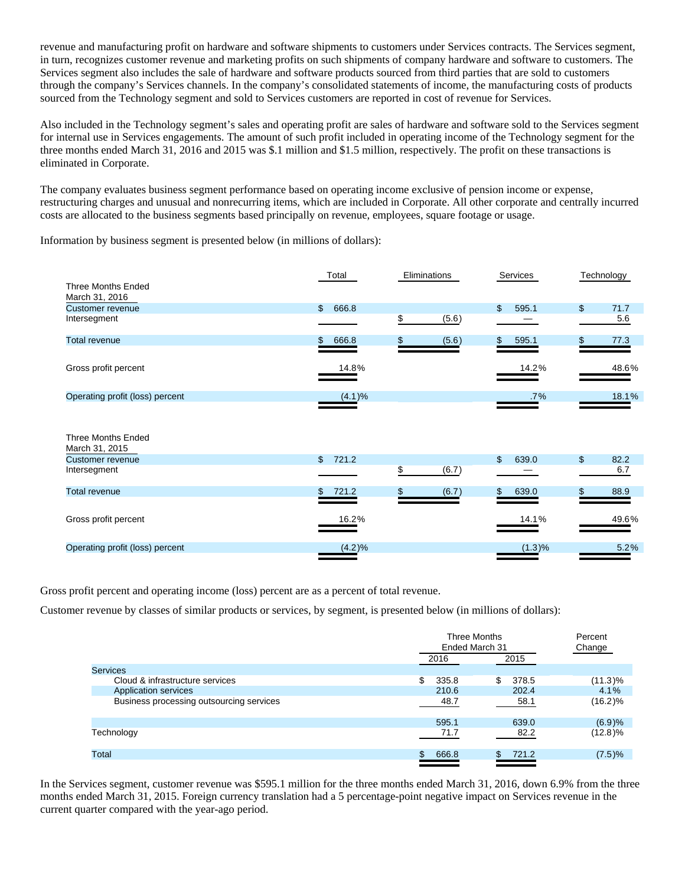revenue and manufacturing profit on hardware and software shipments to customers under Services contracts. The Services segment, in turn, recognizes customer revenue and marketing profits on such shipments of company hardware and software to customers. The Services segment also includes the sale of hardware and software products sourced from third parties that are sold to customers through the company's Services channels. In the company's consolidated statements of income, the manufacturing costs of products sourced from the Technology segment and sold to Services customers are reported in cost of revenue for Services.

Also included in the Technology segment's sales and operating profit are sales of hardware and software sold to the Services segment for internal use in Services engagements. The amount of such profit included in operating income of the Technology segment for the three months ended March 31, 2016 and 2015 was \$.1 million and \$1.5 million, respectively. The profit on these transactions is eliminated in Corporate.

The company evaluates business segment performance based on operating income exclusive of pension income or expense, restructuring charges and unusual and nonrecurring items, which are included in Corporate. All other corporate and centrally incurred costs are allocated to the business segments based principally on revenue, employees, square footage or usage.

Information by business segment is presented below (in millions of dollars):

|                                 |              | Total  | Eliminations |       |                | Services | Technology     |       |
|---------------------------------|--------------|--------|--------------|-------|----------------|----------|----------------|-------|
| <b>Three Months Ended</b>       |              |        |              |       |                |          |                |       |
| March 31, 2016                  |              |        |              |       |                |          |                |       |
| <b>Customer revenue</b>         | $\mathbb{S}$ | 666.8  |              |       | $\mathfrak{S}$ | 595.1    | $\mathfrak{L}$ | 71.7  |
| Intersegment                    |              |        | \$           | (5.6) |                |          |                | 5.6   |
| <b>Total revenue</b>            | \$           | 666.8  |              | (5.6) |                | 595.1    |                | 77.3  |
|                                 |              |        |              |       |                |          |                |       |
| Gross profit percent            |              | 14.8%  |              |       |                | 14.2%    |                | 48.6% |
|                                 |              |        |              |       |                |          |                |       |
| Operating profit (loss) percent |              | (4.1)% |              |       |                | $.7\%$   |                | 18.1% |
|                                 |              |        |              |       |                |          |                |       |
|                                 |              |        |              |       |                |          |                |       |
| <b>Three Months Ended</b>       |              |        |              |       |                |          |                |       |
| March 31, 2015                  |              |        |              |       |                |          |                |       |
| <b>Customer revenue</b>         | $\mathbb{S}$ | 721.2  |              |       | \$             | 639.0    | \$             | 82.2  |
| Intersegment                    |              |        | \$           | (6.7) |                |          |                | 6.7   |
|                                 |              |        |              |       |                |          |                |       |
| <b>Total revenue</b>            | \$.          | 721.2  |              | (6.7) | \$             | 639.0    |                | 88.9  |
|                                 |              |        |              |       |                |          |                |       |
| Gross profit percent            |              | 16.2%  |              |       |                | 14.1%    |                | 49.6% |
|                                 |              |        |              |       |                |          |                |       |
| Operating profit (loss) percent |              | (4.2)% |              |       |                | (1.3)%   |                | 5.2%  |
|                                 |              |        |              |       |                |          |                |       |

Gross profit percent and operating income (loss) percent are as a percent of total revenue.

Customer revenue by classes of similar products or services, by segment, is presented below (in millions of dollars):

|                                          | Three Months<br>Ended March 31 | Percent<br>Change |            |
|------------------------------------------|--------------------------------|-------------------|------------|
|                                          | 2016                           | 2015              |            |
| <b>Services</b>                          |                                |                   |            |
| Cloud & infrastructure services          | 335.8<br>\$.                   | \$.<br>378.5      | $(11.3)\%$ |
| Application services                     | 210.6                          | 202.4             | 4.1%       |
| Business processing outsourcing services | 48.7                           | 58.1              | $(16.2)\%$ |
|                                          | 595.1                          | 639.0             | (6.9)%     |
| Technology                               | 71.7                           | 82.2              | $(12.8)\%$ |
| Total                                    | 666.8                          | 721.2             | (7.5)%     |
|                                          |                                |                   |            |

In the Services segment, customer revenue was \$595.1 million for the three months ended March 31, 2016, down 6.9% from the three months ended March 31, 2015. Foreign currency translation had a 5 percentage-point negative impact on Services revenue in the current quarter compared with the year-ago period.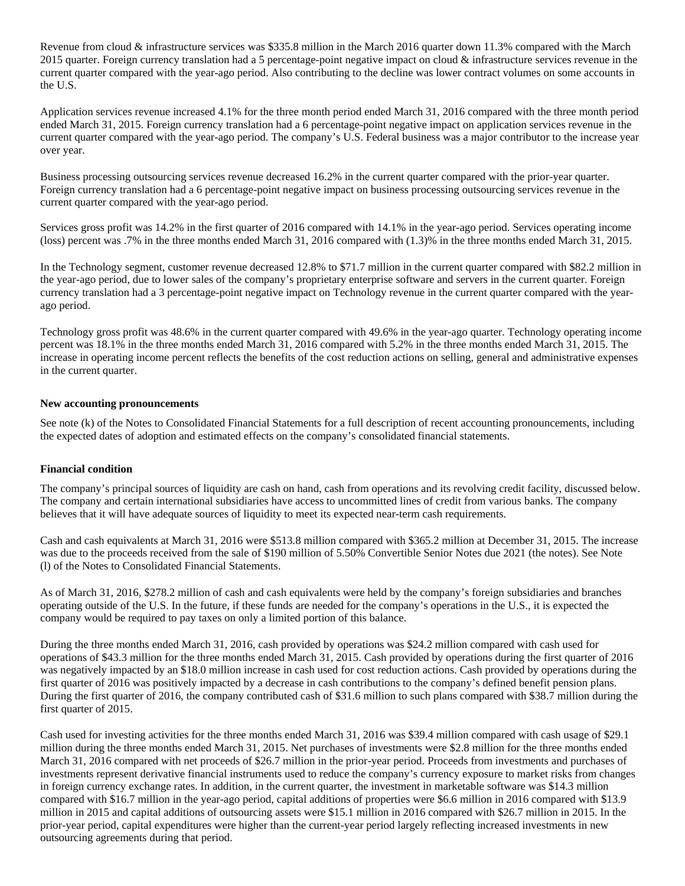Revenue from cloud & infrastructure services was \$335.8 million in the March 2016 quarter down 11.3% compared with the March 2015 quarter. Foreign currency translation had a 5 percentage-point negative impact on cloud & infrastructure services revenue in the current quarter compared with the year-ago period. Also contributing to the decline was lower contract volumes on some accounts in the U.S.

Application services revenue increased 4.1% for the three month period ended March 31, 2016 compared with the three month period ended March 31, 2015. Foreign currency translation had a 6 percentage-point negative impact on application services revenue in the current quarter compared with the year-ago period. The company's U.S. Federal business was a major contributor to the increase year over year.

Business processing outsourcing services revenue decreased 16.2% in the current quarter compared with the prior-year quarter. Foreign currency translation had a 6 percentage-point negative impact on business processing outsourcing services revenue in the current quarter compared with the year-ago period.

Services gross profit was 14.2% in the first quarter of 2016 compared with 14.1% in the year-ago period. Services operating income (loss) percent was .7% in the three months ended March 31, 2016 compared with (1.3)% in the three months ended March 31, 2015.

In the Technology segment, customer revenue decreased 12.8% to \$71.7 million in the current quarter compared with \$82.2 million in the year-ago period, due to lower sales of the company's proprietary enterprise software and servers in the current quarter. Foreign currency translation had a 3 percentage-point negative impact on Technology revenue in the current quarter compared with the yearago period.

Technology gross profit was 48.6% in the current quarter compared with 49.6% in the year-ago quarter. Technology operating income percent was 18.1% in the three months ended March 31, 2016 compared with 5.2% in the three months ended March 31, 2015. The increase in operating income percent reflects the benefits of the cost reduction actions on selling, general and administrative expenses in the current quarter.

#### **New accounting pronouncements**

See note (k) of the Notes to Consolidated Financial Statements for a full description of recent accounting pronouncements, including the expected dates of adoption and estimated effects on the company's consolidated financial statements.

## **Financial condition**

The company's principal sources of liquidity are cash on hand, cash from operations and its revolving credit facility, discussed below. The company and certain international subsidiaries have access to uncommitted lines of credit from various banks. The company believes that it will have adequate sources of liquidity to meet its expected near-term cash requirements.

Cash and cash equivalents at March 31, 2016 were \$513.8 million compared with \$365.2 million at December 31, 2015. The increase was due to the proceeds received from the sale of \$190 million of 5.50% Convertible Senior Notes due 2021 (the notes). See Note (l) of the Notes to Consolidated Financial Statements.

As of March 31, 2016, \$278.2 million of cash and cash equivalents were held by the company's foreign subsidiaries and branches operating outside of the U.S. In the future, if these funds are needed for the company's operations in the U.S., it is expected the company would be required to pay taxes on only a limited portion of this balance.

During the three months ended March 31, 2016, cash provided by operations was \$24.2 million compared with cash used for operations of \$43.3 million for the three months ended March 31, 2015. Cash provided by operations during the first quarter of 2016 was negatively impacted by an \$18.0 million increase in cash used for cost reduction actions. Cash provided by operations during the first quarter of 2016 was positively impacted by a decrease in cash contributions to the company's defined benefit pension plans. During the first quarter of 2016, the company contributed cash of \$31.6 million to such plans compared with \$38.7 million during the first quarter of 2015.

Cash used for investing activities for the three months ended March 31, 2016 was \$39.4 million compared with cash usage of \$29.1 million during the three months ended March 31, 2015. Net purchases of investments were \$2.8 million for the three months ended March 31, 2016 compared with net proceeds of \$26.7 million in the prior-year period. Proceeds from investments and purchases of investments represent derivative financial instruments used to reduce the company's currency exposure to market risks from changes in foreign currency exchange rates. In addition, in the current quarter, the investment in marketable software was \$14.3 million compared with \$16.7 million in the year-ago period, capital additions of properties were \$6.6 million in 2016 compared with \$13.9 million in 2015 and capital additions of outsourcing assets were \$15.1 million in 2016 compared with \$26.7 million in 2015. In the prior-year period, capital expenditures were higher than the current-year period largely reflecting increased investments in new outsourcing agreements during that period.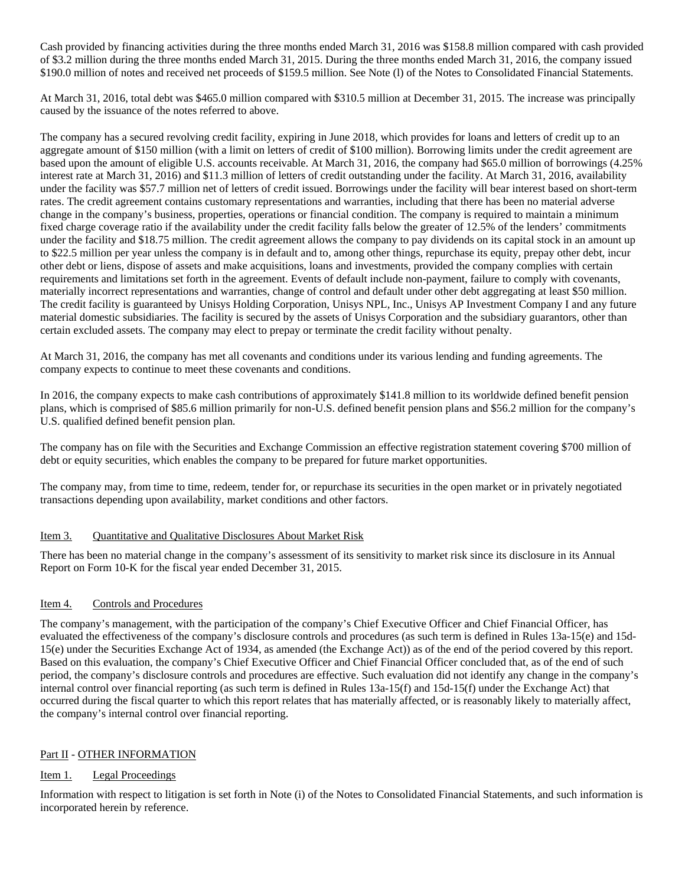Cash provided by financing activities during the three months ended March 31, 2016 was \$158.8 million compared with cash provided of \$3.2 million during the three months ended March 31, 2015. During the three months ended March 31, 2016, the company issued \$190.0 million of notes and received net proceeds of \$159.5 million. See Note (l) of the Notes to Consolidated Financial Statements.

At March 31, 2016, total debt was \$465.0 million compared with \$310.5 million at December 31, 2015. The increase was principally caused by the issuance of the notes referred to above.

The company has a secured revolving credit facility, expiring in June 2018, which provides for loans and letters of credit up to an aggregate amount of \$150 million (with a limit on letters of credit of \$100 million). Borrowing limits under the credit agreement are based upon the amount of eligible U.S. accounts receivable. At March 31, 2016, the company had \$65.0 million of borrowings (4.25% interest rate at March 31, 2016) and \$11.3 million of letters of credit outstanding under the facility. At March 31, 2016, availability under the facility was \$57.7 million net of letters of credit issued. Borrowings under the facility will bear interest based on short-term rates. The credit agreement contains customary representations and warranties, including that there has been no material adverse change in the company's business, properties, operations or financial condition. The company is required to maintain a minimum fixed charge coverage ratio if the availability under the credit facility falls below the greater of 12.5% of the lenders' commitments under the facility and \$18.75 million. The credit agreement allows the company to pay dividends on its capital stock in an amount up to \$22.5 million per year unless the company is in default and to, among other things, repurchase its equity, prepay other debt, incur other debt or liens, dispose of assets and make acquisitions, loans and investments, provided the company complies with certain requirements and limitations set forth in the agreement. Events of default include non-payment, failure to comply with covenants, materially incorrect representations and warranties, change of control and default under other debt aggregating at least \$50 million. The credit facility is guaranteed by Unisys Holding Corporation, Unisys NPL, Inc., Unisys AP Investment Company I and any future material domestic subsidiaries. The facility is secured by the assets of Unisys Corporation and the subsidiary guarantors, other than certain excluded assets. The company may elect to prepay or terminate the credit facility without penalty.

At March 31, 2016, the company has met all covenants and conditions under its various lending and funding agreements. The company expects to continue to meet these covenants and conditions.

In 2016, the company expects to make cash contributions of approximately \$141.8 million to its worldwide defined benefit pension plans, which is comprised of \$85.6 million primarily for non-U.S. defined benefit pension plans and \$56.2 million for the company's U.S. qualified defined benefit pension plan.

The company has on file with the Securities and Exchange Commission an effective registration statement covering \$700 million of debt or equity securities, which enables the company to be prepared for future market opportunities.

The company may, from time to time, redeem, tender for, or repurchase its securities in the open market or in privately negotiated transactions depending upon availability, market conditions and other factors.

## Item 3. Quantitative and Qualitative Disclosures About Market Risk

There has been no material change in the company's assessment of its sensitivity to market risk since its disclosure in its Annual Report on Form 10-K for the fiscal year ended December 31, 2015.

#### Item 4. Controls and Procedures

The company's management, with the participation of the company's Chief Executive Officer and Chief Financial Officer, has evaluated the effectiveness of the company's disclosure controls and procedures (as such term is defined in Rules 13a-15(e) and 15d-15(e) under the Securities Exchange Act of 1934, as amended (the Exchange Act)) as of the end of the period covered by this report. Based on this evaluation, the company's Chief Executive Officer and Chief Financial Officer concluded that, as of the end of such period, the company's disclosure controls and procedures are effective. Such evaluation did not identify any change in the company's internal control over financial reporting (as such term is defined in Rules 13a-15(f) and 15d-15(f) under the Exchange Act) that occurred during the fiscal quarter to which this report relates that has materially affected, or is reasonably likely to materially affect, the company's internal control over financial reporting.

#### Part II - OTHER INFORMATION

## Item 1. Legal Proceedings

Information with respect to litigation is set forth in Note (i) of the Notes to Consolidated Financial Statements, and such information is incorporated herein by reference.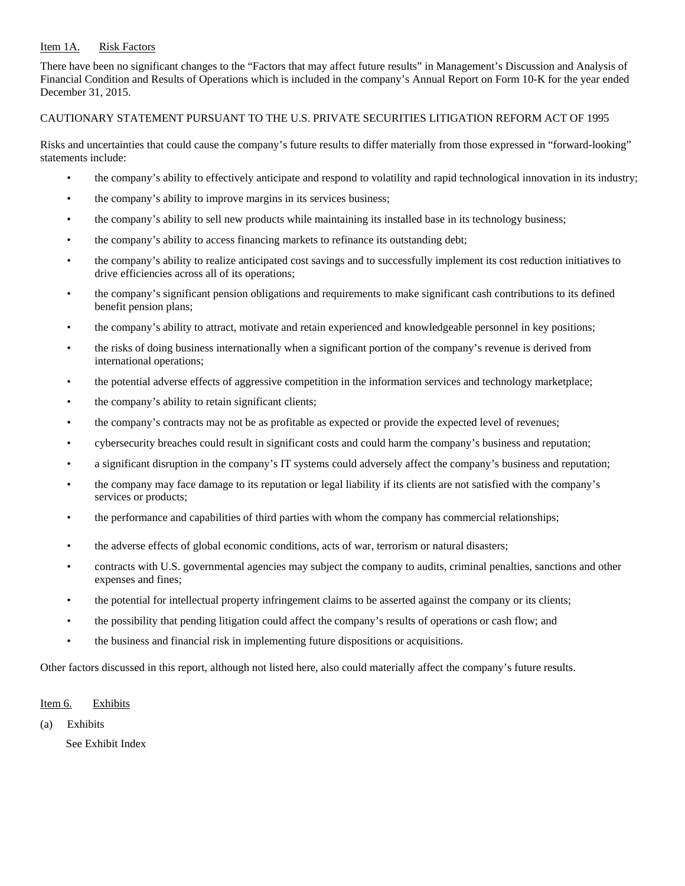#### Item 1A. Risk Factors

There have been no significant changes to the "Factors that may affect future results" in Management's Discussion and Analysis of Financial Condition and Results of Operations which is included in the company's Annual Report on Form 10-K for the year ended December 31, 2015.

#### CAUTIONARY STATEMENT PURSUANT TO THE U.S. PRIVATE SECURITIES LITIGATION REFORM ACT OF 1995

Risks and uncertainties that could cause the company's future results to differ materially from those expressed in "forward-looking" statements include:

- the company's ability to effectively anticipate and respond to volatility and rapid technological innovation in its industry;
- the company's ability to improve margins in its services business;
- the company's ability to sell new products while maintaining its installed base in its technology business;
- the company's ability to access financing markets to refinance its outstanding debt;
- the company's ability to realize anticipated cost savings and to successfully implement its cost reduction initiatives to drive efficiencies across all of its operations;
- the company's significant pension obligations and requirements to make significant cash contributions to its defined benefit pension plans;
- the company's ability to attract, motivate and retain experienced and knowledgeable personnel in key positions;
- the risks of doing business internationally when a significant portion of the company's revenue is derived from international operations;
- the potential adverse effects of aggressive competition in the information services and technology marketplace;
- the company's ability to retain significant clients;
- the company's contracts may not be as profitable as expected or provide the expected level of revenues;
- cybersecurity breaches could result in significant costs and could harm the company's business and reputation;
- a significant disruption in the company's IT systems could adversely affect the company's business and reputation;
- the company may face damage to its reputation or legal liability if its clients are not satisfied with the company's services or products;
- the performance and capabilities of third parties with whom the company has commercial relationships;
- the adverse effects of global economic conditions, acts of war, terrorism or natural disasters;
- contracts with U.S. governmental agencies may subject the company to audits, criminal penalties, sanctions and other expenses and fines;
- the potential for intellectual property infringement claims to be asserted against the company or its clients;
- the possibility that pending litigation could affect the company's results of operations or cash flow; and
- the business and financial risk in implementing future dispositions or acquisitions.

Other factors discussed in this report, although not listed here, also could materially affect the company's future results.

#### Item 6. Exhibits

(a) Exhibits

See Exhibit Index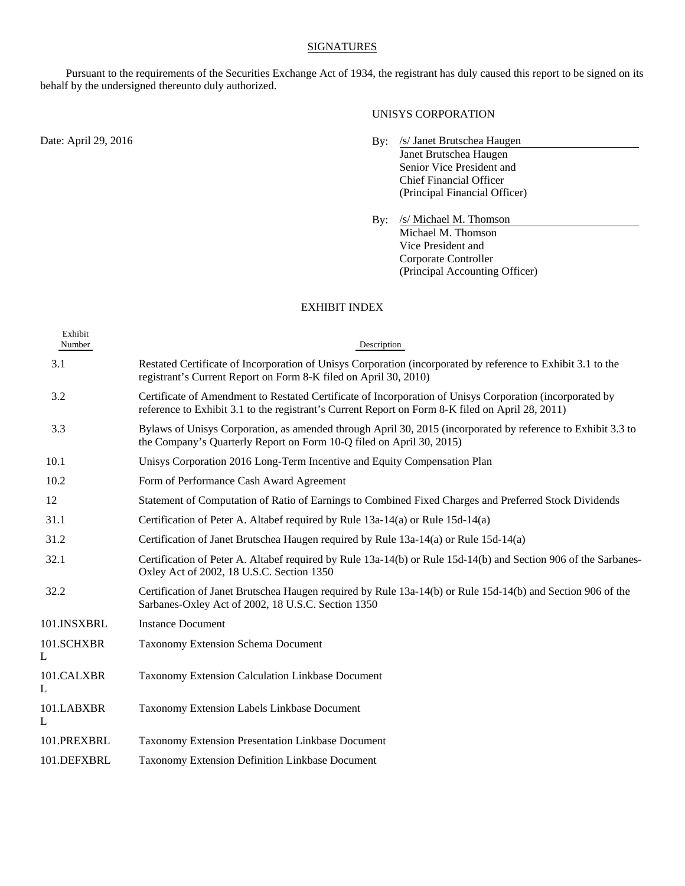#### **SIGNATURES**

Pursuant to the requirements of the Securities Exchange Act of 1934, the registrant has duly caused this report to be signed on its behalf by the undersigned thereunto duly authorized.

Date: April 29, 2016 By: /s/ Janet Brutschea Haugen

#### UNISYS CORPORATION

- Janet Brutschea Haugen
	- Senior Vice President and Chief Financial Officer (Principal Financial Officer)
- By: /s/ Michael M. Thomson Michael M. Thomson Vice President and Corporate Controller (Principal Accounting Officer)

## EXHIBIT INDEX

| Exhibit         |                                                                                                                                                                                                              |
|-----------------|--------------------------------------------------------------------------------------------------------------------------------------------------------------------------------------------------------------|
| Number          | Description                                                                                                                                                                                                  |
| 3.1             | Restated Certificate of Incorporation of Unisys Corporation (incorporated by reference to Exhibit 3.1 to the<br>registrant's Current Report on Form 8-K filed on April 30, 2010)                             |
| 3.2             | Certificate of Amendment to Restated Certificate of Incorporation of Unisys Corporation (incorporated by<br>reference to Exhibit 3.1 to the registrant's Current Report on Form 8-K filed on April 28, 2011) |
| 3.3             | Bylaws of Unisys Corporation, as amended through April 30, 2015 (incorporated by reference to Exhibit 3.3 to<br>the Company's Quarterly Report on Form 10-Q filed on April 30, 2015)                         |
| 10.1            | Unisys Corporation 2016 Long-Term Incentive and Equity Compensation Plan                                                                                                                                     |
| 10.2            | Form of Performance Cash Award Agreement                                                                                                                                                                     |
| 12              | Statement of Computation of Ratio of Earnings to Combined Fixed Charges and Preferred Stock Dividends                                                                                                        |
| 31.1            | Certification of Peter A. Altabef required by Rule 13a-14(a) or Rule 15d-14(a)                                                                                                                               |
| 31.2            | Certification of Janet Brutschea Haugen required by Rule 13a-14(a) or Rule 15d-14(a)                                                                                                                         |
| 32.1            | Certification of Peter A. Altabef required by Rule 13a-14(b) or Rule 15d-14(b) and Section 906 of the Sarbanes-<br>Oxley Act of 2002, 18 U.S.C. Section 1350                                                 |
| 32.2            | Certification of Janet Brutschea Haugen required by Rule 13a-14(b) or Rule 15d-14(b) and Section 906 of the<br>Sarbanes-Oxley Act of 2002, 18 U.S.C. Section 1350                                            |
| 101.INSXBRL     | <b>Instance Document</b>                                                                                                                                                                                     |
| 101.SCHXBR<br>L | <b>Taxonomy Extension Schema Document</b>                                                                                                                                                                    |
| 101.CALXBR<br>L | Taxonomy Extension Calculation Linkbase Document                                                                                                                                                             |
| 101.LABXBR<br>L | Taxonomy Extension Labels Linkbase Document                                                                                                                                                                  |
| 101.PREXBRL     | Taxonomy Extension Presentation Linkbase Document                                                                                                                                                            |
| 101.DEFXBRL     | Taxonomy Extension Definition Linkbase Document                                                                                                                                                              |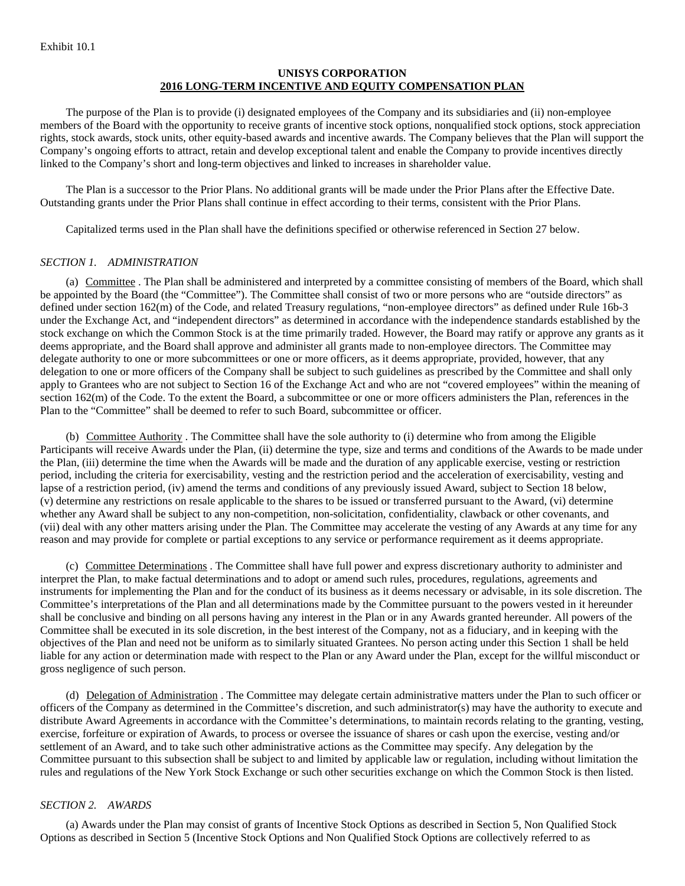## **UNISYS CORPORATION 2016 LONG-TERM INCENTIVE AND EQUITY COMPENSATION PLAN**

The purpose of the Plan is to provide (i) designated employees of the Company and its subsidiaries and (ii) non-employee members of the Board with the opportunity to receive grants of incentive stock options, nonqualified stock options, stock appreciation rights, stock awards, stock units, other equity-based awards and incentive awards. The Company believes that the Plan will support the Company's ongoing efforts to attract, retain and develop exceptional talent and enable the Company to provide incentives directly linked to the Company's short and long-term objectives and linked to increases in shareholder value.

The Plan is a successor to the Prior Plans. No additional grants will be made under the Prior Plans after the Effective Date. Outstanding grants under the Prior Plans shall continue in effect according to their terms, consistent with the Prior Plans.

Capitalized terms used in the Plan shall have the definitions specified or otherwise referenced in Section 27 below.

#### *SECTION 1. ADMINISTRATION*

(a) Committee . The Plan shall be administered and interpreted by a committee consisting of members of the Board, which shall be appointed by the Board (the "Committee"). The Committee shall consist of two or more persons who are "outside directors" as defined under section 162(m) of the Code, and related Treasury regulations, "non-employee directors" as defined under Rule 16b-3 under the Exchange Act, and "independent directors" as determined in accordance with the independence standards established by the stock exchange on which the Common Stock is at the time primarily traded. However, the Board may ratify or approve any grants as it deems appropriate, and the Board shall approve and administer all grants made to non-employee directors. The Committee may delegate authority to one or more subcommittees or one or more officers, as it deems appropriate, provided, however, that any delegation to one or more officers of the Company shall be subject to such guidelines as prescribed by the Committee and shall only apply to Grantees who are not subject to Section 16 of the Exchange Act and who are not "covered employees" within the meaning of section 162(m) of the Code. To the extent the Board, a subcommittee or one or more officers administers the Plan, references in the Plan to the "Committee" shall be deemed to refer to such Board, subcommittee or officer.

(b) Committee Authority . The Committee shall have the sole authority to (i) determine who from among the Eligible Participants will receive Awards under the Plan, (ii) determine the type, size and terms and conditions of the Awards to be made under the Plan, (iii) determine the time when the Awards will be made and the duration of any applicable exercise, vesting or restriction period, including the criteria for exercisability, vesting and the restriction period and the acceleration of exercisability, vesting and lapse of a restriction period, (iv) amend the terms and conditions of any previously issued Award, subject to Section 18 below, (v) determine any restrictions on resale applicable to the shares to be issued or transferred pursuant to the Award, (vi) determine whether any Award shall be subject to any non-competition, non-solicitation, confidentiality, clawback or other covenants, and (vii) deal with any other matters arising under the Plan. The Committee may accelerate the vesting of any Awards at any time for any reason and may provide for complete or partial exceptions to any service or performance requirement as it deems appropriate.

(c) Committee Determinations . The Committee shall have full power and express discretionary authority to administer and interpret the Plan, to make factual determinations and to adopt or amend such rules, procedures, regulations, agreements and instruments for implementing the Plan and for the conduct of its business as it deems necessary or advisable, in its sole discretion. The Committee's interpretations of the Plan and all determinations made by the Committee pursuant to the powers vested in it hereunder shall be conclusive and binding on all persons having any interest in the Plan or in any Awards granted hereunder. All powers of the Committee shall be executed in its sole discretion, in the best interest of the Company, not as a fiduciary, and in keeping with the objectives of the Plan and need not be uniform as to similarly situated Grantees. No person acting under this Section 1 shall be held liable for any action or determination made with respect to the Plan or any Award under the Plan, except for the willful misconduct or gross negligence of such person.

(d) Delegation of Administration . The Committee may delegate certain administrative matters under the Plan to such officer or officers of the Company as determined in the Committee's discretion, and such administrator(s) may have the authority to execute and distribute Award Agreements in accordance with the Committee's determinations, to maintain records relating to the granting, vesting, exercise, forfeiture or expiration of Awards, to process or oversee the issuance of shares or cash upon the exercise, vesting and/or settlement of an Award, and to take such other administrative actions as the Committee may specify. Any delegation by the Committee pursuant to this subsection shall be subject to and limited by applicable law or regulation, including without limitation the rules and regulations of the New York Stock Exchange or such other securities exchange on which the Common Stock is then listed.

#### *SECTION 2. AWARDS*

(a) Awards under the Plan may consist of grants of Incentive Stock Options as described in Section 5, Non Qualified Stock Options as described in Section 5 (Incentive Stock Options and Non Qualified Stock Options are collectively referred to as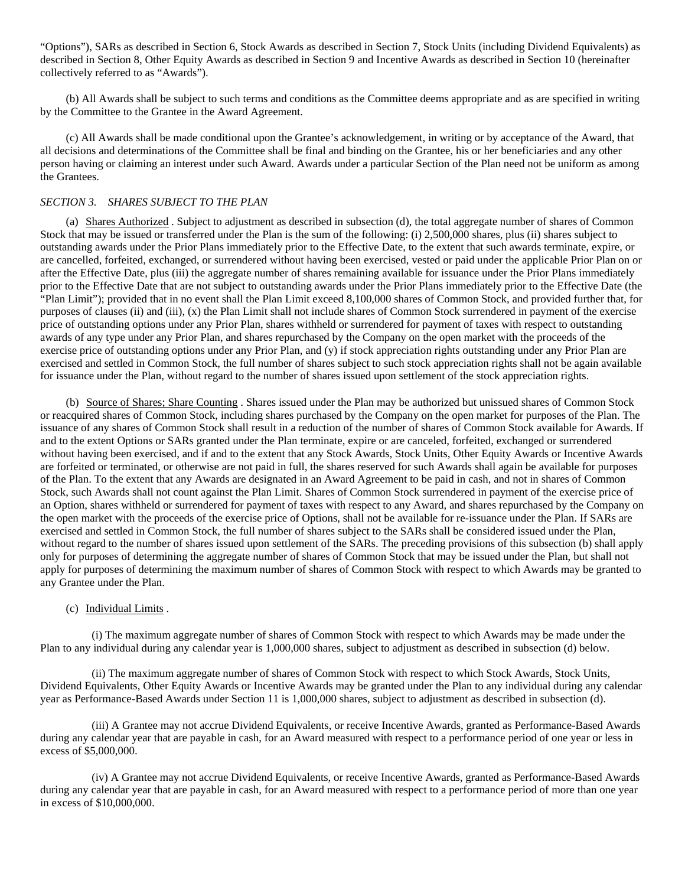"Options"), SARs as described in Section 6, Stock Awards as described in Section 7, Stock Units (including Dividend Equivalents) as described in Section 8, Other Equity Awards as described in Section 9 and Incentive Awards as described in Section 10 (hereinafter collectively referred to as "Awards").

(b) All Awards shall be subject to such terms and conditions as the Committee deems appropriate and as are specified in writing by the Committee to the Grantee in the Award Agreement.

(c) All Awards shall be made conditional upon the Grantee's acknowledgement, in writing or by acceptance of the Award, that all decisions and determinations of the Committee shall be final and binding on the Grantee, his or her beneficiaries and any other person having or claiming an interest under such Award. Awards under a particular Section of the Plan need not be uniform as among the Grantees.

#### *SECTION 3. SHARES SUBJECT TO THE PLAN*

(a) Shares Authorized . Subject to adjustment as described in subsection (d), the total aggregate number of shares of Common Stock that may be issued or transferred under the Plan is the sum of the following: (i) 2,500,000 shares, plus (ii) shares subject to outstanding awards under the Prior Plans immediately prior to the Effective Date, to the extent that such awards terminate, expire, or are cancelled, forfeited, exchanged, or surrendered without having been exercised, vested or paid under the applicable Prior Plan on or after the Effective Date, plus (iii) the aggregate number of shares remaining available for issuance under the Prior Plans immediately prior to the Effective Date that are not subject to outstanding awards under the Prior Plans immediately prior to the Effective Date (the "Plan Limit"); provided that in no event shall the Plan Limit exceed 8,100,000 shares of Common Stock, and provided further that, for purposes of clauses (ii) and (iii), (x) the Plan Limit shall not include shares of Common Stock surrendered in payment of the exercise price of outstanding options under any Prior Plan, shares withheld or surrendered for payment of taxes with respect to outstanding awards of any type under any Prior Plan, and shares repurchased by the Company on the open market with the proceeds of the exercise price of outstanding options under any Prior Plan, and (y) if stock appreciation rights outstanding under any Prior Plan are exercised and settled in Common Stock, the full number of shares subject to such stock appreciation rights shall not be again available for issuance under the Plan, without regard to the number of shares issued upon settlement of the stock appreciation rights.

(b) Source of Shares; Share Counting . Shares issued under the Plan may be authorized but unissued shares of Common Stock or reacquired shares of Common Stock, including shares purchased by the Company on the open market for purposes of the Plan. The issuance of any shares of Common Stock shall result in a reduction of the number of shares of Common Stock available for Awards. If and to the extent Options or SARs granted under the Plan terminate, expire or are canceled, forfeited, exchanged or surrendered without having been exercised, and if and to the extent that any Stock Awards, Stock Units, Other Equity Awards or Incentive Awards are forfeited or terminated, or otherwise are not paid in full, the shares reserved for such Awards shall again be available for purposes of the Plan. To the extent that any Awards are designated in an Award Agreement to be paid in cash, and not in shares of Common Stock, such Awards shall not count against the Plan Limit. Shares of Common Stock surrendered in payment of the exercise price of an Option, shares withheld or surrendered for payment of taxes with respect to any Award, and shares repurchased by the Company on the open market with the proceeds of the exercise price of Options, shall not be available for re-issuance under the Plan. If SARs are exercised and settled in Common Stock, the full number of shares subject to the SARs shall be considered issued under the Plan, without regard to the number of shares issued upon settlement of the SARs. The preceding provisions of this subsection (b) shall apply only for purposes of determining the aggregate number of shares of Common Stock that may be issued under the Plan, but shall not apply for purposes of determining the maximum number of shares of Common Stock with respect to which Awards may be granted to any Grantee under the Plan.

#### (c) Individual Limits .

(i) The maximum aggregate number of shares of Common Stock with respect to which Awards may be made under the Plan to any individual during any calendar year is 1,000,000 shares, subject to adjustment as described in subsection (d) below.

(ii) The maximum aggregate number of shares of Common Stock with respect to which Stock Awards, Stock Units, Dividend Equivalents, Other Equity Awards or Incentive Awards may be granted under the Plan to any individual during any calendar year as Performance-Based Awards under Section 11 is 1,000,000 shares, subject to adjustment as described in subsection (d).

(iii) A Grantee may not accrue Dividend Equivalents, or receive Incentive Awards, granted as Performance-Based Awards during any calendar year that are payable in cash, for an Award measured with respect to a performance period of one year or less in excess of \$5,000,000.

(iv) A Grantee may not accrue Dividend Equivalents, or receive Incentive Awards, granted as Performance-Based Awards during any calendar year that are payable in cash, for an Award measured with respect to a performance period of more than one year in excess of \$10,000,000.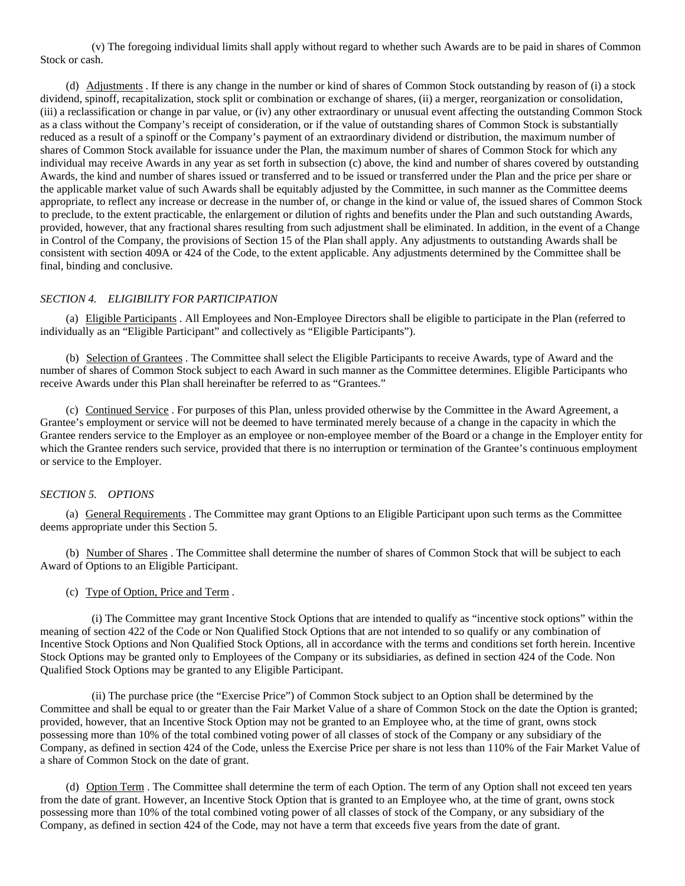(v) The foregoing individual limits shall apply without regard to whether such Awards are to be paid in shares of Common Stock or cash.

(d) Adjustments . If there is any change in the number or kind of shares of Common Stock outstanding by reason of (i) a stock dividend, spinoff, recapitalization, stock split or combination or exchange of shares, (ii) a merger, reorganization or consolidation, (iii) a reclassification or change in par value, or (iv) any other extraordinary or unusual event affecting the outstanding Common Stock as a class without the Company's receipt of consideration, or if the value of outstanding shares of Common Stock is substantially reduced as a result of a spinoff or the Company's payment of an extraordinary dividend or distribution, the maximum number of shares of Common Stock available for issuance under the Plan, the maximum number of shares of Common Stock for which any individual may receive Awards in any year as set forth in subsection (c) above, the kind and number of shares covered by outstanding Awards, the kind and number of shares issued or transferred and to be issued or transferred under the Plan and the price per share or the applicable market value of such Awards shall be equitably adjusted by the Committee, in such manner as the Committee deems appropriate, to reflect any increase or decrease in the number of, or change in the kind or value of, the issued shares of Common Stock to preclude, to the extent practicable, the enlargement or dilution of rights and benefits under the Plan and such outstanding Awards, provided, however, that any fractional shares resulting from such adjustment shall be eliminated. In addition, in the event of a Change in Control of the Company, the provisions of Section 15 of the Plan shall apply. Any adjustments to outstanding Awards shall be consistent with section 409A or 424 of the Code, to the extent applicable. Any adjustments determined by the Committee shall be final, binding and conclusive.

#### *SECTION 4. ELIGIBILITY FOR PARTICIPATION*

(a) Eligible Participants . All Employees and Non-Employee Directors shall be eligible to participate in the Plan (referred to individually as an "Eligible Participant" and collectively as "Eligible Participants").

(b) Selection of Grantees . The Committee shall select the Eligible Participants to receive Awards, type of Award and the number of shares of Common Stock subject to each Award in such manner as the Committee determines. Eligible Participants who receive Awards under this Plan shall hereinafter be referred to as "Grantees."

(c) Continued Service . For purposes of this Plan, unless provided otherwise by the Committee in the Award Agreement, a Grantee's employment or service will not be deemed to have terminated merely because of a change in the capacity in which the Grantee renders service to the Employer as an employee or non-employee member of the Board or a change in the Employer entity for which the Grantee renders such service, provided that there is no interruption or termination of the Grantee's continuous employment or service to the Employer.

#### *SECTION 5. OPTIONS*

(a) General Requirements . The Committee may grant Options to an Eligible Participant upon such terms as the Committee deems appropriate under this Section 5.

(b) Number of Shares . The Committee shall determine the number of shares of Common Stock that will be subject to each Award of Options to an Eligible Participant.

### (c) Type of Option, Price and Term .

(i) The Committee may grant Incentive Stock Options that are intended to qualify as "incentive stock options" within the meaning of section 422 of the Code or Non Qualified Stock Options that are not intended to so qualify or any combination of Incentive Stock Options and Non Qualified Stock Options, all in accordance with the terms and conditions set forth herein. Incentive Stock Options may be granted only to Employees of the Company or its subsidiaries, as defined in section 424 of the Code. Non Qualified Stock Options may be granted to any Eligible Participant.

(ii) The purchase price (the "Exercise Price") of Common Stock subject to an Option shall be determined by the Committee and shall be equal to or greater than the Fair Market Value of a share of Common Stock on the date the Option is granted; provided, however, that an Incentive Stock Option may not be granted to an Employee who, at the time of grant, owns stock possessing more than 10% of the total combined voting power of all classes of stock of the Company or any subsidiary of the Company, as defined in section 424 of the Code, unless the Exercise Price per share is not less than 110% of the Fair Market Value of a share of Common Stock on the date of grant.

(d) Option Term . The Committee shall determine the term of each Option. The term of any Option shall not exceed ten years from the date of grant. However, an Incentive Stock Option that is granted to an Employee who, at the time of grant, owns stock possessing more than 10% of the total combined voting power of all classes of stock of the Company, or any subsidiary of the Company, as defined in section 424 of the Code, may not have a term that exceeds five years from the date of grant.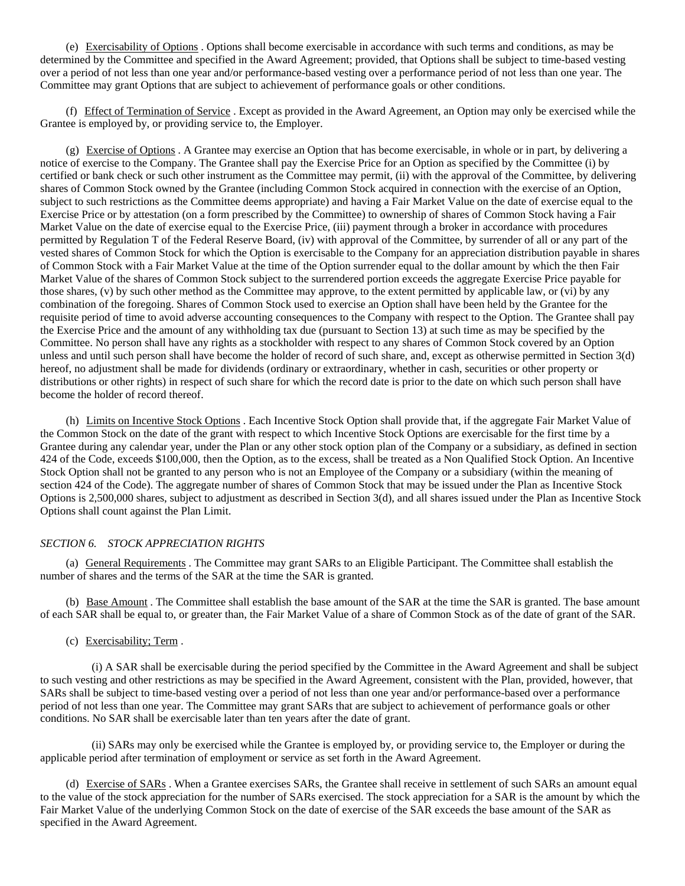(e) Exercisability of Options . Options shall become exercisable in accordance with such terms and conditions, as may be determined by the Committee and specified in the Award Agreement; provided, that Options shall be subject to time-based vesting over a period of not less than one year and/or performance-based vesting over a performance period of not less than one year. The Committee may grant Options that are subject to achievement of performance goals or other conditions.

(f) Effect of Termination of Service . Except as provided in the Award Agreement, an Option may only be exercised while the Grantee is employed by, or providing service to, the Employer.

(g) Exercise of Options . A Grantee may exercise an Option that has become exercisable, in whole or in part, by delivering a notice of exercise to the Company. The Grantee shall pay the Exercise Price for an Option as specified by the Committee (i) by certified or bank check or such other instrument as the Committee may permit, (ii) with the approval of the Committee, by delivering shares of Common Stock owned by the Grantee (including Common Stock acquired in connection with the exercise of an Option, subject to such restrictions as the Committee deems appropriate) and having a Fair Market Value on the date of exercise equal to the Exercise Price or by attestation (on a form prescribed by the Committee) to ownership of shares of Common Stock having a Fair Market Value on the date of exercise equal to the Exercise Price, (iii) payment through a broker in accordance with procedures permitted by Regulation T of the Federal Reserve Board, (iv) with approval of the Committee, by surrender of all or any part of the vested shares of Common Stock for which the Option is exercisable to the Company for an appreciation distribution payable in shares of Common Stock with a Fair Market Value at the time of the Option surrender equal to the dollar amount by which the then Fair Market Value of the shares of Common Stock subject to the surrendered portion exceeds the aggregate Exercise Price payable for those shares, (v) by such other method as the Committee may approve, to the extent permitted by applicable law, or (vi) by any combination of the foregoing. Shares of Common Stock used to exercise an Option shall have been held by the Grantee for the requisite period of time to avoid adverse accounting consequences to the Company with respect to the Option. The Grantee shall pay the Exercise Price and the amount of any withholding tax due (pursuant to Section 13) at such time as may be specified by the Committee. No person shall have any rights as a stockholder with respect to any shares of Common Stock covered by an Option unless and until such person shall have become the holder of record of such share, and, except as otherwise permitted in Section 3(d) hereof, no adjustment shall be made for dividends (ordinary or extraordinary, whether in cash, securities or other property or distributions or other rights) in respect of such share for which the record date is prior to the date on which such person shall have become the holder of record thereof.

(h) Limits on Incentive Stock Options . Each Incentive Stock Option shall provide that, if the aggregate Fair Market Value of the Common Stock on the date of the grant with respect to which Incentive Stock Options are exercisable for the first time by a Grantee during any calendar year, under the Plan or any other stock option plan of the Company or a subsidiary, as defined in section 424 of the Code, exceeds \$100,000, then the Option, as to the excess, shall be treated as a Non Qualified Stock Option. An Incentive Stock Option shall not be granted to any person who is not an Employee of the Company or a subsidiary (within the meaning of section 424 of the Code). The aggregate number of shares of Common Stock that may be issued under the Plan as Incentive Stock Options is 2,500,000 shares, subject to adjustment as described in Section 3(d), and all shares issued under the Plan as Incentive Stock Options shall count against the Plan Limit.

#### *SECTION 6. STOCK APPRECIATION RIGHTS*

(a) General Requirements . The Committee may grant SARs to an Eligible Participant. The Committee shall establish the number of shares and the terms of the SAR at the time the SAR is granted.

(b) Base Amount . The Committee shall establish the base amount of the SAR at the time the SAR is granted. The base amount of each SAR shall be equal to, or greater than, the Fair Market Value of a share of Common Stock as of the date of grant of the SAR.

#### (c) Exercisability; Term .

(i) A SAR shall be exercisable during the period specified by the Committee in the Award Agreement and shall be subject to such vesting and other restrictions as may be specified in the Award Agreement, consistent with the Plan, provided, however, that SARs shall be subject to time-based vesting over a period of not less than one year and/or performance-based over a performance period of not less than one year. The Committee may grant SARs that are subject to achievement of performance goals or other conditions. No SAR shall be exercisable later than ten years after the date of grant.

(ii) SARs may only be exercised while the Grantee is employed by, or providing service to, the Employer or during the applicable period after termination of employment or service as set forth in the Award Agreement.

(d) Exercise of SARs . When a Grantee exercises SARs, the Grantee shall receive in settlement of such SARs an amount equal to the value of the stock appreciation for the number of SARs exercised. The stock appreciation for a SAR is the amount by which the Fair Market Value of the underlying Common Stock on the date of exercise of the SAR exceeds the base amount of the SAR as specified in the Award Agreement.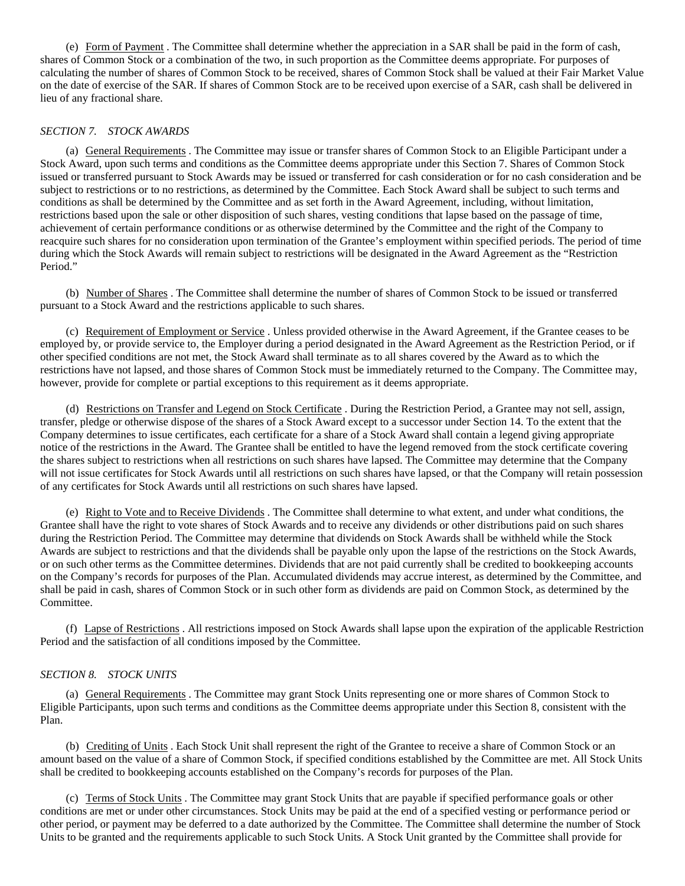(e) Form of Payment . The Committee shall determine whether the appreciation in a SAR shall be paid in the form of cash, shares of Common Stock or a combination of the two, in such proportion as the Committee deems appropriate. For purposes of calculating the number of shares of Common Stock to be received, shares of Common Stock shall be valued at their Fair Market Value on the date of exercise of the SAR. If shares of Common Stock are to be received upon exercise of a SAR, cash shall be delivered in lieu of any fractional share.

#### *SECTION 7. STOCK AWARDS*

(a) General Requirements . The Committee may issue or transfer shares of Common Stock to an Eligible Participant under a Stock Award, upon such terms and conditions as the Committee deems appropriate under this Section 7. Shares of Common Stock issued or transferred pursuant to Stock Awards may be issued or transferred for cash consideration or for no cash consideration and be subject to restrictions or to no restrictions, as determined by the Committee. Each Stock Award shall be subject to such terms and conditions as shall be determined by the Committee and as set forth in the Award Agreement, including, without limitation, restrictions based upon the sale or other disposition of such shares, vesting conditions that lapse based on the passage of time, achievement of certain performance conditions or as otherwise determined by the Committee and the right of the Company to reacquire such shares for no consideration upon termination of the Grantee's employment within specified periods. The period of time during which the Stock Awards will remain subject to restrictions will be designated in the Award Agreement as the "Restriction Period."

(b) Number of Shares . The Committee shall determine the number of shares of Common Stock to be issued or transferred pursuant to a Stock Award and the restrictions applicable to such shares.

(c) Requirement of Employment or Service . Unless provided otherwise in the Award Agreement, if the Grantee ceases to be employed by, or provide service to, the Employer during a period designated in the Award Agreement as the Restriction Period, or if other specified conditions are not met, the Stock Award shall terminate as to all shares covered by the Award as to which the restrictions have not lapsed, and those shares of Common Stock must be immediately returned to the Company. The Committee may, however, provide for complete or partial exceptions to this requirement as it deems appropriate.

(d) Restrictions on Transfer and Legend on Stock Certificate . During the Restriction Period, a Grantee may not sell, assign, transfer, pledge or otherwise dispose of the shares of a Stock Award except to a successor under Section 14. To the extent that the Company determines to issue certificates, each certificate for a share of a Stock Award shall contain a legend giving appropriate notice of the restrictions in the Award. The Grantee shall be entitled to have the legend removed from the stock certificate covering the shares subject to restrictions when all restrictions on such shares have lapsed. The Committee may determine that the Company will not issue certificates for Stock Awards until all restrictions on such shares have lapsed, or that the Company will retain possession of any certificates for Stock Awards until all restrictions on such shares have lapsed.

(e) Right to Vote and to Receive Dividends . The Committee shall determine to what extent, and under what conditions, the Grantee shall have the right to vote shares of Stock Awards and to receive any dividends or other distributions paid on such shares during the Restriction Period. The Committee may determine that dividends on Stock Awards shall be withheld while the Stock Awards are subject to restrictions and that the dividends shall be payable only upon the lapse of the restrictions on the Stock Awards, or on such other terms as the Committee determines. Dividends that are not paid currently shall be credited to bookkeeping accounts on the Company's records for purposes of the Plan. Accumulated dividends may accrue interest, as determined by the Committee, and shall be paid in cash, shares of Common Stock or in such other form as dividends are paid on Common Stock, as determined by the Committee.

(f) Lapse of Restrictions . All restrictions imposed on Stock Awards shall lapse upon the expiration of the applicable Restriction Period and the satisfaction of all conditions imposed by the Committee.

#### *SECTION 8. STOCK UNITS*

(a) General Requirements . The Committee may grant Stock Units representing one or more shares of Common Stock to Eligible Participants, upon such terms and conditions as the Committee deems appropriate under this Section 8, consistent with the Plan.

(b) Crediting of Units . Each Stock Unit shall represent the right of the Grantee to receive a share of Common Stock or an amount based on the value of a share of Common Stock, if specified conditions established by the Committee are met. All Stock Units shall be credited to bookkeeping accounts established on the Company's records for purposes of the Plan.

(c) Terms of Stock Units . The Committee may grant Stock Units that are payable if specified performance goals or other conditions are met or under other circumstances. Stock Units may be paid at the end of a specified vesting or performance period or other period, or payment may be deferred to a date authorized by the Committee. The Committee shall determine the number of Stock Units to be granted and the requirements applicable to such Stock Units. A Stock Unit granted by the Committee shall provide for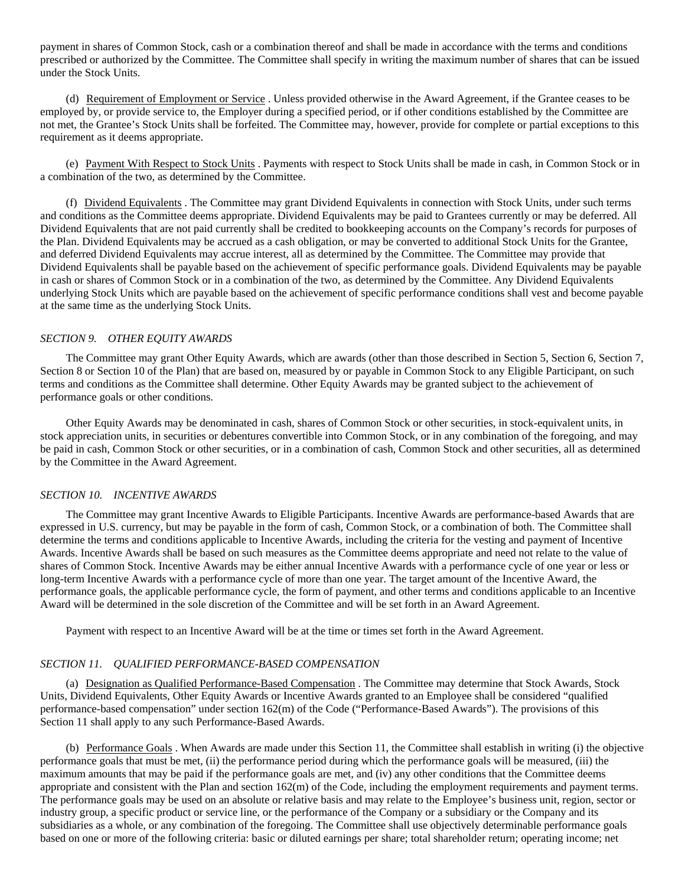payment in shares of Common Stock, cash or a combination thereof and shall be made in accordance with the terms and conditions prescribed or authorized by the Committee. The Committee shall specify in writing the maximum number of shares that can be issued under the Stock Units.

(d) Requirement of Employment or Service . Unless provided otherwise in the Award Agreement, if the Grantee ceases to be employed by, or provide service to, the Employer during a specified period, or if other conditions established by the Committee are not met, the Grantee's Stock Units shall be forfeited. The Committee may, however, provide for complete or partial exceptions to this requirement as it deems appropriate.

(e) Payment With Respect to Stock Units . Payments with respect to Stock Units shall be made in cash, in Common Stock or in a combination of the two, as determined by the Committee.

(f) Dividend Equivalents . The Committee may grant Dividend Equivalents in connection with Stock Units, under such terms and conditions as the Committee deems appropriate. Dividend Equivalents may be paid to Grantees currently or may be deferred. All Dividend Equivalents that are not paid currently shall be credited to bookkeeping accounts on the Company's records for purposes of the Plan. Dividend Equivalents may be accrued as a cash obligation, or may be converted to additional Stock Units for the Grantee, and deferred Dividend Equivalents may accrue interest, all as determined by the Committee. The Committee may provide that Dividend Equivalents shall be payable based on the achievement of specific performance goals. Dividend Equivalents may be payable in cash or shares of Common Stock or in a combination of the two, as determined by the Committee. Any Dividend Equivalents underlying Stock Units which are payable based on the achievement of specific performance conditions shall vest and become payable at the same time as the underlying Stock Units.

#### *SECTION 9. OTHER EQUITY AWARDS*

The Committee may grant Other Equity Awards, which are awards (other than those described in Section 5, Section 6, Section 7, Section 8 or Section 10 of the Plan) that are based on, measured by or payable in Common Stock to any Eligible Participant, on such terms and conditions as the Committee shall determine. Other Equity Awards may be granted subject to the achievement of performance goals or other conditions.

Other Equity Awards may be denominated in cash, shares of Common Stock or other securities, in stock-equivalent units, in stock appreciation units, in securities or debentures convertible into Common Stock, or in any combination of the foregoing, and may be paid in cash, Common Stock or other securities, or in a combination of cash, Common Stock and other securities, all as determined by the Committee in the Award Agreement.

#### *SECTION 10. INCENTIVE AWARDS*

The Committee may grant Incentive Awards to Eligible Participants. Incentive Awards are performance-based Awards that are expressed in U.S. currency, but may be payable in the form of cash, Common Stock, or a combination of both. The Committee shall determine the terms and conditions applicable to Incentive Awards, including the criteria for the vesting and payment of Incentive Awards. Incentive Awards shall be based on such measures as the Committee deems appropriate and need not relate to the value of shares of Common Stock. Incentive Awards may be either annual Incentive Awards with a performance cycle of one year or less or long-term Incentive Awards with a performance cycle of more than one year. The target amount of the Incentive Award, the performance goals, the applicable performance cycle, the form of payment, and other terms and conditions applicable to an Incentive Award will be determined in the sole discretion of the Committee and will be set forth in an Award Agreement.

Payment with respect to an Incentive Award will be at the time or times set forth in the Award Agreement.

#### *SECTION 11. QUALIFIED PERFORMANCE-BASED COMPENSATION*

(a) Designation as Qualified Performance-Based Compensation . The Committee may determine that Stock Awards, Stock Units, Dividend Equivalents, Other Equity Awards or Incentive Awards granted to an Employee shall be considered "qualified performance-based compensation" under section 162(m) of the Code ("Performance-Based Awards"). The provisions of this Section 11 shall apply to any such Performance-Based Awards.

(b) Performance Goals . When Awards are made under this Section 11, the Committee shall establish in writing (i) the objective performance goals that must be met, (ii) the performance period during which the performance goals will be measured, (iii) the maximum amounts that may be paid if the performance goals are met, and (iv) any other conditions that the Committee deems appropriate and consistent with the Plan and section 162(m) of the Code, including the employment requirements and payment terms. The performance goals may be used on an absolute or relative basis and may relate to the Employee's business unit, region, sector or industry group, a specific product or service line, or the performance of the Company or a subsidiary or the Company and its subsidiaries as a whole, or any combination of the foregoing. The Committee shall use objectively determinable performance goals based on one or more of the following criteria: basic or diluted earnings per share; total shareholder return; operating income; net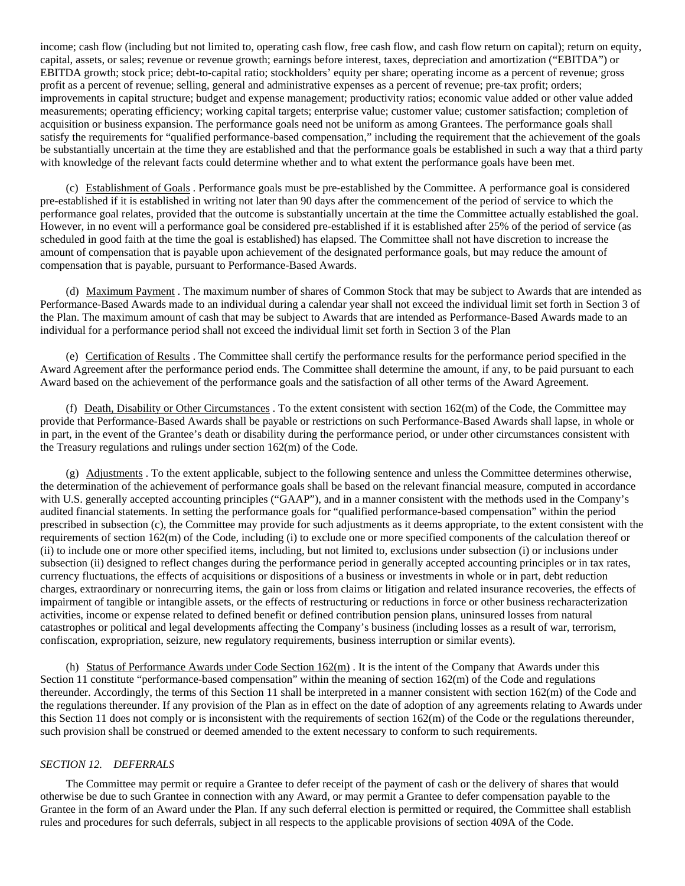income; cash flow (including but not limited to, operating cash flow, free cash flow, and cash flow return on capital); return on equity, capital, assets, or sales; revenue or revenue growth; earnings before interest, taxes, depreciation and amortization ("EBITDA") or EBITDA growth; stock price; debt-to-capital ratio; stockholders' equity per share; operating income as a percent of revenue; gross profit as a percent of revenue; selling, general and administrative expenses as a percent of revenue; pre-tax profit; orders; improvements in capital structure; budget and expense management; productivity ratios; economic value added or other value added measurements; operating efficiency; working capital targets; enterprise value; customer value; customer satisfaction; completion of acquisition or business expansion. The performance goals need not be uniform as among Grantees. The performance goals shall satisfy the requirements for "qualified performance-based compensation," including the requirement that the achievement of the goals be substantially uncertain at the time they are established and that the performance goals be established in such a way that a third party with knowledge of the relevant facts could determine whether and to what extent the performance goals have been met.

(c) Establishment of Goals . Performance goals must be pre-established by the Committee. A performance goal is considered pre-established if it is established in writing not later than 90 days after the commencement of the period of service to which the performance goal relates, provided that the outcome is substantially uncertain at the time the Committee actually established the goal. However, in no event will a performance goal be considered pre-established if it is established after 25% of the period of service (as scheduled in good faith at the time the goal is established) has elapsed. The Committee shall not have discretion to increase the amount of compensation that is payable upon achievement of the designated performance goals, but may reduce the amount of compensation that is payable, pursuant to Performance-Based Awards.

(d) Maximum Payment . The maximum number of shares of Common Stock that may be subject to Awards that are intended as Performance-Based Awards made to an individual during a calendar year shall not exceed the individual limit set forth in Section 3 of the Plan. The maximum amount of cash that may be subject to Awards that are intended as Performance-Based Awards made to an individual for a performance period shall not exceed the individual limit set forth in Section 3 of the Plan

(e) Certification of Results . The Committee shall certify the performance results for the performance period specified in the Award Agreement after the performance period ends. The Committee shall determine the amount, if any, to be paid pursuant to each Award based on the achievement of the performance goals and the satisfaction of all other terms of the Award Agreement.

(f) Death, Disability or Other Circumstances . To the extent consistent with section 162(m) of the Code, the Committee may provide that Performance-Based Awards shall be payable or restrictions on such Performance-Based Awards shall lapse, in whole or in part, in the event of the Grantee's death or disability during the performance period, or under other circumstances consistent with the Treasury regulations and rulings under section 162(m) of the Code.

(g) Adjustments . To the extent applicable, subject to the following sentence and unless the Committee determines otherwise, the determination of the achievement of performance goals shall be based on the relevant financial measure, computed in accordance with U.S. generally accepted accounting principles ("GAAP"), and in a manner consistent with the methods used in the Company's audited financial statements. In setting the performance goals for "qualified performance-based compensation" within the period prescribed in subsection (c), the Committee may provide for such adjustments as it deems appropriate, to the extent consistent with the requirements of section 162(m) of the Code, including (i) to exclude one or more specified components of the calculation thereof or (ii) to include one or more other specified items, including, but not limited to, exclusions under subsection (i) or inclusions under subsection (ii) designed to reflect changes during the performance period in generally accepted accounting principles or in tax rates, currency fluctuations, the effects of acquisitions or dispositions of a business or investments in whole or in part, debt reduction charges, extraordinary or nonrecurring items, the gain or loss from claims or litigation and related insurance recoveries, the effects of impairment of tangible or intangible assets, or the effects of restructuring or reductions in force or other business recharacterization activities, income or expense related to defined benefit or defined contribution pension plans, uninsured losses from natural catastrophes or political and legal developments affecting the Company's business (including losses as a result of war, terrorism, confiscation, expropriation, seizure, new regulatory requirements, business interruption or similar events).

(h) Status of Performance Awards under Code Section 162(m) . It is the intent of the Company that Awards under this Section 11 constitute "performance-based compensation" within the meaning of section 162(m) of the Code and regulations thereunder. Accordingly, the terms of this Section 11 shall be interpreted in a manner consistent with section 162(m) of the Code and the regulations thereunder. If any provision of the Plan as in effect on the date of adoption of any agreements relating to Awards under this Section 11 does not comply or is inconsistent with the requirements of section  $162(m)$  of the Code or the regulations thereunder, such provision shall be construed or deemed amended to the extent necessary to conform to such requirements.

## *SECTION 12. DEFERRALS*

The Committee may permit or require a Grantee to defer receipt of the payment of cash or the delivery of shares that would otherwise be due to such Grantee in connection with any Award, or may permit a Grantee to defer compensation payable to the Grantee in the form of an Award under the Plan. If any such deferral election is permitted or required, the Committee shall establish rules and procedures for such deferrals, subject in all respects to the applicable provisions of section 409A of the Code.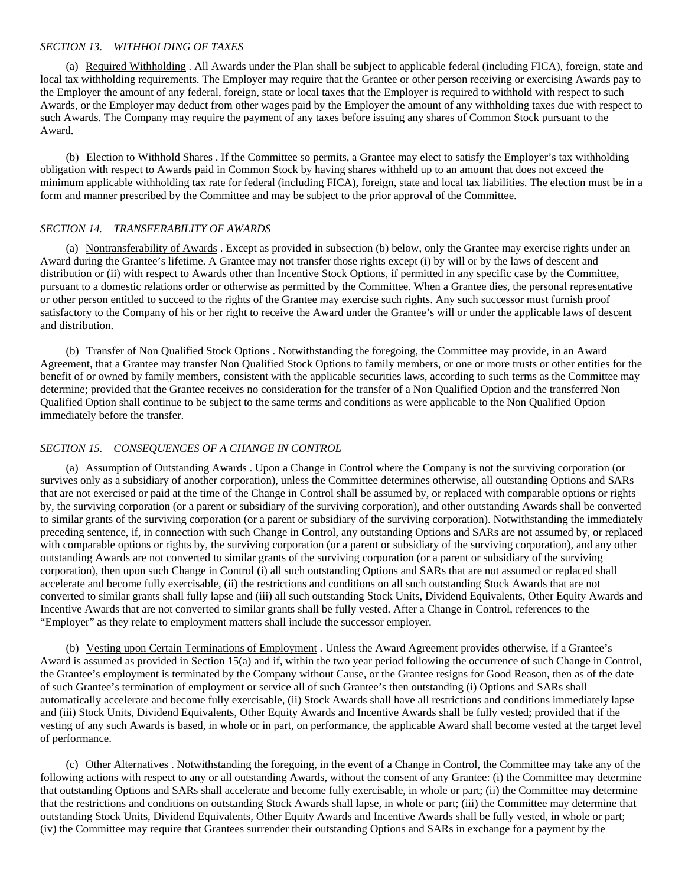#### *SECTION 13. WITHHOLDING OF TAXES*

(a) Required Withholding . All Awards under the Plan shall be subject to applicable federal (including FICA), foreign, state and local tax withholding requirements. The Employer may require that the Grantee or other person receiving or exercising Awards pay to the Employer the amount of any federal, foreign, state or local taxes that the Employer is required to withhold with respect to such Awards, or the Employer may deduct from other wages paid by the Employer the amount of any withholding taxes due with respect to such Awards. The Company may require the payment of any taxes before issuing any shares of Common Stock pursuant to the Award.

(b) Election to Withhold Shares . If the Committee so permits, a Grantee may elect to satisfy the Employer's tax withholding obligation with respect to Awards paid in Common Stock by having shares withheld up to an amount that does not exceed the minimum applicable withholding tax rate for federal (including FICA), foreign, state and local tax liabilities. The election must be in a form and manner prescribed by the Committee and may be subject to the prior approval of the Committee.

#### *SECTION 14. TRANSFERABILITY OF AWARDS*

(a) Nontransferability of Awards . Except as provided in subsection (b) below, only the Grantee may exercise rights under an Award during the Grantee's lifetime. A Grantee may not transfer those rights except (i) by will or by the laws of descent and distribution or (ii) with respect to Awards other than Incentive Stock Options, if permitted in any specific case by the Committee, pursuant to a domestic relations order or otherwise as permitted by the Committee. When a Grantee dies, the personal representative or other person entitled to succeed to the rights of the Grantee may exercise such rights. Any such successor must furnish proof satisfactory to the Company of his or her right to receive the Award under the Grantee's will or under the applicable laws of descent and distribution.

(b) Transfer of Non Qualified Stock Options . Notwithstanding the foregoing, the Committee may provide, in an Award Agreement, that a Grantee may transfer Non Qualified Stock Options to family members, or one or more trusts or other entities for the benefit of or owned by family members, consistent with the applicable securities laws, according to such terms as the Committee may determine; provided that the Grantee receives no consideration for the transfer of a Non Qualified Option and the transferred Non Qualified Option shall continue to be subject to the same terms and conditions as were applicable to the Non Qualified Option immediately before the transfer.

#### *SECTION 15. CONSEQUENCES OF A CHANGE IN CONTROL*

(a) Assumption of Outstanding Awards . Upon a Change in Control where the Company is not the surviving corporation (or survives only as a subsidiary of another corporation), unless the Committee determines otherwise, all outstanding Options and SARs that are not exercised or paid at the time of the Change in Control shall be assumed by, or replaced with comparable options or rights by, the surviving corporation (or a parent or subsidiary of the surviving corporation), and other outstanding Awards shall be converted to similar grants of the surviving corporation (or a parent or subsidiary of the surviving corporation). Notwithstanding the immediately preceding sentence, if, in connection with such Change in Control, any outstanding Options and SARs are not assumed by, or replaced with comparable options or rights by, the surviving corporation (or a parent or subsidiary of the surviving corporation), and any other outstanding Awards are not converted to similar grants of the surviving corporation (or a parent or subsidiary of the surviving corporation), then upon such Change in Control (i) all such outstanding Options and SARs that are not assumed or replaced shall accelerate and become fully exercisable, (ii) the restrictions and conditions on all such outstanding Stock Awards that are not converted to similar grants shall fully lapse and (iii) all such outstanding Stock Units, Dividend Equivalents, Other Equity Awards and Incentive Awards that are not converted to similar grants shall be fully vested. After a Change in Control, references to the "Employer" as they relate to employment matters shall include the successor employer.

(b) Vesting upon Certain Terminations of Employment . Unless the Award Agreement provides otherwise, if a Grantee's Award is assumed as provided in Section 15(a) and if, within the two year period following the occurrence of such Change in Control, the Grantee's employment is terminated by the Company without Cause, or the Grantee resigns for Good Reason, then as of the date of such Grantee's termination of employment or service all of such Grantee's then outstanding (i) Options and SARs shall automatically accelerate and become fully exercisable, (ii) Stock Awards shall have all restrictions and conditions immediately lapse and (iii) Stock Units, Dividend Equivalents, Other Equity Awards and Incentive Awards shall be fully vested; provided that if the vesting of any such Awards is based, in whole or in part, on performance, the applicable Award shall become vested at the target level of performance.

(c) Other Alternatives . Notwithstanding the foregoing, in the event of a Change in Control, the Committee may take any of the following actions with respect to any or all outstanding Awards, without the consent of any Grantee: (i) the Committee may determine that outstanding Options and SARs shall accelerate and become fully exercisable, in whole or part; (ii) the Committee may determine that the restrictions and conditions on outstanding Stock Awards shall lapse, in whole or part; (iii) the Committee may determine that outstanding Stock Units, Dividend Equivalents, Other Equity Awards and Incentive Awards shall be fully vested, in whole or part; (iv) the Committee may require that Grantees surrender their outstanding Options and SARs in exchange for a payment by the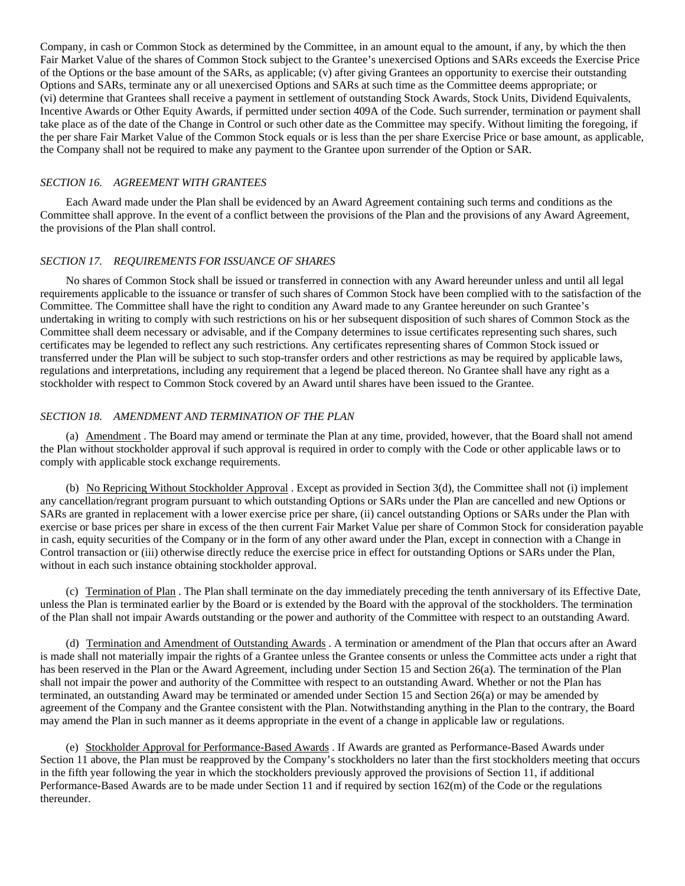Company, in cash or Common Stock as determined by the Committee, in an amount equal to the amount, if any, by which the then Fair Market Value of the shares of Common Stock subject to the Grantee's unexercised Options and SARs exceeds the Exercise Price of the Options or the base amount of the SARs, as applicable; (v) after giving Grantees an opportunity to exercise their outstanding Options and SARs, terminate any or all unexercised Options and SARs at such time as the Committee deems appropriate; or (vi) determine that Grantees shall receive a payment in settlement of outstanding Stock Awards, Stock Units, Dividend Equivalents, Incentive Awards or Other Equity Awards, if permitted under section 409A of the Code. Such surrender, termination or payment shall take place as of the date of the Change in Control or such other date as the Committee may specify. Without limiting the foregoing, if the per share Fair Market Value of the Common Stock equals or is less than the per share Exercise Price or base amount, as applicable, the Company shall not be required to make any payment to the Grantee upon surrender of the Option or SAR.

#### *SECTION 16. AGREEMENT WITH GRANTEES*

Each Award made under the Plan shall be evidenced by an Award Agreement containing such terms and conditions as the Committee shall approve. In the event of a conflict between the provisions of the Plan and the provisions of any Award Agreement, the provisions of the Plan shall control.

#### *SECTION 17. REQUIREMENTS FOR ISSUANCE OF SHARES*

No shares of Common Stock shall be issued or transferred in connection with any Award hereunder unless and until all legal requirements applicable to the issuance or transfer of such shares of Common Stock have been complied with to the satisfaction of the Committee. The Committee shall have the right to condition any Award made to any Grantee hereunder on such Grantee's undertaking in writing to comply with such restrictions on his or her subsequent disposition of such shares of Common Stock as the Committee shall deem necessary or advisable, and if the Company determines to issue certificates representing such shares, such certificates may be legended to reflect any such restrictions. Any certificates representing shares of Common Stock issued or transferred under the Plan will be subject to such stop-transfer orders and other restrictions as may be required by applicable laws, regulations and interpretations, including any requirement that a legend be placed thereon. No Grantee shall have any right as a stockholder with respect to Common Stock covered by an Award until shares have been issued to the Grantee.

#### *SECTION 18. AMENDMENT AND TERMINATION OF THE PLAN*

(a) Amendment . The Board may amend or terminate the Plan at any time, provided, however, that the Board shall not amend the Plan without stockholder approval if such approval is required in order to comply with the Code or other applicable laws or to comply with applicable stock exchange requirements.

(b) No Repricing Without Stockholder Approval . Except as provided in Section 3(d), the Committee shall not (i) implement any cancellation/regrant program pursuant to which outstanding Options or SARs under the Plan are cancelled and new Options or SARs are granted in replacement with a lower exercise price per share, (ii) cancel outstanding Options or SARs under the Plan with exercise or base prices per share in excess of the then current Fair Market Value per share of Common Stock for consideration payable in cash, equity securities of the Company or in the form of any other award under the Plan, except in connection with a Change in Control transaction or (iii) otherwise directly reduce the exercise price in effect for outstanding Options or SARs under the Plan, without in each such instance obtaining stockholder approval.

(c) Termination of Plan . The Plan shall terminate on the day immediately preceding the tenth anniversary of its Effective Date, unless the Plan is terminated earlier by the Board or is extended by the Board with the approval of the stockholders. The termination of the Plan shall not impair Awards outstanding or the power and authority of the Committee with respect to an outstanding Award.

(d) Termination and Amendment of Outstanding Awards . A termination or amendment of the Plan that occurs after an Award is made shall not materially impair the rights of a Grantee unless the Grantee consents or unless the Committee acts under a right that has been reserved in the Plan or the Award Agreement, including under Section 15 and Section 26(a). The termination of the Plan shall not impair the power and authority of the Committee with respect to an outstanding Award. Whether or not the Plan has terminated, an outstanding Award may be terminated or amended under Section 15 and Section 26(a) or may be amended by agreement of the Company and the Grantee consistent with the Plan. Notwithstanding anything in the Plan to the contrary, the Board may amend the Plan in such manner as it deems appropriate in the event of a change in applicable law or regulations.

(e) Stockholder Approval for Performance-Based Awards . If Awards are granted as Performance-Based Awards under Section 11 above, the Plan must be reapproved by the Company's stockholders no later than the first stockholders meeting that occurs in the fifth year following the year in which the stockholders previously approved the provisions of Section 11, if additional Performance-Based Awards are to be made under Section 11 and if required by section 162(m) of the Code or the regulations thereunder.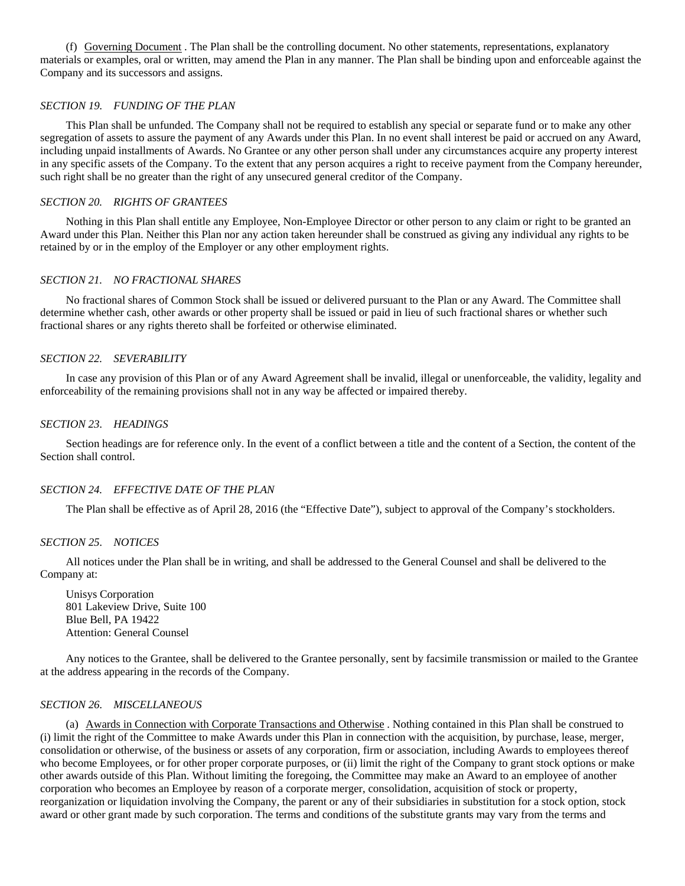(f) Governing Document . The Plan shall be the controlling document. No other statements, representations, explanatory materials or examples, oral or written, may amend the Plan in any manner. The Plan shall be binding upon and enforceable against the Company and its successors and assigns.

#### *SECTION 19. FUNDING OF THE PLAN*

This Plan shall be unfunded. The Company shall not be required to establish any special or separate fund or to make any other segregation of assets to assure the payment of any Awards under this Plan. In no event shall interest be paid or accrued on any Award, including unpaid installments of Awards. No Grantee or any other person shall under any circumstances acquire any property interest in any specific assets of the Company. To the extent that any person acquires a right to receive payment from the Company hereunder, such right shall be no greater than the right of any unsecured general creditor of the Company.

#### *SECTION 20. RIGHTS OF GRANTEES*

Nothing in this Plan shall entitle any Employee, Non-Employee Director or other person to any claim or right to be granted an Award under this Plan. Neither this Plan nor any action taken hereunder shall be construed as giving any individual any rights to be retained by or in the employ of the Employer or any other employment rights.

#### *SECTION 21. NO FRACTIONAL SHARES*

No fractional shares of Common Stock shall be issued or delivered pursuant to the Plan or any Award. The Committee shall determine whether cash, other awards or other property shall be issued or paid in lieu of such fractional shares or whether such fractional shares or any rights thereto shall be forfeited or otherwise eliminated.

#### *SECTION 22. SEVERABILITY*

In case any provision of this Plan or of any Award Agreement shall be invalid, illegal or unenforceable, the validity, legality and enforceability of the remaining provisions shall not in any way be affected or impaired thereby.

#### *SECTION 23. HEADINGS*

Section headings are for reference only. In the event of a conflict between a title and the content of a Section, the content of the Section shall control.

#### *SECTION 24. EFFECTIVE DATE OF THE PLAN*

The Plan shall be effective as of April 28, 2016 (the "Effective Date"), subject to approval of the Company's stockholders.

#### *SECTION 25. NOTICES*

All notices under the Plan shall be in writing, and shall be addressed to the General Counsel and shall be delivered to the Company at:

Unisys Corporation 801 Lakeview Drive, Suite 100 Blue Bell, PA 19422 Attention: General Counsel

Any notices to the Grantee, shall be delivered to the Grantee personally, sent by facsimile transmission or mailed to the Grantee at the address appearing in the records of the Company.

#### *SECTION 26. MISCELLANEOUS*

(a) Awards in Connection with Corporate Transactions and Otherwise . Nothing contained in this Plan shall be construed to (i) limit the right of the Committee to make Awards under this Plan in connection with the acquisition, by purchase, lease, merger, consolidation or otherwise, of the business or assets of any corporation, firm or association, including Awards to employees thereof who become Employees, or for other proper corporate purposes, or (ii) limit the right of the Company to grant stock options or make other awards outside of this Plan. Without limiting the foregoing, the Committee may make an Award to an employee of another corporation who becomes an Employee by reason of a corporate merger, consolidation, acquisition of stock or property, reorganization or liquidation involving the Company, the parent or any of their subsidiaries in substitution for a stock option, stock award or other grant made by such corporation. The terms and conditions of the substitute grants may vary from the terms and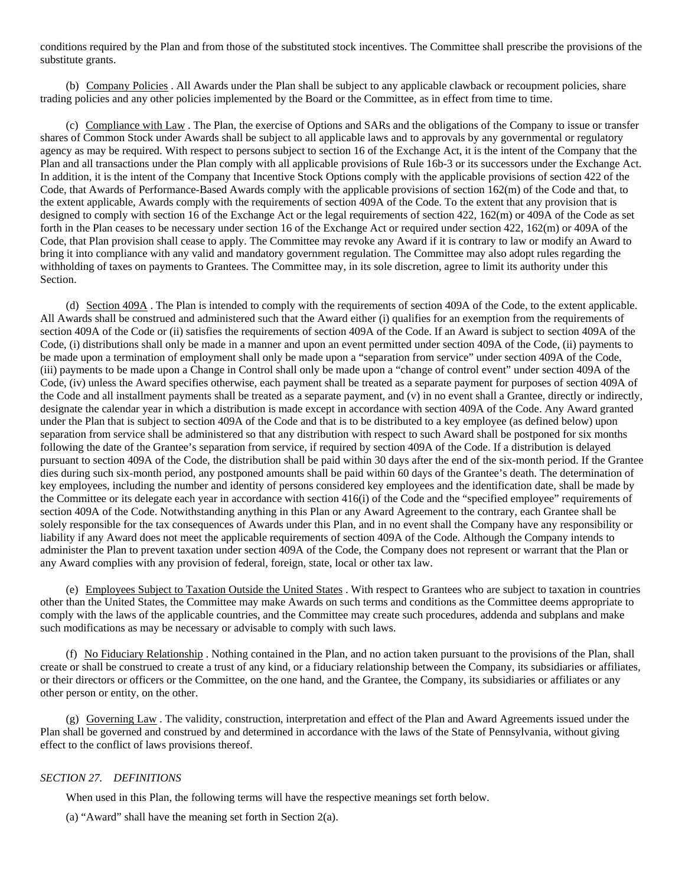conditions required by the Plan and from those of the substituted stock incentives. The Committee shall prescribe the provisions of the substitute grants.

(b) Company Policies . All Awards under the Plan shall be subject to any applicable clawback or recoupment policies, share trading policies and any other policies implemented by the Board or the Committee, as in effect from time to time.

(c) Compliance with Law . The Plan, the exercise of Options and SARs and the obligations of the Company to issue or transfer shares of Common Stock under Awards shall be subject to all applicable laws and to approvals by any governmental or regulatory agency as may be required. With respect to persons subject to section 16 of the Exchange Act, it is the intent of the Company that the Plan and all transactions under the Plan comply with all applicable provisions of Rule 16b-3 or its successors under the Exchange Act. In addition, it is the intent of the Company that Incentive Stock Options comply with the applicable provisions of section 422 of the Code, that Awards of Performance-Based Awards comply with the applicable provisions of section 162(m) of the Code and that, to the extent applicable, Awards comply with the requirements of section 409A of the Code. To the extent that any provision that is designed to comply with section 16 of the Exchange Act or the legal requirements of section 422, 162(m) or 409A of the Code as set forth in the Plan ceases to be necessary under section 16 of the Exchange Act or required under section 422, 162(m) or 409A of the Code, that Plan provision shall cease to apply. The Committee may revoke any Award if it is contrary to law or modify an Award to bring it into compliance with any valid and mandatory government regulation. The Committee may also adopt rules regarding the withholding of taxes on payments to Grantees. The Committee may, in its sole discretion, agree to limit its authority under this Section.

(d) Section 409A. The Plan is intended to comply with the requirements of section 409A of the Code, to the extent applicable. All Awards shall be construed and administered such that the Award either (i) qualifies for an exemption from the requirements of section 409A of the Code or (ii) satisfies the requirements of section 409A of the Code. If an Award is subject to section 409A of the Code, (i) distributions shall only be made in a manner and upon an event permitted under section 409A of the Code, (ii) payments to be made upon a termination of employment shall only be made upon a "separation from service" under section 409A of the Code, (iii) payments to be made upon a Change in Control shall only be made upon a "change of control event" under section 409A of the Code, (iv) unless the Award specifies otherwise, each payment shall be treated as a separate payment for purposes of section 409A of the Code and all installment payments shall be treated as a separate payment, and (v) in no event shall a Grantee, directly or indirectly, designate the calendar year in which a distribution is made except in accordance with section 409A of the Code. Any Award granted under the Plan that is subject to section 409A of the Code and that is to be distributed to a key employee (as defined below) upon separation from service shall be administered so that any distribution with respect to such Award shall be postponed for six months following the date of the Grantee's separation from service, if required by section 409A of the Code. If a distribution is delayed pursuant to section 409A of the Code, the distribution shall be paid within 30 days after the end of the six-month period. If the Grantee dies during such six-month period, any postponed amounts shall be paid within 60 days of the Grantee's death. The determination of key employees, including the number and identity of persons considered key employees and the identification date, shall be made by the Committee or its delegate each year in accordance with section 416(i) of the Code and the "specified employee" requirements of section 409A of the Code. Notwithstanding anything in this Plan or any Award Agreement to the contrary, each Grantee shall be solely responsible for the tax consequences of Awards under this Plan, and in no event shall the Company have any responsibility or liability if any Award does not meet the applicable requirements of section 409A of the Code. Although the Company intends to administer the Plan to prevent taxation under section 409A of the Code, the Company does not represent or warrant that the Plan or any Award complies with any provision of federal, foreign, state, local or other tax law.

(e) Employees Subject to Taxation Outside the United States . With respect to Grantees who are subject to taxation in countries other than the United States, the Committee may make Awards on such terms and conditions as the Committee deems appropriate to comply with the laws of the applicable countries, and the Committee may create such procedures, addenda and subplans and make such modifications as may be necessary or advisable to comply with such laws.

(f) No Fiduciary Relationship . Nothing contained in the Plan, and no action taken pursuant to the provisions of the Plan, shall create or shall be construed to create a trust of any kind, or a fiduciary relationship between the Company, its subsidiaries or affiliates, or their directors or officers or the Committee, on the one hand, and the Grantee, the Company, its subsidiaries or affiliates or any other person or entity, on the other.

(g) Governing Law . The validity, construction, interpretation and effect of the Plan and Award Agreements issued under the Plan shall be governed and construed by and determined in accordance with the laws of the State of Pennsylvania, without giving effect to the conflict of laws provisions thereof.

## *SECTION 27. DEFINITIONS*

When used in this Plan, the following terms will have the respective meanings set forth below.

(a) "Award" shall have the meaning set forth in Section 2(a).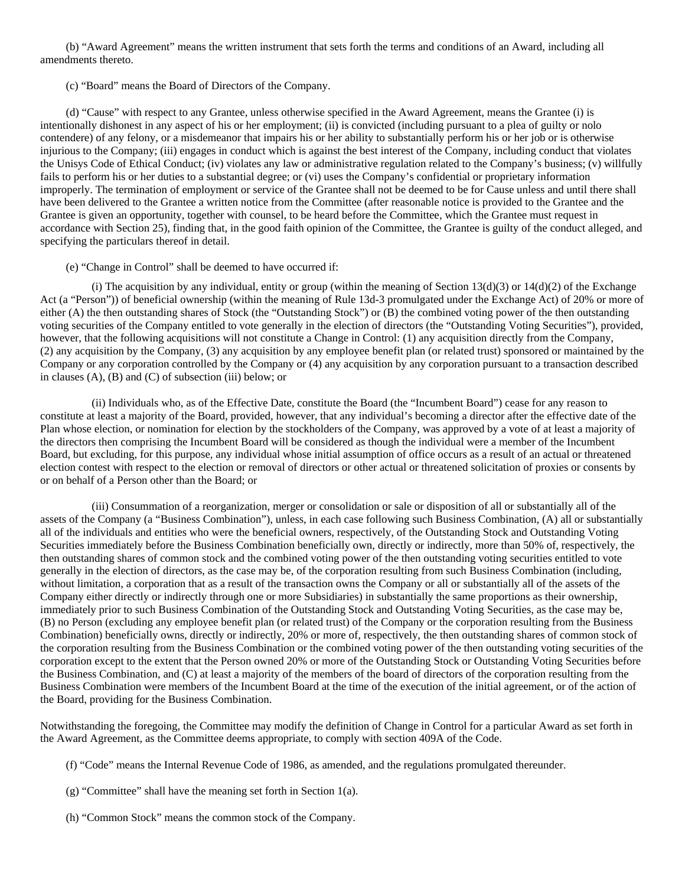(b) "Award Agreement" means the written instrument that sets forth the terms and conditions of an Award, including all amendments thereto.

(c) "Board" means the Board of Directors of the Company.

(d) "Cause" with respect to any Grantee, unless otherwise specified in the Award Agreement, means the Grantee (i) is intentionally dishonest in any aspect of his or her employment; (ii) is convicted (including pursuant to a plea of guilty or nolo contendere) of any felony, or a misdemeanor that impairs his or her ability to substantially perform his or her job or is otherwise injurious to the Company; (iii) engages in conduct which is against the best interest of the Company, including conduct that violates the Unisys Code of Ethical Conduct; (iv) violates any law or administrative regulation related to the Company's business; (v) willfully fails to perform his or her duties to a substantial degree; or (vi) uses the Company's confidential or proprietary information improperly. The termination of employment or service of the Grantee shall not be deemed to be for Cause unless and until there shall have been delivered to the Grantee a written notice from the Committee (after reasonable notice is provided to the Grantee and the Grantee is given an opportunity, together with counsel, to be heard before the Committee, which the Grantee must request in accordance with Section 25), finding that, in the good faith opinion of the Committee, the Grantee is guilty of the conduct alleged, and specifying the particulars thereof in detail.

(e) "Change in Control" shall be deemed to have occurred if:

(i) The acquisition by any individual, entity or group (within the meaning of Section  $13(d)(3)$  or  $14(d)(2)$  of the Exchange Act (a "Person")) of beneficial ownership (within the meaning of Rule 13d-3 promulgated under the Exchange Act) of 20% or more of either (A) the then outstanding shares of Stock (the "Outstanding Stock") or (B) the combined voting power of the then outstanding voting securities of the Company entitled to vote generally in the election of directors (the "Outstanding Voting Securities"), provided, however, that the following acquisitions will not constitute a Change in Control: (1) any acquisition directly from the Company, (2) any acquisition by the Company, (3) any acquisition by any employee benefit plan (or related trust) sponsored or maintained by the Company or any corporation controlled by the Company or (4) any acquisition by any corporation pursuant to a transaction described in clauses (A), (B) and (C) of subsection (iii) below; or

(ii) Individuals who, as of the Effective Date, constitute the Board (the "Incumbent Board") cease for any reason to constitute at least a majority of the Board, provided, however, that any individual's becoming a director after the effective date of the Plan whose election, or nomination for election by the stockholders of the Company, was approved by a vote of at least a majority of the directors then comprising the Incumbent Board will be considered as though the individual were a member of the Incumbent Board, but excluding, for this purpose, any individual whose initial assumption of office occurs as a result of an actual or threatened election contest with respect to the election or removal of directors or other actual or threatened solicitation of proxies or consents by or on behalf of a Person other than the Board; or

(iii) Consummation of a reorganization, merger or consolidation or sale or disposition of all or substantially all of the assets of the Company (a "Business Combination"), unless, in each case following such Business Combination, (A) all or substantially all of the individuals and entities who were the beneficial owners, respectively, of the Outstanding Stock and Outstanding Voting Securities immediately before the Business Combination beneficially own, directly or indirectly, more than 50% of, respectively, the then outstanding shares of common stock and the combined voting power of the then outstanding voting securities entitled to vote generally in the election of directors, as the case may be, of the corporation resulting from such Business Combination (including, without limitation, a corporation that as a result of the transaction owns the Company or all or substantially all of the assets of the Company either directly or indirectly through one or more Subsidiaries) in substantially the same proportions as their ownership, immediately prior to such Business Combination of the Outstanding Stock and Outstanding Voting Securities, as the case may be, (B) no Person (excluding any employee benefit plan (or related trust) of the Company or the corporation resulting from the Business Combination) beneficially owns, directly or indirectly, 20% or more of, respectively, the then outstanding shares of common stock of the corporation resulting from the Business Combination or the combined voting power of the then outstanding voting securities of the corporation except to the extent that the Person owned 20% or more of the Outstanding Stock or Outstanding Voting Securities before the Business Combination, and (C) at least a majority of the members of the board of directors of the corporation resulting from the Business Combination were members of the Incumbent Board at the time of the execution of the initial agreement, or of the action of the Board, providing for the Business Combination.

Notwithstanding the foregoing, the Committee may modify the definition of Change in Control for a particular Award as set forth in the Award Agreement, as the Committee deems appropriate, to comply with section 409A of the Code.

- (f) "Code" means the Internal Revenue Code of 1986, as amended, and the regulations promulgated thereunder.
- (g) "Committee" shall have the meaning set forth in Section 1(a).
- (h) "Common Stock" means the common stock of the Company.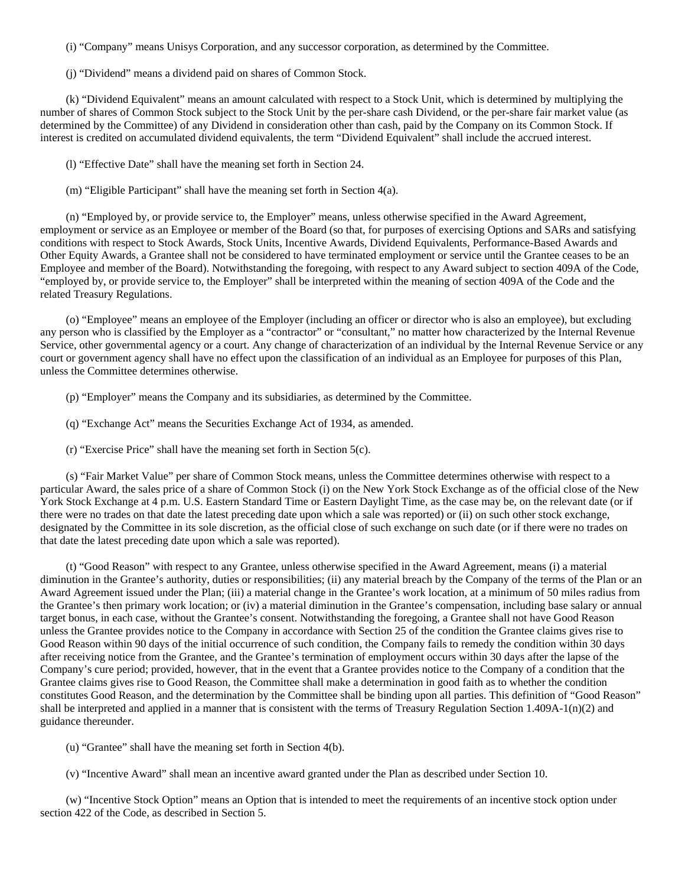- (i) "Company" means Unisys Corporation, and any successor corporation, as determined by the Committee.
- (j) "Dividend" means a dividend paid on shares of Common Stock.

(k) "Dividend Equivalent" means an amount calculated with respect to a Stock Unit, which is determined by multiplying the number of shares of Common Stock subject to the Stock Unit by the per-share cash Dividend, or the per-share fair market value (as determined by the Committee) of any Dividend in consideration other than cash, paid by the Company on its Common Stock. If interest is credited on accumulated dividend equivalents, the term "Dividend Equivalent" shall include the accrued interest.

- (l) "Effective Date" shall have the meaning set forth in Section 24.
- (m) "Eligible Participant" shall have the meaning set forth in Section 4(a).

(n) "Employed by, or provide service to, the Employer" means, unless otherwise specified in the Award Agreement, employment or service as an Employee or member of the Board (so that, for purposes of exercising Options and SARs and satisfying conditions with respect to Stock Awards, Stock Units, Incentive Awards, Dividend Equivalents, Performance-Based Awards and Other Equity Awards, a Grantee shall not be considered to have terminated employment or service until the Grantee ceases to be an Employee and member of the Board). Notwithstanding the foregoing, with respect to any Award subject to section 409A of the Code, "employed by, or provide service to, the Employer" shall be interpreted within the meaning of section 409A of the Code and the related Treasury Regulations.

(o) "Employee" means an employee of the Employer (including an officer or director who is also an employee), but excluding any person who is classified by the Employer as a "contractor" or "consultant," no matter how characterized by the Internal Revenue Service, other governmental agency or a court. Any change of characterization of an individual by the Internal Revenue Service or any court or government agency shall have no effect upon the classification of an individual as an Employee for purposes of this Plan, unless the Committee determines otherwise.

- (p) "Employer" means the Company and its subsidiaries, as determined by the Committee.
- (q) "Exchange Act" means the Securities Exchange Act of 1934, as amended.
- (r) "Exercise Price" shall have the meaning set forth in Section 5(c).

(s) "Fair Market Value" per share of Common Stock means, unless the Committee determines otherwise with respect to a particular Award, the sales price of a share of Common Stock (i) on the New York Stock Exchange as of the official close of the New York Stock Exchange at 4 p.m. U.S. Eastern Standard Time or Eastern Daylight Time, as the case may be, on the relevant date (or if there were no trades on that date the latest preceding date upon which a sale was reported) or (ii) on such other stock exchange, designated by the Committee in its sole discretion, as the official close of such exchange on such date (or if there were no trades on that date the latest preceding date upon which a sale was reported).

(t) "Good Reason" with respect to any Grantee, unless otherwise specified in the Award Agreement, means (i) a material diminution in the Grantee's authority, duties or responsibilities; (ii) any material breach by the Company of the terms of the Plan or an Award Agreement issued under the Plan; (iii) a material change in the Grantee's work location, at a minimum of 50 miles radius from the Grantee's then primary work location; or (iv) a material diminution in the Grantee's compensation, including base salary or annual target bonus, in each case, without the Grantee's consent. Notwithstanding the foregoing, a Grantee shall not have Good Reason unless the Grantee provides notice to the Company in accordance with Section 25 of the condition the Grantee claims gives rise to Good Reason within 90 days of the initial occurrence of such condition, the Company fails to remedy the condition within 30 days after receiving notice from the Grantee, and the Grantee's termination of employment occurs within 30 days after the lapse of the Company's cure period; provided, however, that in the event that a Grantee provides notice to the Company of a condition that the Grantee claims gives rise to Good Reason, the Committee shall make a determination in good faith as to whether the condition constitutes Good Reason, and the determination by the Committee shall be binding upon all parties. This definition of "Good Reason" shall be interpreted and applied in a manner that is consistent with the terms of Treasury Regulation Section 1.409A-1(n)(2) and guidance thereunder.

- (u) "Grantee" shall have the meaning set forth in Section 4(b).
- (v) "Incentive Award" shall mean an incentive award granted under the Plan as described under Section 10.

(w) "Incentive Stock Option" means an Option that is intended to meet the requirements of an incentive stock option under section 422 of the Code, as described in Section 5.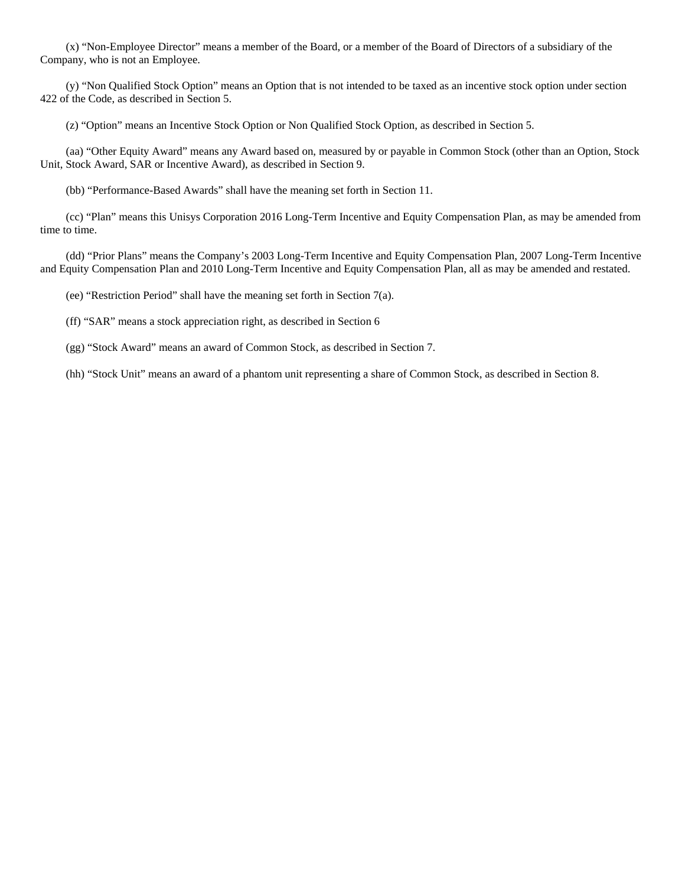(x) "Non-Employee Director" means a member of the Board, or a member of the Board of Directors of a subsidiary of the Company, who is not an Employee.

(y) "Non Qualified Stock Option" means an Option that is not intended to be taxed as an incentive stock option under section 422 of the Code, as described in Section 5.

(z) "Option" means an Incentive Stock Option or Non Qualified Stock Option, as described in Section 5.

(aa) "Other Equity Award" means any Award based on, measured by or payable in Common Stock (other than an Option, Stock Unit, Stock Award, SAR or Incentive Award), as described in Section 9.

(bb) "Performance-Based Awards" shall have the meaning set forth in Section 11.

(cc) "Plan" means this Unisys Corporation 2016 Long-Term Incentive and Equity Compensation Plan, as may be amended from time to time.

(dd) "Prior Plans" means the Company's 2003 Long-Term Incentive and Equity Compensation Plan, 2007 Long-Term Incentive and Equity Compensation Plan and 2010 Long-Term Incentive and Equity Compensation Plan, all as may be amended and restated.

(ee) "Restriction Period" shall have the meaning set forth in Section 7(a).

(ff) "SAR" means a stock appreciation right, as described in Section 6

(gg) "Stock Award" means an award of Common Stock, as described in Section 7.

(hh) "Stock Unit" means an award of a phantom unit representing a share of Common Stock, as described in Section 8.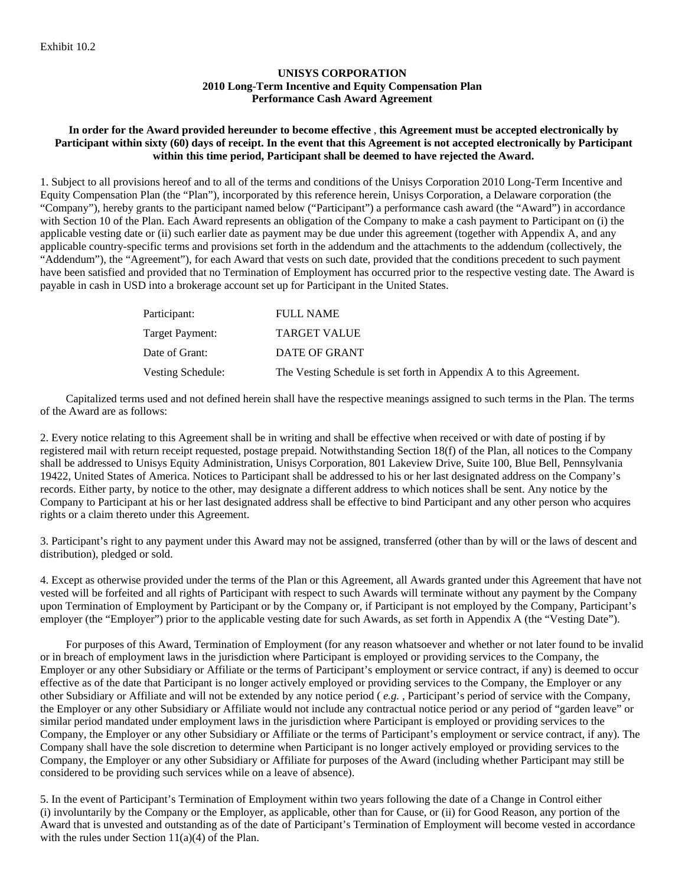## **UNISYS CORPORATION 2010 Long-Term Incentive and Equity Compensation Plan Performance Cash Award Agreement**

## **In order for the Award provided hereunder to become effective** , **this Agreement must be accepted electronically by Participant within sixty (60) days of receipt. In the event that this Agreement is not accepted electronically by Participant within this time period, Participant shall be deemed to have rejected the Award.**

1. Subject to all provisions hereof and to all of the terms and conditions of the Unisys Corporation 2010 Long-Term Incentive and Equity Compensation Plan (the "Plan"), incorporated by this reference herein, Unisys Corporation, a Delaware corporation (the "Company"), hereby grants to the participant named below ("Participant") a performance cash award (the "Award") in accordance with Section 10 of the Plan. Each Award represents an obligation of the Company to make a cash payment to Participant on (i) the applicable vesting date or (ii) such earlier date as payment may be due under this agreement (together with Appendix A, and any applicable country-specific terms and provisions set forth in the addendum and the attachments to the addendum (collectively, the "Addendum"), the "Agreement"), for each Award that vests on such date, provided that the conditions precedent to such payment have been satisfied and provided that no Termination of Employment has occurred prior to the respective vesting date. The Award is payable in cash in USD into a brokerage account set up for Participant in the United States.

| Participant:      | <b>FULL NAME</b>                                                   |
|-------------------|--------------------------------------------------------------------|
| Target Payment:   | <b>TARGET VALUE</b>                                                |
| Date of Grant:    | DATE OF GRANT                                                      |
| Vesting Schedule: | The Vesting Schedule is set forth in Appendix A to this Agreement. |

Capitalized terms used and not defined herein shall have the respective meanings assigned to such terms in the Plan. The terms of the Award are as follows:

2. Every notice relating to this Agreement shall be in writing and shall be effective when received or with date of posting if by registered mail with return receipt requested, postage prepaid. Notwithstanding Section 18(f) of the Plan, all notices to the Company shall be addressed to Unisys Equity Administration, Unisys Corporation, 801 Lakeview Drive, Suite 100, Blue Bell, Pennsylvania 19422, United States of America. Notices to Participant shall be addressed to his or her last designated address on the Company's records. Either party, by notice to the other, may designate a different address to which notices shall be sent. Any notice by the Company to Participant at his or her last designated address shall be effective to bind Participant and any other person who acquires rights or a claim thereto under this Agreement.

3. Participant's right to any payment under this Award may not be assigned, transferred (other than by will or the laws of descent and distribution), pledged or sold.

4. Except as otherwise provided under the terms of the Plan or this Agreement, all Awards granted under this Agreement that have not vested will be forfeited and all rights of Participant with respect to such Awards will terminate without any payment by the Company upon Termination of Employment by Participant or by the Company or, if Participant is not employed by the Company, Participant's employer (the "Employer") prior to the applicable vesting date for such Awards, as set forth in Appendix A (the "Vesting Date").

For purposes of this Award, Termination of Employment (for any reason whatsoever and whether or not later found to be invalid or in breach of employment laws in the jurisdiction where Participant is employed or providing services to the Company, the Employer or any other Subsidiary or Affiliate or the terms of Participant's employment or service contract, if any) is deemed to occur effective as of the date that Participant is no longer actively employed or providing services to the Company, the Employer or any other Subsidiary or Affiliate and will not be extended by any notice period ( *e.g.* , Participant's period of service with the Company, the Employer or any other Subsidiary or Affiliate would not include any contractual notice period or any period of "garden leave" or similar period mandated under employment laws in the jurisdiction where Participant is employed or providing services to the Company, the Employer or any other Subsidiary or Affiliate or the terms of Participant's employment or service contract, if any). The Company shall have the sole discretion to determine when Participant is no longer actively employed or providing services to the Company, the Employer or any other Subsidiary or Affiliate for purposes of the Award (including whether Participant may still be considered to be providing such services while on a leave of absence).

5. In the event of Participant's Termination of Employment within two years following the date of a Change in Control either (i) involuntarily by the Company or the Employer, as applicable, other than for Cause, or (ii) for Good Reason, any portion of the Award that is unvested and outstanding as of the date of Participant's Termination of Employment will become vested in accordance with the rules under Section  $11(a)(4)$  of the Plan.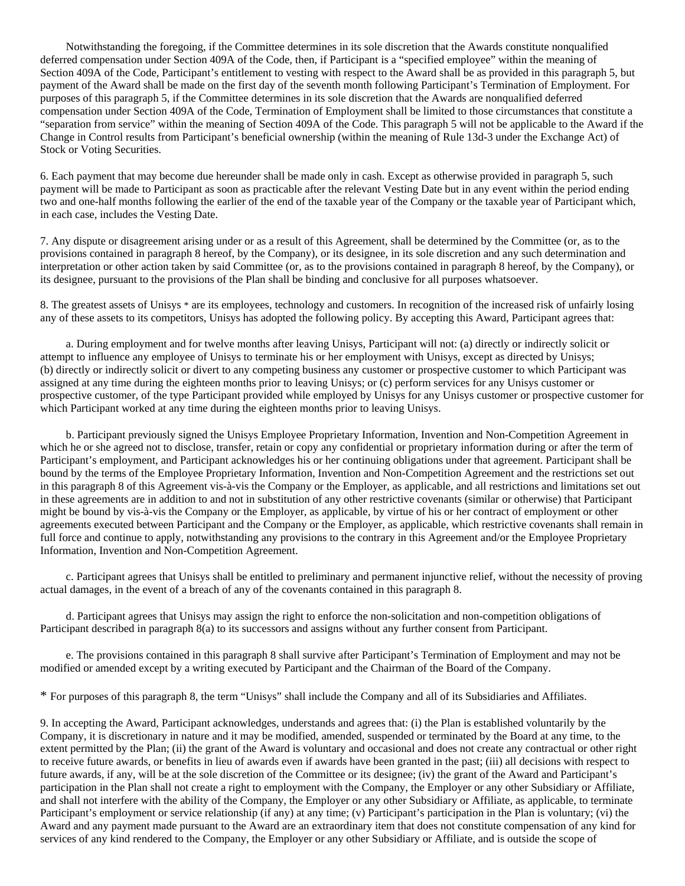Notwithstanding the foregoing, if the Committee determines in its sole discretion that the Awards constitute nonqualified deferred compensation under Section 409A of the Code, then, if Participant is a "specified employee" within the meaning of Section 409A of the Code, Participant's entitlement to vesting with respect to the Award shall be as provided in this paragraph 5, but payment of the Award shall be made on the first day of the seventh month following Participant's Termination of Employment. For purposes of this paragraph 5, if the Committee determines in its sole discretion that the Awards are nonqualified deferred compensation under Section 409A of the Code, Termination of Employment shall be limited to those circumstances that constitute a "separation from service" within the meaning of Section 409A of the Code. This paragraph 5 will not be applicable to the Award if the Change in Control results from Participant's beneficial ownership (within the meaning of Rule 13d-3 under the Exchange Act) of Stock or Voting Securities.

6. Each payment that may become due hereunder shall be made only in cash. Except as otherwise provided in paragraph 5, such payment will be made to Participant as soon as practicable after the relevant Vesting Date but in any event within the period ending two and one-half months following the earlier of the end of the taxable year of the Company or the taxable year of Participant which, in each case, includes the Vesting Date.

7. Any dispute or disagreement arising under or as a result of this Agreement, shall be determined by the Committee (or, as to the provisions contained in paragraph 8 hereof, by the Company), or its designee, in its sole discretion and any such determination and interpretation or other action taken by said Committee (or, as to the provisions contained in paragraph 8 hereof, by the Company), or its designee, pursuant to the provisions of the Plan shall be binding and conclusive for all purposes whatsoever.

8. The greatest assets of Unisys \* are its employees, technology and customers. In recognition of the increased risk of unfairly losing any of these assets to its competitors, Unisys has adopted the following policy. By accepting this Award, Participant agrees that:

a. During employment and for twelve months after leaving Unisys, Participant will not: (a) directly or indirectly solicit or attempt to influence any employee of Unisys to terminate his or her employment with Unisys, except as directed by Unisys; (b) directly or indirectly solicit or divert to any competing business any customer or prospective customer to which Participant was assigned at any time during the eighteen months prior to leaving Unisys; or (c) perform services for any Unisys customer or prospective customer, of the type Participant provided while employed by Unisys for any Unisys customer or prospective customer for which Participant worked at any time during the eighteen months prior to leaving Unisys.

b. Participant previously signed the Unisys Employee Proprietary Information, Invention and Non-Competition Agreement in which he or she agreed not to disclose, transfer, retain or copy any confidential or proprietary information during or after the term of Participant's employment, and Participant acknowledges his or her continuing obligations under that agreement. Participant shall be bound by the terms of the Employee Proprietary Information, Invention and Non-Competition Agreement and the restrictions set out in this paragraph 8 of this Agreement vis-à-vis the Company or the Employer, as applicable, and all restrictions and limitations set out in these agreements are in addition to and not in substitution of any other restrictive covenants (similar or otherwise) that Participant might be bound by vis-à-vis the Company or the Employer, as applicable, by virtue of his or her contract of employment or other agreements executed between Participant and the Company or the Employer, as applicable, which restrictive covenants shall remain in full force and continue to apply, notwithstanding any provisions to the contrary in this Agreement and/or the Employee Proprietary Information, Invention and Non-Competition Agreement.

c. Participant agrees that Unisys shall be entitled to preliminary and permanent injunctive relief, without the necessity of proving actual damages, in the event of a breach of any of the covenants contained in this paragraph 8.

d. Participant agrees that Unisys may assign the right to enforce the non-solicitation and non-competition obligations of Participant described in paragraph 8(a) to its successors and assigns without any further consent from Participant.

e. The provisions contained in this paragraph 8 shall survive after Participant's Termination of Employment and may not be modified or amended except by a writing executed by Participant and the Chairman of the Board of the Company.

\* For purposes of this paragraph 8, the term "Unisys" shall include the Company and all of its Subsidiaries and Affiliates.

9. In accepting the Award, Participant acknowledges, understands and agrees that: (i) the Plan is established voluntarily by the Company, it is discretionary in nature and it may be modified, amended, suspended or terminated by the Board at any time, to the extent permitted by the Plan; (ii) the grant of the Award is voluntary and occasional and does not create any contractual or other right to receive future awards, or benefits in lieu of awards even if awards have been granted in the past; (iii) all decisions with respect to future awards, if any, will be at the sole discretion of the Committee or its designee; (iv) the grant of the Award and Participant's participation in the Plan shall not create a right to employment with the Company, the Employer or any other Subsidiary or Affiliate, and shall not interfere with the ability of the Company, the Employer or any other Subsidiary or Affiliate, as applicable, to terminate Participant's employment or service relationship (if any) at any time; (v) Participant's participation in the Plan is voluntary; (vi) the Award and any payment made pursuant to the Award are an extraordinary item that does not constitute compensation of any kind for services of any kind rendered to the Company, the Employer or any other Subsidiary or Affiliate, and is outside the scope of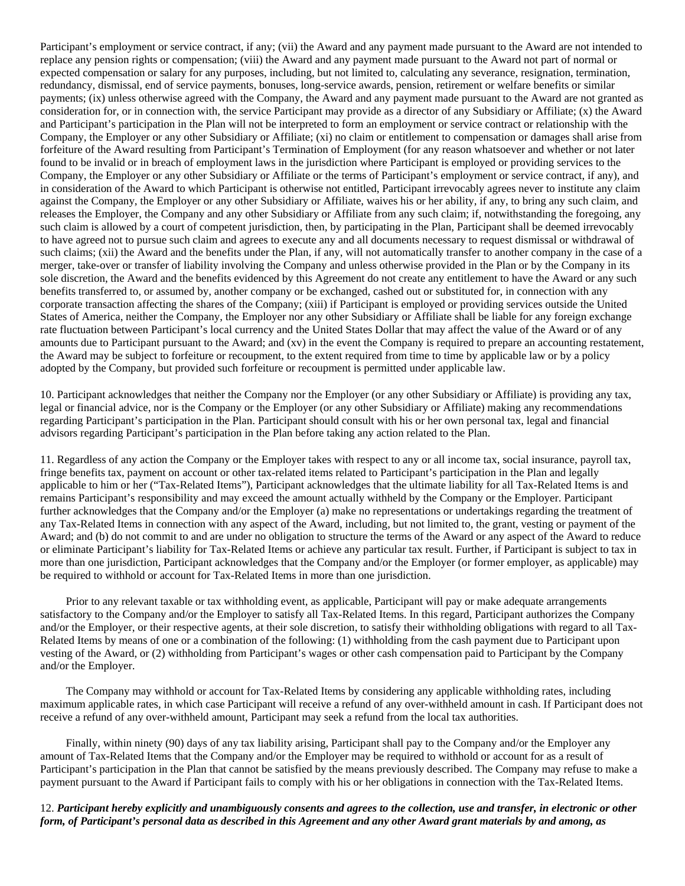Participant's employment or service contract, if any; (vii) the Award and any payment made pursuant to the Award are not intended to replace any pension rights or compensation; (viii) the Award and any payment made pursuant to the Award not part of normal or expected compensation or salary for any purposes, including, but not limited to, calculating any severance, resignation, termination, redundancy, dismissal, end of service payments, bonuses, long-service awards, pension, retirement or welfare benefits or similar payments; (ix) unless otherwise agreed with the Company, the Award and any payment made pursuant to the Award are not granted as consideration for, or in connection with, the service Participant may provide as a director of any Subsidiary or Affiliate; (x) the Award and Participant's participation in the Plan will not be interpreted to form an employment or service contract or relationship with the Company, the Employer or any other Subsidiary or Affiliate; (xi) no claim or entitlement to compensation or damages shall arise from forfeiture of the Award resulting from Participant's Termination of Employment (for any reason whatsoever and whether or not later found to be invalid or in breach of employment laws in the jurisdiction where Participant is employed or providing services to the Company, the Employer or any other Subsidiary or Affiliate or the terms of Participant's employment or service contract, if any), and in consideration of the Award to which Participant is otherwise not entitled, Participant irrevocably agrees never to institute any claim against the Company, the Employer or any other Subsidiary or Affiliate, waives his or her ability, if any, to bring any such claim, and releases the Employer, the Company and any other Subsidiary or Affiliate from any such claim; if, notwithstanding the foregoing, any such claim is allowed by a court of competent jurisdiction, then, by participating in the Plan, Participant shall be deemed irrevocably to have agreed not to pursue such claim and agrees to execute any and all documents necessary to request dismissal or withdrawal of such claims; (xii) the Award and the benefits under the Plan, if any, will not automatically transfer to another company in the case of a merger, take-over or transfer of liability involving the Company and unless otherwise provided in the Plan or by the Company in its sole discretion, the Award and the benefits evidenced by this Agreement do not create any entitlement to have the Award or any such benefits transferred to, or assumed by, another company or be exchanged, cashed out or substituted for, in connection with any corporate transaction affecting the shares of the Company; (xiii) if Participant is employed or providing services outside the United States of America, neither the Company, the Employer nor any other Subsidiary or Affiliate shall be liable for any foreign exchange rate fluctuation between Participant's local currency and the United States Dollar that may affect the value of the Award or of any amounts due to Participant pursuant to the Award; and (xv) in the event the Company is required to prepare an accounting restatement, the Award may be subject to forfeiture or recoupment, to the extent required from time to time by applicable law or by a policy adopted by the Company, but provided such forfeiture or recoupment is permitted under applicable law.

10. Participant acknowledges that neither the Company nor the Employer (or any other Subsidiary or Affiliate) is providing any tax, legal or financial advice, nor is the Company or the Employer (or any other Subsidiary or Affiliate) making any recommendations regarding Participant's participation in the Plan. Participant should consult with his or her own personal tax, legal and financial advisors regarding Participant's participation in the Plan before taking any action related to the Plan.

11. Regardless of any action the Company or the Employer takes with respect to any or all income tax, social insurance, payroll tax, fringe benefits tax, payment on account or other tax-related items related to Participant's participation in the Plan and legally applicable to him or her ("Tax-Related Items"), Participant acknowledges that the ultimate liability for all Tax-Related Items is and remains Participant's responsibility and may exceed the amount actually withheld by the Company or the Employer. Participant further acknowledges that the Company and/or the Employer (a) make no representations or undertakings regarding the treatment of any Tax-Related Items in connection with any aspect of the Award, including, but not limited to, the grant, vesting or payment of the Award; and (b) do not commit to and are under no obligation to structure the terms of the Award or any aspect of the Award to reduce or eliminate Participant's liability for Tax-Related Items or achieve any particular tax result. Further, if Participant is subject to tax in more than one jurisdiction, Participant acknowledges that the Company and/or the Employer (or former employer, as applicable) may be required to withhold or account for Tax-Related Items in more than one jurisdiction.

Prior to any relevant taxable or tax withholding event, as applicable, Participant will pay or make adequate arrangements satisfactory to the Company and/or the Employer to satisfy all Tax-Related Items. In this regard, Participant authorizes the Company and/or the Employer, or their respective agents, at their sole discretion, to satisfy their withholding obligations with regard to all Tax-Related Items by means of one or a combination of the following: (1) withholding from the cash payment due to Participant upon vesting of the Award, or (2) withholding from Participant's wages or other cash compensation paid to Participant by the Company and/or the Employer.

The Company may withhold or account for Tax-Related Items by considering any applicable withholding rates, including maximum applicable rates, in which case Participant will receive a refund of any over-withheld amount in cash. If Participant does not receive a refund of any over-withheld amount, Participant may seek a refund from the local tax authorities.

Finally, within ninety (90) days of any tax liability arising, Participant shall pay to the Company and/or the Employer any amount of Tax-Related Items that the Company and/or the Employer may be required to withhold or account for as a result of Participant's participation in the Plan that cannot be satisfied by the means previously described. The Company may refuse to make a payment pursuant to the Award if Participant fails to comply with his or her obligations in connection with the Tax-Related Items.

12. *Participant hereby explicitly and unambiguously consents and agrees to the collection, use and transfer, in electronic or other form, of Participant's personal data as described in this Agreement and any other Award grant materials by and among, as*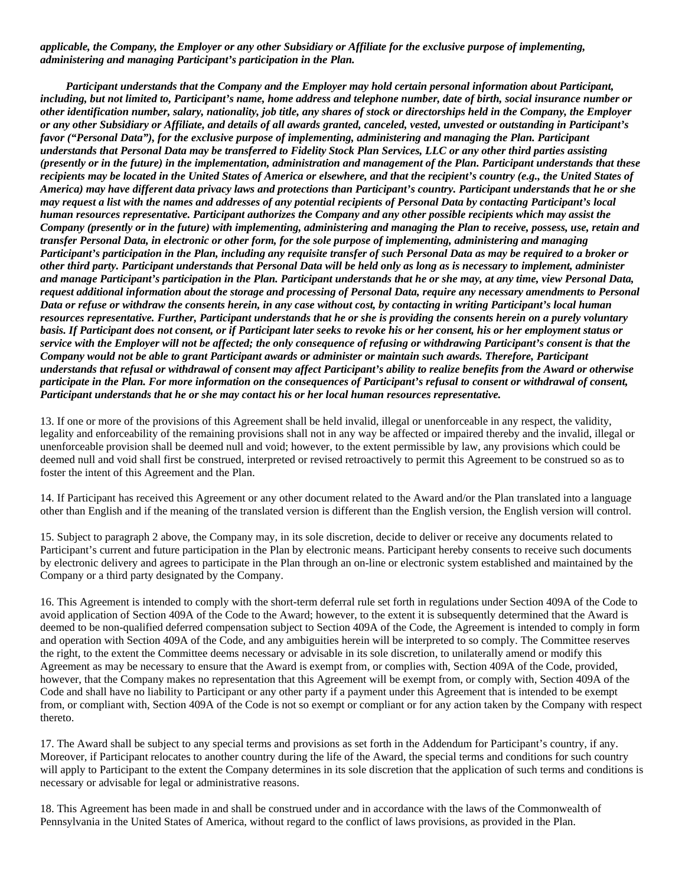*applicable, the Company, the Employer or any other Subsidiary or Affiliate for the exclusive purpose of implementing, administering and managing Participant's participation in the Plan.*

*Participant understands that the Company and the Employer may hold certain personal information about Participant, including, but not limited to, Participant's name, home address and telephone number, date of birth, social insurance number or other identification number, salary, nationality, job title, any shares of stock or directorships held in the Company, the Employer or any other Subsidiary or Affiliate, and details of all awards granted, canceled, vested, unvested or outstanding in Participant's favor ("Personal Data"), for the exclusive purpose of implementing, administering and managing the Plan. Participant understands that Personal Data may be transferred to Fidelity Stock Plan Services, LLC or any other third parties assisting (presently or in the future) in the implementation, administration and management of the Plan. Participant understands that these recipients may be located in the United States of America or elsewhere, and that the recipient's country (e.g., the United States of America) may have different data privacy laws and protections than Participant's country. Participant understands that he or she may request a list with the names and addresses of any potential recipients of Personal Data by contacting Participant's local human resources representative. Participant authorizes the Company and any other possible recipients which may assist the Company (presently or in the future) with implementing, administering and managing the Plan to receive, possess, use, retain and transfer Personal Data, in electronic or other form, for the sole purpose of implementing, administering and managing Participant's participation in the Plan, including any requisite transfer of such Personal Data as may be required to a broker or other third party. Participant understands that Personal Data will be held only as long as is necessary to implement, administer and manage Participant's participation in the Plan. Participant understands that he or she may, at any time, view Personal Data, request additional information about the storage and processing of Personal Data, require any necessary amendments to Personal Data or refuse or withdraw the consents herein, in any case without cost, by contacting in writing Participant's local human resources representative. Further, Participant understands that he or she is providing the consents herein on a purely voluntary basis. If Participant does not consent, or if Participant later seeks to revoke his or her consent, his or her employment status or service with the Employer will not be affected; the only consequence of refusing or withdrawing Participant's consent is that the Company would not be able to grant Participant awards or administer or maintain such awards. Therefore, Participant understands that refusal or withdrawal of consent may affect Participant's ability to realize benefits from the Award or otherwise participate in the Plan. For more information on the consequences of Participant's refusal to consent or withdrawal of consent, Participant understands that he or she may contact his or her local human resources representative.*

13. If one or more of the provisions of this Agreement shall be held invalid, illegal or unenforceable in any respect, the validity, legality and enforceability of the remaining provisions shall not in any way be affected or impaired thereby and the invalid, illegal or unenforceable provision shall be deemed null and void; however, to the extent permissible by law, any provisions which could be deemed null and void shall first be construed, interpreted or revised retroactively to permit this Agreement to be construed so as to foster the intent of this Agreement and the Plan.

14. If Participant has received this Agreement or any other document related to the Award and/or the Plan translated into a language other than English and if the meaning of the translated version is different than the English version, the English version will control.

15. Subject to paragraph 2 above, the Company may, in its sole discretion, decide to deliver or receive any documents related to Participant's current and future participation in the Plan by electronic means. Participant hereby consents to receive such documents by electronic delivery and agrees to participate in the Plan through an on-line or electronic system established and maintained by the Company or a third party designated by the Company.

16. This Agreement is intended to comply with the short-term deferral rule set forth in regulations under Section 409A of the Code to avoid application of Section 409A of the Code to the Award; however, to the extent it is subsequently determined that the Award is deemed to be non-qualified deferred compensation subject to Section 409A of the Code, the Agreement is intended to comply in form and operation with Section 409A of the Code, and any ambiguities herein will be interpreted to so comply. The Committee reserves the right, to the extent the Committee deems necessary or advisable in its sole discretion, to unilaterally amend or modify this Agreement as may be necessary to ensure that the Award is exempt from, or complies with, Section 409A of the Code, provided, however, that the Company makes no representation that this Agreement will be exempt from, or comply with, Section 409A of the Code and shall have no liability to Participant or any other party if a payment under this Agreement that is intended to be exempt from, or compliant with, Section 409A of the Code is not so exempt or compliant or for any action taken by the Company with respect thereto.

17. The Award shall be subject to any special terms and provisions as set forth in the Addendum for Participant's country, if any. Moreover, if Participant relocates to another country during the life of the Award, the special terms and conditions for such country will apply to Participant to the extent the Company determines in its sole discretion that the application of such terms and conditions is necessary or advisable for legal or administrative reasons.

18. This Agreement has been made in and shall be construed under and in accordance with the laws of the Commonwealth of Pennsylvania in the United States of America, without regard to the conflict of laws provisions, as provided in the Plan.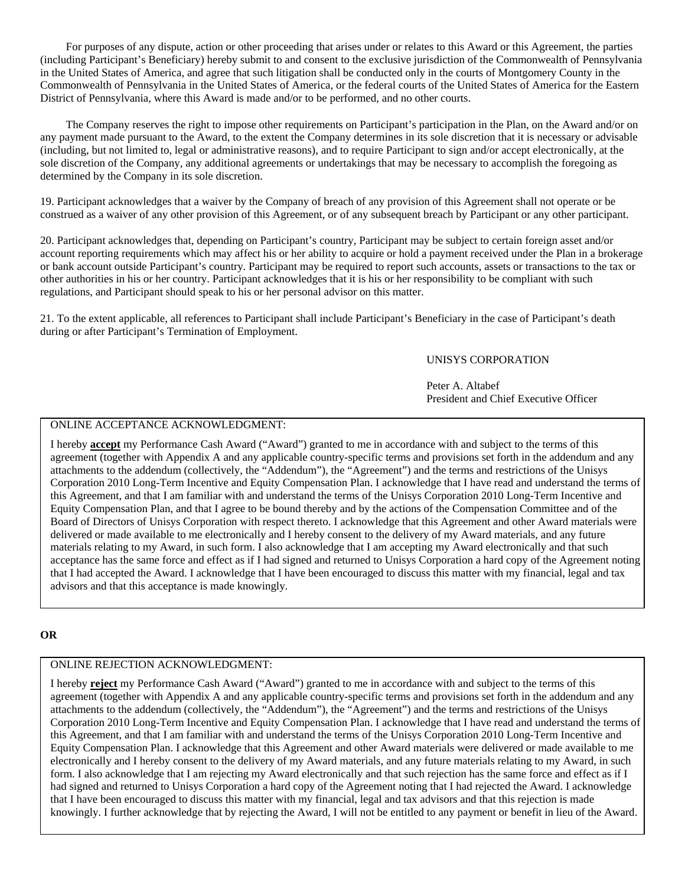For purposes of any dispute, action or other proceeding that arises under or relates to this Award or this Agreement, the parties (including Participant's Beneficiary) hereby submit to and consent to the exclusive jurisdiction of the Commonwealth of Pennsylvania in the United States of America, and agree that such litigation shall be conducted only in the courts of Montgomery County in the Commonwealth of Pennsylvania in the United States of America, or the federal courts of the United States of America for the Eastern District of Pennsylvania, where this Award is made and/or to be performed, and no other courts.

The Company reserves the right to impose other requirements on Participant's participation in the Plan, on the Award and/or on any payment made pursuant to the Award, to the extent the Company determines in its sole discretion that it is necessary or advisable (including, but not limited to, legal or administrative reasons), and to require Participant to sign and/or accept electronically, at the sole discretion of the Company, any additional agreements or undertakings that may be necessary to accomplish the foregoing as determined by the Company in its sole discretion.

19. Participant acknowledges that a waiver by the Company of breach of any provision of this Agreement shall not operate or be construed as a waiver of any other provision of this Agreement, or of any subsequent breach by Participant or any other participant.

20. Participant acknowledges that, depending on Participant's country, Participant may be subject to certain foreign asset and/or account reporting requirements which may affect his or her ability to acquire or hold a payment received under the Plan in a brokerage or bank account outside Participant's country. Participant may be required to report such accounts, assets or transactions to the tax or other authorities in his or her country. Participant acknowledges that it is his or her responsibility to be compliant with such regulations, and Participant should speak to his or her personal advisor on this matter.

21. To the extent applicable, all references to Participant shall include Participant's Beneficiary in the case of Participant's death during or after Participant's Termination of Employment.

## UNISYS CORPORATION

Peter A. Altabef President and Chief Executive Officer

## ONLINE ACCEPTANCE ACKNOWLEDGMENT:

I hereby **accept** my Performance Cash Award ("Award") granted to me in accordance with and subject to the terms of this agreement (together with Appendix A and any applicable country-specific terms and provisions set forth in the addendum and any attachments to the addendum (collectively, the "Addendum"), the "Agreement") and the terms and restrictions of the Unisys Corporation 2010 Long-Term Incentive and Equity Compensation Plan. I acknowledge that I have read and understand the terms of this Agreement, and that I am familiar with and understand the terms of the Unisys Corporation 2010 Long-Term Incentive and Equity Compensation Plan, and that I agree to be bound thereby and by the actions of the Compensation Committee and of the Board of Directors of Unisys Corporation with respect thereto. I acknowledge that this Agreement and other Award materials were delivered or made available to me electronically and I hereby consent to the delivery of my Award materials, and any future materials relating to my Award, in such form. I also acknowledge that I am accepting my Award electronically and that such acceptance has the same force and effect as if I had signed and returned to Unisys Corporation a hard copy of the Agreement noting that I had accepted the Award. I acknowledge that I have been encouraged to discuss this matter with my financial, legal and tax advisors and that this acceptance is made knowingly.

## **OR**

## ONLINE REJECTION ACKNOWLEDGMENT:

I hereby **reject** my Performance Cash Award ("Award") granted to me in accordance with and subject to the terms of this agreement (together with Appendix A and any applicable country-specific terms and provisions set forth in the addendum and any attachments to the addendum (collectively, the "Addendum"), the "Agreement") and the terms and restrictions of the Unisys Corporation 2010 Long-Term Incentive and Equity Compensation Plan. I acknowledge that I have read and understand the terms of this Agreement, and that I am familiar with and understand the terms of the Unisys Corporation 2010 Long-Term Incentive and Equity Compensation Plan. I acknowledge that this Agreement and other Award materials were delivered or made available to me electronically and I hereby consent to the delivery of my Award materials, and any future materials relating to my Award, in such form. I also acknowledge that I am rejecting my Award electronically and that such rejection has the same force and effect as if I had signed and returned to Unisys Corporation a hard copy of the Agreement noting that I had rejected the Award. I acknowledge that I have been encouraged to discuss this matter with my financial, legal and tax advisors and that this rejection is made knowingly. I further acknowledge that by rejecting the Award, I will not be entitled to any payment or benefit in lieu of the Award.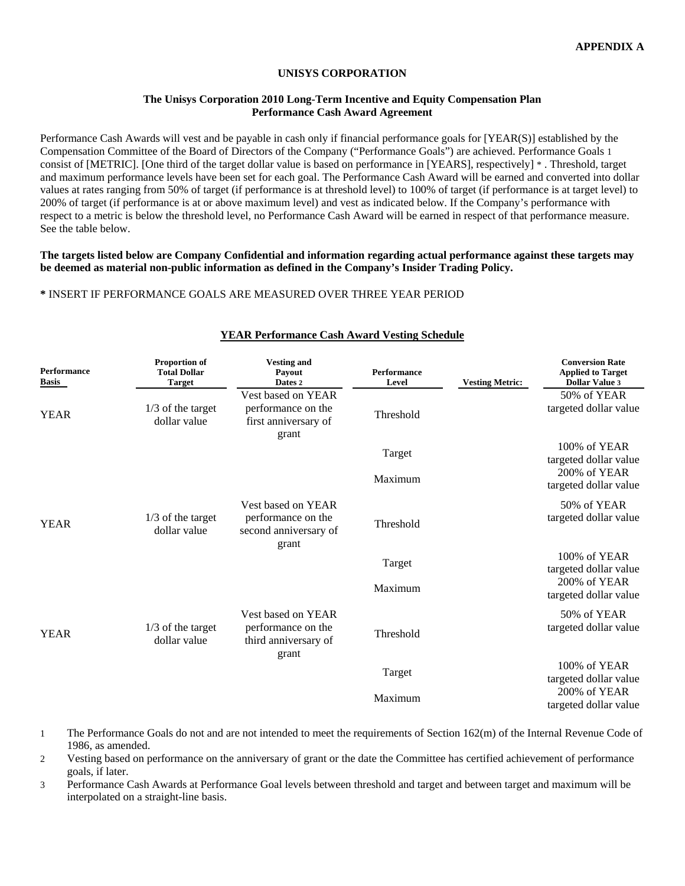## **UNISYS CORPORATION**

### **The Unisys Corporation 2010 Long-Term Incentive and Equity Compensation Plan Performance Cash Award Agreement**

Performance Cash Awards will vest and be payable in cash only if financial performance goals for [YEAR(S)] established by the Compensation Committee of the Board of Directors of the Company ("Performance Goals") are achieved. Performance Goals 1 consist of [METRIC]. [One third of the target dollar value is based on performance in [YEARS], respectively] \* . Threshold, target and maximum performance levels have been set for each goal. The Performance Cash Award will be earned and converted into dollar values at rates ranging from 50% of target (if performance is at threshold level) to 100% of target (if performance is at target level) to 200% of target (if performance is at or above maximum level) and vest as indicated below. If the Company's performance with respect to a metric is below the threshold level, no Performance Cash Award will be earned in respect of that performance measure. See the table below.

**The targets listed below are Company Confidential and information regarding actual performance against these targets may be deemed as material non-public information as defined in the Company's Insider Trading Policy.** 

**\*** INSERT IF PERFORMANCE GOALS ARE MEASURED OVER THREE YEAR PERIOD

| <b>Performance</b><br><b>Basis</b> | Proportion of<br><b>Total Dollar</b><br><b>Target</b> | <b>Vesting and</b><br>Payout<br>Dates 2                                    | <b>Performance</b><br>Level | <b>Vesting Metric:</b> | <b>Conversion Rate</b><br><b>Applied to Target</b><br><b>Dollar Value 3</b> |
|------------------------------------|-------------------------------------------------------|----------------------------------------------------------------------------|-----------------------------|------------------------|-----------------------------------------------------------------------------|
| <b>YEAR</b>                        | $1/3$ of the target<br>dollar value                   | Vest based on YEAR<br>performance on the<br>first anniversary of<br>grant  | Threshold                   |                        | 50% of YEAR<br>targeted dollar value                                        |
|                                    |                                                       |                                                                            | Target                      |                        | 100% of YEAR<br>targeted dollar value                                       |
|                                    |                                                       |                                                                            | Maximum                     |                        | 200% of YEAR<br>targeted dollar value                                       |
| <b>YEAR</b>                        | $1/3$ of the target<br>dollar value                   | Vest based on YEAR<br>performance on the<br>second anniversary of<br>grant | Threshold                   |                        | 50% of YEAR<br>targeted dollar value                                        |
|                                    |                                                       |                                                                            | Target                      |                        | 100% of YEAR<br>targeted dollar value                                       |
|                                    |                                                       |                                                                            | Maximum                     |                        | 200% of YEAR<br>targeted dollar value                                       |
| <b>YEAR</b>                        | $1/3$ of the target<br>dollar value                   | Vest based on YEAR<br>performance on the<br>third anniversary of<br>grant  | Threshold                   |                        | 50% of YEAR<br>targeted dollar value                                        |
|                                    |                                                       |                                                                            | Target                      |                        | 100% of YEAR<br>targeted dollar value                                       |
|                                    |                                                       |                                                                            | Maximum                     |                        | 200% of YEAR<br>targeted dollar value                                       |

#### **YEAR Performance Cash Award Vesting Schedule**

1 The Performance Goals do not and are not intended to meet the requirements of Section 162(m) of the Internal Revenue Code of 1986, as amended.

2 Vesting based on performance on the anniversary of grant or the date the Committee has certified achievement of performance goals, if later.

3 Performance Cash Awards at Performance Goal levels between threshold and target and between target and maximum will be interpolated on a straight-line basis.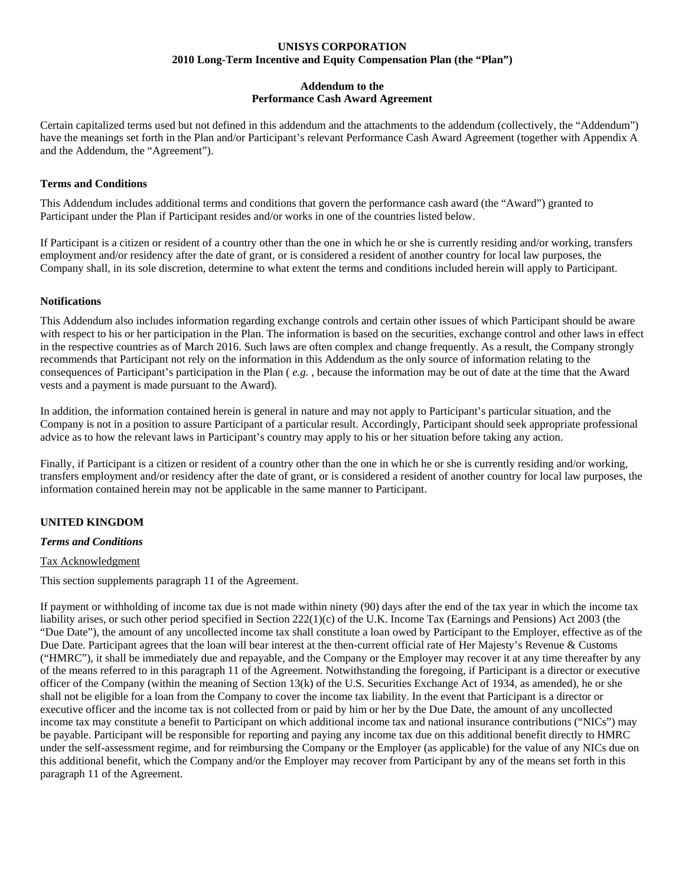## **UNISYS CORPORATION 2010 Long-Term Incentive and Equity Compensation Plan (the "Plan")**

## **Addendum to the Performance Cash Award Agreement**

Certain capitalized terms used but not defined in this addendum and the attachments to the addendum (collectively, the "Addendum") have the meanings set forth in the Plan and/or Participant's relevant Performance Cash Award Agreement (together with Appendix A and the Addendum, the "Agreement").

## **Terms and Conditions**

This Addendum includes additional terms and conditions that govern the performance cash award (the "Award") granted to Participant under the Plan if Participant resides and/or works in one of the countries listed below.

If Participant is a citizen or resident of a country other than the one in which he or she is currently residing and/or working, transfers employment and/or residency after the date of grant, or is considered a resident of another country for local law purposes, the Company shall, in its sole discretion, determine to what extent the terms and conditions included herein will apply to Participant.

## **Notifications**

This Addendum also includes information regarding exchange controls and certain other issues of which Participant should be aware with respect to his or her participation in the Plan. The information is based on the securities, exchange control and other laws in effect in the respective countries as of March 2016. Such laws are often complex and change frequently. As a result, the Company strongly recommends that Participant not rely on the information in this Addendum as the only source of information relating to the consequences of Participant's participation in the Plan ( *e.g.* , because the information may be out of date at the time that the Award vests and a payment is made pursuant to the Award).

In addition, the information contained herein is general in nature and may not apply to Participant's particular situation, and the Company is not in a position to assure Participant of a particular result. Accordingly, Participant should seek appropriate professional advice as to how the relevant laws in Participant's country may apply to his or her situation before taking any action.

Finally, if Participant is a citizen or resident of a country other than the one in which he or she is currently residing and/or working. transfers employment and/or residency after the date of grant, or is considered a resident of another country for local law purposes, the information contained herein may not be applicable in the same manner to Participant.

## **UNITED KINGDOM**

## *Terms and Conditions*

## Tax Acknowledgment

This section supplements paragraph 11 of the Agreement.

If payment or withholding of income tax due is not made within ninety (90) days after the end of the tax year in which the income tax liability arises, or such other period specified in Section 222(1)(c) of the U.K. Income Tax (Earnings and Pensions) Act 2003 (the "Due Date"), the amount of any uncollected income tax shall constitute a loan owed by Participant to the Employer, effective as of the Due Date. Participant agrees that the loan will bear interest at the then-current official rate of Her Majesty's Revenue & Customs ("HMRC"), it shall be immediately due and repayable, and the Company or the Employer may recover it at any time thereafter by any of the means referred to in this paragraph 11 of the Agreement. Notwithstanding the foregoing, if Participant is a director or executive officer of the Company (within the meaning of Section 13(k) of the U.S. Securities Exchange Act of 1934, as amended), he or she shall not be eligible for a loan from the Company to cover the income tax liability. In the event that Participant is a director or executive officer and the income tax is not collected from or paid by him or her by the Due Date, the amount of any uncollected income tax may constitute a benefit to Participant on which additional income tax and national insurance contributions ("NICs") may be payable. Participant will be responsible for reporting and paying any income tax due on this additional benefit directly to HMRC under the self-assessment regime, and for reimbursing the Company or the Employer (as applicable) for the value of any NICs due on this additional benefit, which the Company and/or the Employer may recover from Participant by any of the means set forth in this paragraph 11 of the Agreement.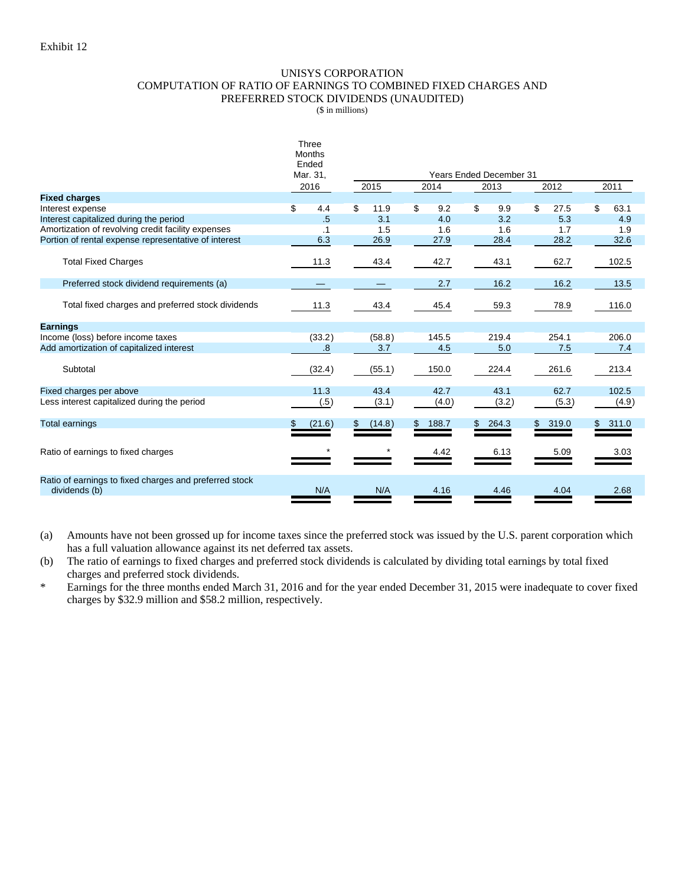## UNISYS CORPORATION COMPUTATION OF RATIO OF EARNINGS TO COMBINED FIXED CHARGES AND PREFERRED STOCK DIVIDENDS (UNAUDITED)

(\$ in millions)

|                                                                         | <b>Three</b><br><b>Months</b><br>Ended<br>Mar. 31, |                   |            |    |       |    | <b>Years Ended December 31</b> |    |       |    |       |  |  |
|-------------------------------------------------------------------------|----------------------------------------------------|-------------------|------------|----|-------|----|--------------------------------|----|-------|----|-------|--|--|
|                                                                         | 2016                                               |                   | 2015       |    | 2014  |    | 2013                           |    | 2012  |    | 2011  |  |  |
| <b>Fixed charges</b>                                                    |                                                    |                   |            |    |       |    |                                |    |       |    |       |  |  |
| Interest expense                                                        | \$                                                 | 4.4               | \$<br>11.9 | \$ | 9.2   | \$ | 9.9                            | \$ | 27.5  | \$ | 63.1  |  |  |
| Interest capitalized during the period                                  |                                                    | $.5\,$            | 3.1        |    | 4.0   |    | 3.2                            |    | 5.3   |    | 4.9   |  |  |
| Amortization of revolving credit facility expenses                      |                                                    | $\cdot$ 1         | 1.5        |    | 1.6   |    | 1.6                            |    | 1.7   |    | 1.9   |  |  |
| Portion of rental expense representative of interest                    |                                                    | 6.3               | 26.9       |    | 27.9  |    | 28.4                           |    | 28.2  |    | 32.6  |  |  |
| <b>Total Fixed Charges</b>                                              | 11.3                                               |                   | 43.4       |    | 42.7  |    | 43.1                           |    | 62.7  |    | 102.5 |  |  |
| Preferred stock dividend requirements (a)                               |                                                    |                   |            |    | 2.7   |    | 16.2                           |    | 16.2  |    | 13.5  |  |  |
| Total fixed charges and preferred stock dividends                       | 11.3                                               |                   | 43.4       |    | 45.4  |    | 59.3                           |    | 78.9  |    | 116.0 |  |  |
| <b>Earnings</b>                                                         |                                                    |                   |            |    |       |    |                                |    |       |    |       |  |  |
| Income (loss) before income taxes                                       | (33.2)                                             |                   | (58.8)     |    | 145.5 |    | 219.4                          |    | 254.1 |    | 206.0 |  |  |
| Add amortization of capitalized interest                                |                                                    | $\boldsymbol{.8}$ | 3.7        |    | 4.5   |    | 5.0                            |    | 7.5   |    | 7.4   |  |  |
| Subtotal                                                                | (32.4)                                             |                   | (55.1)     |    | 150.0 |    | 224.4                          |    | 261.6 |    | 213.4 |  |  |
| Fixed charges per above                                                 | 11.3                                               |                   | 43.4       |    | 42.7  |    | 43.1                           |    | 62.7  |    | 102.5 |  |  |
| Less interest capitalized during the period                             |                                                    | (.5)              | (3.1)      |    | (4.0) |    | (3.2)                          |    | (5.3) |    | (4.9) |  |  |
| <b>Total earnings</b>                                                   | (21.6)                                             |                   | (14.8)     |    | 188.7 |    | 264.3                          |    | 319.0 | S  | 311.0 |  |  |
| Ratio of earnings to fixed charges                                      |                                                    |                   |            |    | 4.42  |    | 6.13                           |    | 5.09  |    | 3.03  |  |  |
| Ratio of earnings to fixed charges and preferred stock<br>dividends (b) | N/A                                                |                   | N/A        |    | 4.16  |    | 4.46                           |    | 4.04  |    | 2.68  |  |  |

(a) Amounts have not been grossed up for income taxes since the preferred stock was issued by the U.S. parent corporation which has a full valuation allowance against its net deferred tax assets.

(b) The ratio of earnings to fixed charges and preferred stock dividends is calculated by dividing total earnings by total fixed charges and preferred stock dividends.

\* Earnings for the three months ended March 31, 2016 and for the year ended December 31, 2015 were inadequate to cover fixed charges by \$32.9 million and \$58.2 million, respectively.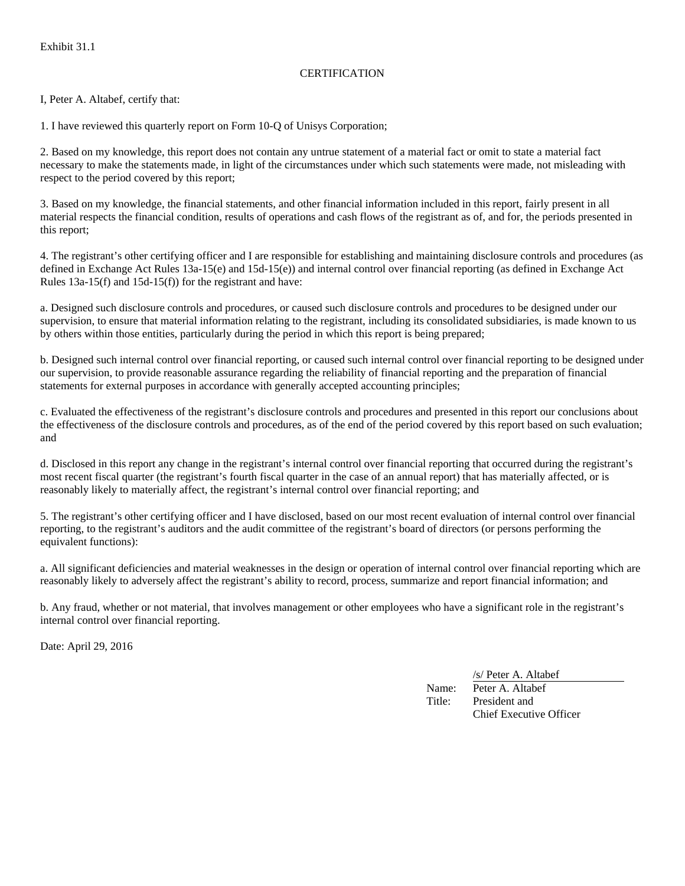## **CERTIFICATION**

I, Peter A. Altabef, certify that:

1. I have reviewed this quarterly report on Form 10-Q of Unisys Corporation;

2. Based on my knowledge, this report does not contain any untrue statement of a material fact or omit to state a material fact necessary to make the statements made, in light of the circumstances under which such statements were made, not misleading with respect to the period covered by this report;

3. Based on my knowledge, the financial statements, and other financial information included in this report, fairly present in all material respects the financial condition, results of operations and cash flows of the registrant as of, and for, the periods presented in this report;

4. The registrant's other certifying officer and I are responsible for establishing and maintaining disclosure controls and procedures (as defined in Exchange Act Rules 13a-15(e) and 15d-15(e)) and internal control over financial reporting (as defined in Exchange Act Rules 13a-15(f) and 15d-15(f)) for the registrant and have:

a. Designed such disclosure controls and procedures, or caused such disclosure controls and procedures to be designed under our supervision, to ensure that material information relating to the registrant, including its consolidated subsidiaries, is made known to us by others within those entities, particularly during the period in which this report is being prepared;

b. Designed such internal control over financial reporting, or caused such internal control over financial reporting to be designed under our supervision, to provide reasonable assurance regarding the reliability of financial reporting and the preparation of financial statements for external purposes in accordance with generally accepted accounting principles;

c. Evaluated the effectiveness of the registrant's disclosure controls and procedures and presented in this report our conclusions about the effectiveness of the disclosure controls and procedures, as of the end of the period covered by this report based on such evaluation; and

d. Disclosed in this report any change in the registrant's internal control over financial reporting that occurred during the registrant's most recent fiscal quarter (the registrant's fourth fiscal quarter in the case of an annual report) that has materially affected, or is reasonably likely to materially affect, the registrant's internal control over financial reporting; and

5. The registrant's other certifying officer and I have disclosed, based on our most recent evaluation of internal control over financial reporting, to the registrant's auditors and the audit committee of the registrant's board of directors (or persons performing the equivalent functions):

a. All significant deficiencies and material weaknesses in the design or operation of internal control over financial reporting which are reasonably likely to adversely affect the registrant's ability to record, process, summarize and report financial information; and

b. Any fraud, whether or not material, that involves management or other employees who have a significant role in the registrant's internal control over financial reporting.

Date: April 29, 2016

/s/ Peter A. Altabef

Name: Peter A. Altabef Title: President and Chief Executive Officer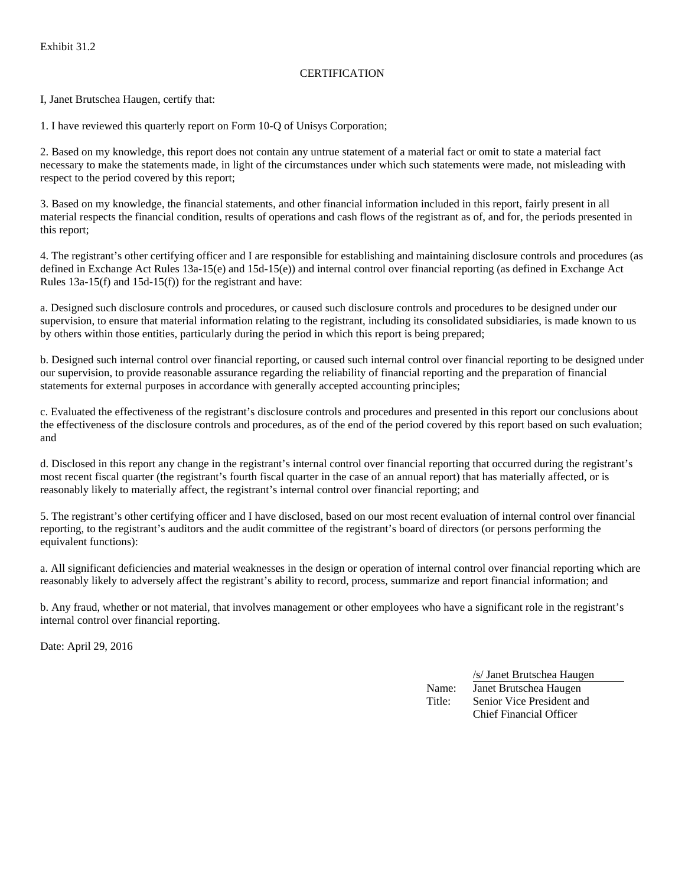## **CERTIFICATION**

I, Janet Brutschea Haugen, certify that:

1. I have reviewed this quarterly report on Form 10-Q of Unisys Corporation;

2. Based on my knowledge, this report does not contain any untrue statement of a material fact or omit to state a material fact necessary to make the statements made, in light of the circumstances under which such statements were made, not misleading with respect to the period covered by this report;

3. Based on my knowledge, the financial statements, and other financial information included in this report, fairly present in all material respects the financial condition, results of operations and cash flows of the registrant as of, and for, the periods presented in this report;

4. The registrant's other certifying officer and I are responsible for establishing and maintaining disclosure controls and procedures (as defined in Exchange Act Rules 13a-15(e) and 15d-15(e)) and internal control over financial reporting (as defined in Exchange Act Rules 13a-15(f) and 15d-15(f)) for the registrant and have:

a. Designed such disclosure controls and procedures, or caused such disclosure controls and procedures to be designed under our supervision, to ensure that material information relating to the registrant, including its consolidated subsidiaries, is made known to us by others within those entities, particularly during the period in which this report is being prepared;

b. Designed such internal control over financial reporting, or caused such internal control over financial reporting to be designed under our supervision, to provide reasonable assurance regarding the reliability of financial reporting and the preparation of financial statements for external purposes in accordance with generally accepted accounting principles;

c. Evaluated the effectiveness of the registrant's disclosure controls and procedures and presented in this report our conclusions about the effectiveness of the disclosure controls and procedures, as of the end of the period covered by this report based on such evaluation; and

d. Disclosed in this report any change in the registrant's internal control over financial reporting that occurred during the registrant's most recent fiscal quarter (the registrant's fourth fiscal quarter in the case of an annual report) that has materially affected, or is reasonably likely to materially affect, the registrant's internal control over financial reporting; and

5. The registrant's other certifying officer and I have disclosed, based on our most recent evaluation of internal control over financial reporting, to the registrant's auditors and the audit committee of the registrant's board of directors (or persons performing the equivalent functions):

a. All significant deficiencies and material weaknesses in the design or operation of internal control over financial reporting which are reasonably likely to adversely affect the registrant's ability to record, process, summarize and report financial information; and

b. Any fraud, whether or not material, that involves management or other employees who have a significant role in the registrant's internal control over financial reporting.

Date: April 29, 2016

/s/ Janet Brutschea Haugen Name: Janet Brutschea Haugen Title: Senior Vice President and Chief Financial Officer